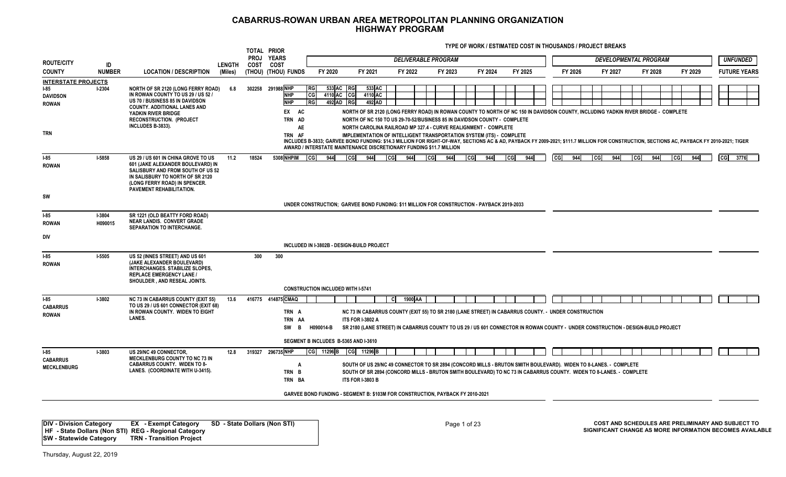**TYPE OF WORK / ESTIMATED COST IN THOUSANDS / PROJECT BREAKS**

| <b>ROUTE/CITY</b><br><b>COUNTY</b><br><b>INTERSTATE PROJECTS</b> | ID<br><b>NUMBER</b>      |                                                                                                                                                                                                                | <b>LENGTH</b> | COST  |                                                                               |                                |                                                                                                                                                                                                                                                                                                                                                                                                                                                                                                                                                                                                                               |                   | <b>DELIVERABLE PROGRAM</b> |            |              |    |         | <b>DEVELOPMENTAL PROGRAM</b> |                     |              |         |               | <b>UNFUNDED</b>     |
|------------------------------------------------------------------|--------------------------|----------------------------------------------------------------------------------------------------------------------------------------------------------------------------------------------------------------|---------------|-------|-------------------------------------------------------------------------------|--------------------------------|-------------------------------------------------------------------------------------------------------------------------------------------------------------------------------------------------------------------------------------------------------------------------------------------------------------------------------------------------------------------------------------------------------------------------------------------------------------------------------------------------------------------------------------------------------------------------------------------------------------------------------|-------------------|----------------------------|------------|--------------|----|---------|------------------------------|---------------------|--------------|---------|---------------|---------------------|
|                                                                  |                          | <b>LOCATION / DESCRIPTION</b>                                                                                                                                                                                  | (Miles)       |       | <b>COST</b><br>(THOU) (THOU) FUNDS                                            | FY 2020                        | FY 2021                                                                                                                                                                                                                                                                                                                                                                                                                                                                                                                                                                                                                       | FY 2022           | FY 2023                    | FY 2024    | FY 2025      |    | FY 2026 | FY 2027                      | FY 2028             |              | FY 2029 |               | <b>FUTURE YEARS</b> |
| $I-85$<br><b>DAVIDSON</b><br>ROWAN                               | $1-2304$                 | <b>NORTH OF SR 2120 (LONG FERRY ROAD)</b><br>IN ROWAN COUNTY TO US 29 / US 52 /<br>US 70 / BUSINESS 85 IN DAVIDSON                                                                                             | 6.8           |       | 302258 291988 NHP<br><b>RG</b><br><b>NHP</b><br>CG<br><b>NHP</b><br><b>RG</b> | 533 AC<br>4110 AC<br>492 AD RG | <b>RG</b><br>533 AC<br>$_{\rm CG}$<br>4110 AC<br>492 AD                                                                                                                                                                                                                                                                                                                                                                                                                                                                                                                                                                       |                   |                            |            |              |    |         |                              |                     |              |         |               |                     |
| <b>TRN</b>                                                       |                          | <b>COUNTY, ADDITIONAL LANES AND</b><br>YADKIN RIVER BRIDGE<br><b>RECONSTRUCTION. (PROJECT</b><br>INCLUDES B-3833).                                                                                             |               |       | EX AC<br>TRN AD<br>AE<br>TRN AF                                               |                                | NORTH OF SR 2120 (LONG FERRY ROAD) IN ROWAN COUNTY TO NORTH OF NC 150 IN DAVIDSON COUNTY, INCLUDING YADKIN RIVER BRIDGE - COMPLETE<br>NORTH OF NC 150 TO US 29-70-52/BUSINESS 85 IN DAVIDSON COUNTY - COMPLETE<br>NORTH CAROLINA RAILROAD MP 327.4 - CURVE REALIGNMENT - COMPLETE<br>IMPLEMENTATION OF INTELLIGENT TRANSPORTATION SYSTEM (ITS) - COMPLETE<br>INCLUDES B-3833; GARVEE BOND FUNDING: \$14.3 MILLION FOR RIGHT-OF-WAY, SECTIONS AC & AD, PAYBACK FY 2009-2021; \$111.7 MILLION FOR CONSTRUCTION, SECTIONS AC, PAYBACK FY 2010-2021; TIGER<br>AWARD / INTERSTATE MAINTENANCE DISCRETIONARY FUNDING \$11.7 MILLION |                   |                            |            |              |    |         |                              |                     |              |         |               |                     |
| $-85$<br><b>ROWAN</b>                                            | <b>I-5858</b>            | US 29 / US 601 IN CHINA GROVE TO US<br>601 (JAKE ALEXANDER BOULEVARD) IN<br>SALISBURY AND FROM SOUTH OF US 52<br>IN SALISBURY TO NORTH OF SR 2120<br>(LONG FERRY ROAD) IN SPENCER.<br>PAVEMENT REHABILITATION. | 11.2          | 18524 | 5308 NHPIM<br><b>I</b> CGI                                                    | 944                            | 944<br><b>CG</b>                                                                                                                                                                                                                                                                                                                                                                                                                                                                                                                                                                                                              | 944<br><b>CGI</b> | l cGl<br>944               | ca <br>944 | 944<br>l cgl | cc | 944     | 944<br><b>I</b> CG           | <b>I</b> cGI<br>944 | <b>I</b> cGI | 944     | <sub>CG</sub> | 3776                |
| SW                                                               |                          |                                                                                                                                                                                                                |               |       |                                                                               |                                | UNDER CONSTRUCTION: GARVEE BOND FUNDING: \$11 MILLION FOR CONSTRUCTION - PAYBACK 2019-2033                                                                                                                                                                                                                                                                                                                                                                                                                                                                                                                                    |                   |                            |            |              |    |         |                              |                     |              |         |               |                     |
| $-85$<br><b>ROWAN</b>                                            | <b>I-3804</b><br>H090015 | SR 1221 (OLD BEATTY FORD ROAD)<br><b>NEAR LANDIS. CONVERT GRADE</b><br>SEPARATION TO INTERCHANGE.                                                                                                              |               |       |                                                                               |                                |                                                                                                                                                                                                                                                                                                                                                                                                                                                                                                                                                                                                                               |                   |                            |            |              |    |         |                              |                     |              |         |               |                     |
| DIV                                                              |                          |                                                                                                                                                                                                                |               |       |                                                                               |                                | INCLUDED IN I-3802B - DESIGN-BUILD PROJECT                                                                                                                                                                                                                                                                                                                                                                                                                                                                                                                                                                                    |                   |                            |            |              |    |         |                              |                     |              |         |               |                     |
| $-85$<br><b>ROWAN</b>                                            | $1-5505$                 | US 52 (INNES STREET) AND US 601<br>(JAKE ALEXANDER BOULEVARD)<br>INTERCHANGES. STABILIZE SLOPES,<br><b>REPLACE EMERGENCY LANE /</b><br>SHOULDER . AND RESEAL JOINTS.                                           |               | 300   | 300<br><b>CONSTRUCTION INCLUDED WITH I-5741</b>                               |                                |                                                                                                                                                                                                                                                                                                                                                                                                                                                                                                                                                                                                                               |                   |                            |            |              |    |         |                              |                     |              |         |               |                     |
| $I-85$<br><b>CABARRUS</b><br><b>ROWAN</b>                        | <b>I-3802</b>            | <b>NC 73 IN CABARRUS COUNTY (EXIT 55)</b><br>TO US 29 / US 601 CONNECTOR (EXIT 68)<br>IN ROWAN COUNTY. WIDEN TO EIGHT<br>LANES.                                                                                | 13.6          |       | 416775 414875 CMAQ<br>TRN A<br>TRN AA<br>SW<br>B                              | H090014-B                      | NC 73 IN CABARRUS COUNTY (EXIT 55) TO SR 2180 (LANE STREET) IN CABARRUS COUNTY. - UNDER CONSTRUCTION<br><b>ITS FOR I-3802 A</b><br>SR 2180 (LANE STREET) IN CABARRUS COUNTY TO US 29 / US 601 CONNECTOR IN ROWAN COUNTY - UNDER CONSTRUCTION - DESIGN-BUILD PROJECT                                                                                                                                                                                                                                                                                                                                                           | 1900 AA<br>CI     |                            |            |              |    |         |                              |                     |              |         |               |                     |
|                                                                  |                          |                                                                                                                                                                                                                |               |       |                                                                               |                                | SEGMENT B INCLUDES B-5365 AND I-3610                                                                                                                                                                                                                                                                                                                                                                                                                                                                                                                                                                                          |                   |                            |            |              |    |         |                              |                     |              |         |               |                     |
| $-85$<br><b>CABARRUS</b><br><b>MECKLENBURG</b>                   | <b>I-3803</b>            | US 29/NC 49 CONNECTOR.<br>MECKLENBURG COUNTY TO NC 73 IN<br><b>CABARRUS COUNTY. WIDEN TO 8-</b><br>LANES. (COORDINATE WITH U-3415).                                                                            | 12.8          |       | 319327 296735 NHP<br>A<br>TRN B<br>TRN BA                                     |                                | CG 11296 B CG 11296 B<br>SOUTH OF US 29/NC 49 CONNECTOR TO SR 2894 (CONCORD MILLS - BRUTON SMITH BOULEVARD). WIDEN TO 8-LANES. - COMPLETE<br>SOUTH OF SR 2894 (CONCORD MILLS - BRUTON SMITH BOULEVARD) TO NC 73 IN CABARRUS COUNTY. WIDEN TO 8-LANES. - COMPLETE<br><b>ITS FOR I-3803 B</b>                                                                                                                                                                                                                                                                                                                                   |                   |                            |            |              |    |         |                              |                     |              |         |               |                     |
|                                                                  |                          |                                                                                                                                                                                                                |               |       |                                                                               |                                | GARVEE BOND FUNDING - SEGMENT B: \$103M FOR CONSTRUCTION, PAYBACK FY 2010-2021                                                                                                                                                                                                                                                                                                                                                                                                                                                                                                                                                |                   |                            |            |              |    |         |                              |                     |              |         |               |                     |

**DIV - Division Category EX - Exempt Category SD - State Dollars (Non STI) HF - State Dollars (Non STI) REG - Regional Category SW - Statewide Category TRN - Transition Project**

Page 1 of 23 **COST AND SCHEDULES ARE PRELIMINARY AND SUBJECT TO SIGNIFICANT CHANGE AS MORE INFORMATION BECOMES AVAILABLE**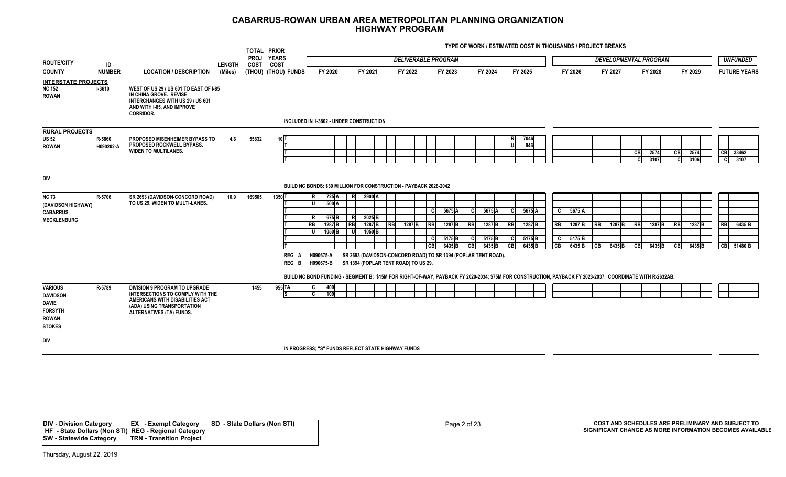**TYPE OF WORK / ESTIMATED COST IN THOUSANDS / PROJECT BREAKS**

|                                                                          |                     |                                                                                                                                                                       |               | TOTAL PRIOR         |                      |                                                                                                                                                                                    |      |                                                                                                        |            |        |           |                                        |                    |                  |               |                             |            |                                        |            |                   |                       |                              |             |              |           |                     |  |
|--------------------------------------------------------------------------|---------------------|-----------------------------------------------------------------------------------------------------------------------------------------------------------------------|---------------|---------------------|----------------------|------------------------------------------------------------------------------------------------------------------------------------------------------------------------------------|------|--------------------------------------------------------------------------------------------------------|------------|--------|-----------|----------------------------------------|--------------------|------------------|---------------|-----------------------------|------------|----------------------------------------|------------|-------------------|-----------------------|------------------------------|-------------|--------------|-----------|---------------------|--|
| <b>ROUTE/CITY</b>                                                        | ID                  |                                                                                                                                                                       | <b>LENGTH</b> | <b>PROJ</b><br>COST | <b>YEARS</b><br>COST |                                                                                                                                                                                    |      |                                                                                                        |            |        |           | <b>DELIVERABLE PROGRAM</b>             |                    |                  |               |                             |            |                                        |            |                   |                       | <b>DEVELOPMENTAL PROGRAM</b> |             |              |           | <b>UNFUNDED</b>     |  |
| <b>COUNTY</b>                                                            | <b>NUMBER</b>       | <b>LOCATION / DESCRIPTION</b>                                                                                                                                         | (Miles)       |                     | (THOU) (THOU) FUNDS  | FY 2020                                                                                                                                                                            |      | FY 2021                                                                                                | FY 2022    |        |           | FY 2023                                |                    | FY 2024          |               | FY 2025                     |            | FY 2026                                |            | FY 2027           |                       | FY 2028                      |             | FY 2029      |           | <b>FUTURE YEARS</b> |  |
| <b>INTERSTATE PROJECTS</b><br><b>NC 152</b><br>ROWAN                     | $I-3610$            | WEST OF US 29 / US 601 TO EAST OF I-85<br>IN CHINA GROVE. REVISE<br>INTERCHANGES WITH US 29 / US 601<br>AND WITH I-85, AND IMPROVE<br><b>CORRIDOR.</b>                |               |                     |                      | INCLUDED IN 1-3802 - UNDER CONSTRUCTION                                                                                                                                            |      |                                                                                                        |            |        |           |                                        |                    |                  |               |                             |            |                                        |            |                   |                       |                              |             |              |           |                     |  |
|                                                                          |                     |                                                                                                                                                                       |               |                     |                      |                                                                                                                                                                                    |      |                                                                                                        |            |        |           |                                        |                    |                  |               |                             |            |                                        |            |                   |                       |                              |             |              |           |                     |  |
| <b>RURAL PROJECTS</b><br>US 52<br>ROWAN                                  | R-5860<br>H090202-A | PROPOSED MISENHEIMER BYPASS TO<br>PROPOSED ROCKWELL BYPASS.<br><b>WIDEN TO MULTILANES.</b>                                                                            | 4.6           | 55832               | 101                  |                                                                                                                                                                                    |      |                                                                                                        |            |        |           |                                        |                    |                  | -R            | 7046<br>846I                |            |                                        |            |                   | C <sub>B</sub><br>- C | 2574<br>3107                 | l CB<br>- C | 2574<br>3106 | CB<br>-cl | 33462<br>3107       |  |
| div                                                                      |                     |                                                                                                                                                                       |               |                     |                      | BUILD NC BONDS: \$30 MILLION FOR CONSTRUCTION - PAYBACK 2028-2042                                                                                                                  |      |                                                                                                        |            |        |           |                                        |                    |                  |               |                             |            |                                        |            |                   |                       |                              |             |              |           |                     |  |
| NC 73<br>(DAVIDSON HIGHWAY)<br><b>CABARRUS</b>                           | R-5706              | SR 2693 (DAVIDSON-CONCORD ROAD)<br>TO US 29. WIDEN TO MULTI-LANES.                                                                                                    | 10.9          | 169505              | 13501                | 725 A<br>500A<br>675 B                                                                                                                                                             | - RI | 2900 A<br>2025B                                                                                        |            |        | - C       | 5675A                                  | - CI               | 5675 A           | -CI           | 5675 A                      | - CI       | 5675A                                  |            |                   |                       |                              |             |              |           |                     |  |
| <b>MECKLENBURG</b>                                                       |                     |                                                                                                                                                                       |               |                     |                      | <b>RB</b><br>1287 B                                                                                                                                                                | RBI  | 1287 <sub>B</sub>                                                                                      | <b>RBI</b> | 1287 B | <b>RB</b> | 1287 B                                 | <b>RBI</b>         | 1287B            | <b>RBI</b>    | 1287 B                      | <b>RB</b>  | 1287 <sub>B</sub>                      | <b>RBI</b> | 1287B             | <b>RB</b>             | 1287 <sub>B</sub>            | <b>IRB</b>  | 1287 B       | <b>RB</b> | 6435 <sub>B</sub>   |  |
|                                                                          |                     |                                                                                                                                                                       |               |                     |                      | 1050 <sub>B</sub>                                                                                                                                                                  |      | 1050 <sub>B</sub>                                                                                      |            |        |           |                                        |                    |                  |               |                             |            |                                        |            |                   |                       |                              |             |              |           |                     |  |
|                                                                          |                     |                                                                                                                                                                       |               |                     |                      |                                                                                                                                                                                    |      |                                                                                                        |            |        | - C<br>CВ | 5175 <sub>B</sub><br>6435 <sub>B</sub> | - CI<br><b>CBI</b> | 5175 B<br>6435 B | - Cl<br>I CBI | 5175 B<br>6435 <sub>B</sub> | l cl<br>CB | 5175 <sup>B</sup><br>6435 <sub>B</sub> | CB         | 6435 <sub>B</sub> | CB                    | 6435 <sub>B</sub>            | <b>ICB</b>  | $6435$ B     |           | CB 51480 B          |  |
|                                                                          |                     |                                                                                                                                                                       |               |                     | REG A<br>REG B       | H090675-A<br>H090675-B<br>BUILD NC BOND FUNDING - SEGMENT B: \$15M FOR RIGHT-OF-WAY, PAYBACK FY 2020-2034; \$75M FOR CONSTRUCTION, PAYBACK FY 2023-2037. COORDINATE WITH R-2632AB. |      | SR 2693 (DAVIDSON-CONCORD ROAD) TO SR 1394 (POPLAR TENT ROAD).<br>SR 1394 (POPLAR TENT ROAD) TO US 29. |            |        |           |                                        |                    |                  |               |                             |            |                                        |            |                   |                       |                              |             |              |           |                     |  |
| VARIOUS<br>DAVIDSON<br>DAVIE<br><b>FORSYTH</b><br>ROWAN<br><b>STOKES</b> | R-5789              | <b>DIVISION 9 PROGRAM TO UPGRADE</b><br>INTERSECTIONS TO COMPLY WITH THE<br>AMERICANS WITH DISABILITIES ACT<br>(ADA) USING TRANSPORTATION<br>ALTERNATIVES (TA) FUNDS. |               | 1455                | 955 TA<br>IS         | 400<br>$\mathbf{C}$<br>100                                                                                                                                                         |      |                                                                                                        |            |        |           |                                        |                    |                  |               |                             |            |                                        |            |                   |                       |                              |             |              |           |                     |  |
| div                                                                      |                     |                                                                                                                                                                       |               |                     |                      |                                                                                                                                                                                    |      |                                                                                                        |            |        |           |                                        |                    |                  |               |                             |            |                                        |            |                   |                       |                              |             |              |           |                     |  |
|                                                                          |                     |                                                                                                                                                                       |               |                     |                      | IN PROGRESS: "S" FUNDS REFLECT STATE HIGHWAY FUNDS                                                                                                                                 |      |                                                                                                        |            |        |           |                                        |                    |                  |               |                             |            |                                        |            |                   |                       |                              |             |              |           |                     |  |

**DIV - Division Category EX - Exempt Category SD - State Dollars (Non STI) HF - State Dollars (Non STI) REG - Regional Category SW - Statewide Category TRN - Transition Project**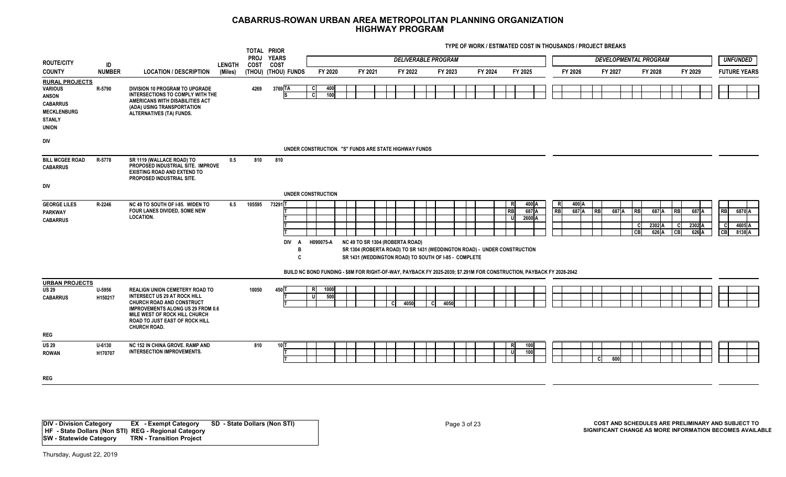**TYPE OF WORK / ESTIMATED COST IN THOUSANDS / PROJECT BREAKS**

|                                                                                                                                   |                       |                                                                                                                                                                                                                                                        |               | TOTAL PRIOR |                                                                                                                      |                |             |                                                                                                                                                                      |     |                            |  |         |         |                |                          |           |                |           |                              |                           |                          |                                |                          |                             |                            |
|-----------------------------------------------------------------------------------------------------------------------------------|-----------------------|--------------------------------------------------------------------------------------------------------------------------------------------------------------------------------------------------------------------------------------------------------|---------------|-------------|----------------------------------------------------------------------------------------------------------------------|----------------|-------------|----------------------------------------------------------------------------------------------------------------------------------------------------------------------|-----|----------------------------|--|---------|---------|----------------|--------------------------|-----------|----------------|-----------|------------------------------|---------------------------|--------------------------|--------------------------------|--------------------------|-----------------------------|----------------------------|
| <b>ROUTE/CITY</b>                                                                                                                 | ID                    |                                                                                                                                                                                                                                                        | <b>LENGTH</b> | COST        | PROJ YEARS<br><b>COST</b>                                                                                            |                |             |                                                                                                                                                                      |     | <b>DELIVERABLE PROGRAM</b> |  |         |         |                |                          |           |                |           | <b>DEVELOPMENTAL PROGRAM</b> |                           |                          |                                |                          |                             | <b>UNFUNDED</b>            |
| <b>COUNTY</b>                                                                                                                     | <b>NUMBER</b>         | <b>LOCATION / DESCRIPTION</b>                                                                                                                                                                                                                          | (Miles)       |             | (THOU) (THOU) FUNDS                                                                                                  |                | FY 2020     | FY 2021                                                                                                                                                              |     | FY 2022                    |  | FY 2023 | FY 2024 |                | FY 2025                  |           | FY 2026        |           | FY 2027                      | FY 2028                   |                          |                                | FY 2029                  |                             | <b>FUTURE YEARS</b>        |
| <b>RURAL PROJECTS</b><br><b>VARIOUS</b><br><b>ANSON</b><br><b>CABARRUS</b><br><b>MECKLENBURG</b><br><b>STANLY</b><br><b>UNION</b> | R-5790                | DIVISION 10 PROGRAM TO UPGRADE<br>INTERSECTIONS TO COMPLY WITH THE<br>AMERICANS WITH DISABILITIES ACT<br>(ADA) USING TRANSPORTATION<br>ALTERNATIVES (TA) FUNDS.                                                                                        |               | 4269        | 3769 TA                                                                                                              | <b>CI</b><br>c | 400<br>100  |                                                                                                                                                                      |     |                            |  |         |         |                |                          |           |                |           |                              |                           |                          |                                |                          |                             |                            |
| <b>DIV</b>                                                                                                                        |                       |                                                                                                                                                                                                                                                        |               |             | UNDER CONSTRUCTION. "S" FUNDS ARE STATE HIGHWAY FUNDS                                                                |                |             |                                                                                                                                                                      |     |                            |  |         |         |                |                          |           |                |           |                              |                           |                          |                                |                          |                             |                            |
| <b>BILL MCGEE ROAD</b><br><b>CABARRUS</b><br><b>DIV</b>                                                                           | R-5778                | SR 1119 (WALLACE ROAD) TO<br>PROPOSED INDUSTRIAL SITE. IMPROVE<br><b>EXISTING ROAD AND EXTEND TO</b><br>PROPOSED INDUSTRIAL SITE.                                                                                                                      | 0.5           | 810         | 810                                                                                                                  |                |             |                                                                                                                                                                      |     |                            |  |         |         |                |                          |           |                |           |                              |                           |                          |                                |                          |                             |                            |
|                                                                                                                                   |                       |                                                                                                                                                                                                                                                        |               |             | UNDER CONSTRUCTION                                                                                                   |                |             |                                                                                                                                                                      |     |                            |  |         |         |                |                          |           |                |           |                              |                           |                          |                                |                          |                             |                            |
| <b>GEORGE LILES</b><br><b>PARKWAY</b><br><b>CABARRUS</b>                                                                          | R-2246                | NC 49 TO SOUTH OF I-85. WIDEN TO<br>FOUR LANES DIVIDED, SOME NEW<br><b>LOCATION.</b>                                                                                                                                                                   | 6.5           | 105595      | 73291T<br>DIV A<br>В<br>C                                                                                            | H090075-A      |             | NC 49 TO SR 1304 (ROBERTA ROAD)<br>SR 1304 (ROBERTA ROAD) TO SR 1431 (WEDDINGTON ROAD) - UNDER CONSTRUCTION<br>SR 1431 (WEDDINGTON ROAD) TO SOUTH OF I-85 - COMPLETE |     |                            |  |         |         | R<br><b>RB</b> | 400 A<br>687 A<br>2600 A | -RI<br>RB | 400 A<br>687 A | <b>RB</b> | 687 A                        | R <sub>B</sub><br>C<br>CB | 687 A<br>2302 A<br>626 A | <b>RB</b><br>- Cl<br><b>CB</b> | 687 A<br>2302 A<br>626 A | <b>RB</b><br><b>C</b><br>CB | 6870 A<br>4605 A<br>8138 A |
|                                                                                                                                   |                       |                                                                                                                                                                                                                                                        |               |             | BUILD NC BOND FUNDING - \$8M FOR RIGHT-OF-WAY, PAYBACK FY 2025-2039; \$7.291M FOR CONSTRUCTION, PAYBACK FY 2028-2042 |                |             |                                                                                                                                                                      |     |                            |  |         |         |                |                          |           |                |           |                              |                           |                          |                                |                          |                             |                            |
| <b>URBAN PROJECTS</b><br><b>US 29</b><br><b>CABARRUS</b>                                                                          | U-5956<br>H150217     | <b>REALIGN UNION CEMETERY ROAD TO</b><br><b>INTERSECT US 29 AT ROCK HILL</b><br><b>CHURCH ROAD AND CONSTRUCT</b><br><b>IMPROVEMENTS ALONG US 29 FROM 0.6</b><br>MILE WEST OF ROCK HILL CHURCH<br>ROAD TO JUST EAST OF ROCK HILL<br><b>CHURCH ROAD.</b> |               | 10050       | 450 T                                                                                                                | RI<br>υI       | 1000<br>500 |                                                                                                                                                                      | CI. | 4050                       |  | 4050    |         |                |                          |           |                |           |                              |                           |                          |                                |                          |                             |                            |
| <b>REG</b>                                                                                                                        |                       |                                                                                                                                                                                                                                                        |               |             |                                                                                                                      |                |             |                                                                                                                                                                      |     |                            |  |         |         |                |                          |           |                |           |                              |                           |                          |                                |                          |                             |                            |
| <b>US 29</b><br><b>ROWAN</b>                                                                                                      | $U - 6130$<br>H170707 | NC 152 IN CHINA GROVE, RAMP AND<br><b>INTERSECTION IMPROVEMENTS.</b>                                                                                                                                                                                   |               | 810         | 10 T                                                                                                                 |                |             |                                                                                                                                                                      |     |                            |  |         |         | R<br><b>U</b>  | 100<br>100               |           |                | C.        | 600                          |                           |                          |                                |                          |                             |                            |
| <b>REG</b>                                                                                                                        |                       |                                                                                                                                                                                                                                                        |               |             |                                                                                                                      |                |             |                                                                                                                                                                      |     |                            |  |         |         |                |                          |           |                |           |                              |                           |                          |                                |                          |                             |                            |
|                                                                                                                                   |                       |                                                                                                                                                                                                                                                        |               |             |                                                                                                                      |                |             |                                                                                                                                                                      |     |                            |  |         |         |                |                          |           |                |           |                              |                           |                          |                                |                          |                             |                            |

**DIV - Division Category EX - Exempt Category SD - State Dollars (Non STI) HF - State Dollars (Non STI) REG - Regional Category SW - Statewide Category TRN - Transition Project**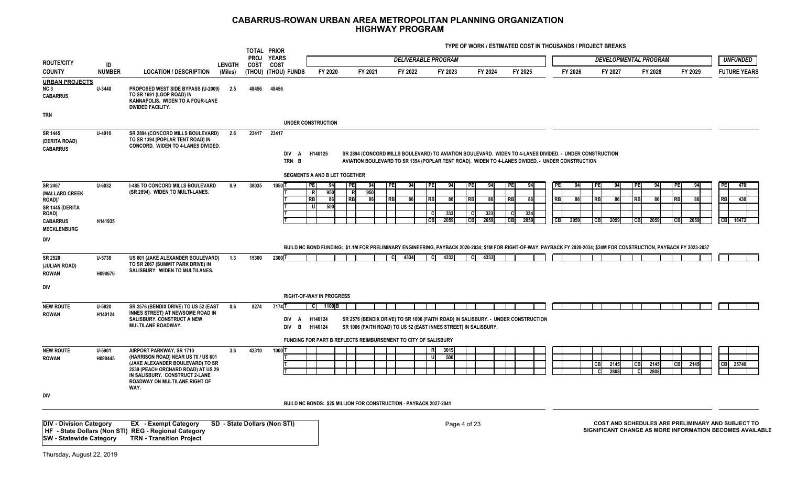|                                                                                                          |                       |                                                                                                                                                                                                                             |               | <b>PROJ</b> | TOTAL PRIOR<br><b>YEARS</b>  |                                            |                                                     |                                                                   |                                                 |                                                             |                                 |                                                                                                  |                                            |                                                                                                                                                                         |                                                   |                                          |                                                                                                               |
|----------------------------------------------------------------------------------------------------------|-----------------------|-----------------------------------------------------------------------------------------------------------------------------------------------------------------------------------------------------------------------------|---------------|-------------|------------------------------|--------------------------------------------|-----------------------------------------------------|-------------------------------------------------------------------|-------------------------------------------------|-------------------------------------------------------------|---------------------------------|--------------------------------------------------------------------------------------------------|--------------------------------------------|-------------------------------------------------------------------------------------------------------------------------------------------------------------------------|---------------------------------------------------|------------------------------------------|---------------------------------------------------------------------------------------------------------------|
| <b>ROUTE/CITY</b>                                                                                        | ID                    |                                                                                                                                                                                                                             | <b>LENGTH</b> | COST        | <b>COST</b>                  |                                            |                                                     |                                                                   | <b>DELIVERABLE PROGRAM</b>                      |                                                             |                                 |                                                                                                  |                                            |                                                                                                                                                                         | <b>DEVELOPMENTAL PROGRAM</b>                      |                                          | <b>UNFUNDED</b>                                                                                               |
| <b>COUNTY</b>                                                                                            | <b>NUMBER</b>         | <b>LOCATION / DESCRIPTION</b>                                                                                                                                                                                               | (Miles)       |             | (THOU) (THOU) FUNDS          | FY 2020                                    | FY 2021                                             | FY 2022                                                           |                                                 | FY 2023                                                     | FY 2024                         | FY 2025                                                                                          | FY 2026                                    | FY 2027                                                                                                                                                                 | FY 2028                                           | FY 2029                                  | <b>FUTURE YEARS</b>                                                                                           |
| <b>URBAN PROJECTS</b><br>NC <sub>3</sub><br><b>CABARRUS</b>                                              | U-3440                | PROPOSED WEST SIDE BYPASS (U-2009)<br>TO SR 1691 (LOOP ROAD) IN<br>KANNAPOLIS. WIDEN TO A FOUR-LANE<br><b>DIVIDED FACILITY.</b>                                                                                             | 2.5           | 48456       | 48456                        |                                            |                                                     |                                                                   |                                                 |                                                             |                                 |                                                                                                  |                                            |                                                                                                                                                                         |                                                   |                                          |                                                                                                               |
| <b>TRN</b>                                                                                               |                       |                                                                                                                                                                                                                             |               |             |                              | <b>UNDER CONSTRUCTION</b>                  |                                                     |                                                                   |                                                 |                                                             |                                 |                                                                                                  |                                            |                                                                                                                                                                         |                                                   |                                          |                                                                                                               |
| SR 1445<br>(DERITA ROAD)<br><b>CABARRUS</b>                                                              | U-4910                | SR 2894 (CONCORD MILLS BOULEVARD)<br>TO SR 1394 (POPLAR TENT ROAD) IN<br>CONCORD. WIDEN TO 4-LANES DIVIDED.                                                                                                                 | 2.6           | 23417       | 23417<br>DIV A               | H140125                                    |                                                     |                                                                   |                                                 |                                                             |                                 |                                                                                                  |                                            | SR 2894 (CONCORD MILLS BOULEVARD) TO AVIATION BOULEVARD. WIDEN TO 4-LANES DIVIDED. - UNDER CONSTRUCTION                                                                 |                                                   |                                          |                                                                                                               |
|                                                                                                          |                       |                                                                                                                                                                                                                             |               |             | TRN B                        |                                            |                                                     |                                                                   |                                                 |                                                             |                                 | AVIATION BOULEVARD TO SR 1394 (POPLAR TENT ROAD). WIDEN TO 4-LANES DIVIDED. - UNDER CONSTRUCTION |                                            |                                                                                                                                                                         |                                                   |                                          |                                                                                                               |
|                                                                                                          |                       |                                                                                                                                                                                                                             |               |             |                              | SEGMENTS A AND B LET TOGETHER              |                                                     |                                                                   |                                                 |                                                             |                                 |                                                                                                  |                                            |                                                                                                                                                                         |                                                   |                                          |                                                                                                               |
| SR 2467<br>(MALLARD CREEK<br>ROAD)/<br>SR 1445 (DERITA<br>ROAD)<br><b>CABARRUS</b><br><b>MECKLENBURG</b> | $U - 6032$<br>H141935 | <b>I-485 TO CONCORD MILLS BOULEVARD</b><br>(SR 2894). WIDEN TO MULTI-LANES.                                                                                                                                                 | 0.9           | 38035       | 10501                        | PE<br>94<br>950<br>86<br>RF<br>500<br>- 11 | 94<br><b>PE</b><br>950<br>R<br>R <sub>B</sub><br>86 | PE<br>94<br>R <sub>B</sub><br>86                                  | <b>PE</b><br>R <sub>B</sub><br>- C<br><b>CB</b> | l PEI<br>94<br>-86<br><b>RR</b><br>333<br>2059<br><b>CB</b> | 94<br>-86<br>333<br>- C<br>2059 | I PEI<br>94<br><b>RB</b><br>334<br>C.<br>2059<br>l CBI                                           | 94<br>РE<br><b>RB</b><br>86<br>CB.<br>2059 | <b>PEI</b><br>94<br>R <sub>B</sub><br>86<br><b>CB</b><br>2059                                                                                                           | PE<br>94<br><b>RB</b><br>-86<br><b>CB</b><br>2059 | I PEI<br>94<br>l RB<br><b>CB</b><br>2059 | PF<br>470<br>430<br><b>RB</b><br>CB 16472                                                                     |
| DIV                                                                                                      |                       |                                                                                                                                                                                                                             |               |             |                              |                                            |                                                     |                                                                   |                                                 |                                                             |                                 |                                                                                                  |                                            |                                                                                                                                                                         |                                                   |                                          |                                                                                                               |
|                                                                                                          |                       |                                                                                                                                                                                                                             |               |             |                              |                                            |                                                     |                                                                   |                                                 |                                                             |                                 |                                                                                                  |                                            | BUILD NC BOND FUNDING: \$1.1M FOR PRELIMINARY ENGINEERING, PAYBACK 2020-2034; \$1M FOR RIGHT-OF-WAY, PAYBACK FY 2020-2034; \$24M FOR CONSTRUCTION, PAYBACK FY 2023-2037 |                                                   |                                          |                                                                                                               |
| SR 2528<br>(JULIAN ROAD)<br><b>ROWAN</b>                                                                 | U-5738<br>H090676     | US 601 (JAKE ALEXANDER BOULEVARD)<br>TO SR 2667 (SUMMIT PARK DRIVE) IN<br>SALISBURY. WIDEN TO MULTILANES.                                                                                                                   | 1.3           | 15300       | 2300 1                       |                                            |                                                     | 4334                                                              | CI.                                             | 4333                                                        | 4333                            |                                                                                                  |                                            |                                                                                                                                                                         |                                                   |                                          |                                                                                                               |
| DIV                                                                                                      |                       |                                                                                                                                                                                                                             |               |             |                              |                                            |                                                     |                                                                   |                                                 |                                                             |                                 |                                                                                                  |                                            |                                                                                                                                                                         |                                                   |                                          |                                                                                                               |
|                                                                                                          |                       |                                                                                                                                                                                                                             |               |             |                              | <b>RIGHT-OF-WAY IN PROGRESS</b>            |                                                     |                                                                   |                                                 |                                                             |                                 |                                                                                                  |                                            |                                                                                                                                                                         |                                                   |                                          |                                                                                                               |
| <b>NEW ROUTE</b><br><b>ROWAN</b>                                                                         | $U-5820$<br>H140124   | SR 2576 (BENDIX DRIVE) TO US 52 (EAST<br>INNES STREET) AT NEWSOME ROAD IN<br>SALISBURY. CONSTRUCT A NEW<br>MULTILANE ROADWAY.                                                                                               | 0.6           | 8274        | 7174 T<br>DIV A<br>DIV B     | C 1100 B<br>H140124<br>H140124             |                                                     | SR 1006 (FAITH ROAD) TO US 52 (EAST INNES STREET) IN SALISBURY.   |                                                 |                                                             |                                 | SR 2576 (BENDIX DRIVE) TO SR 1006 (FAITH ROAD) IN SALISBURY. - UNDER CONSTRUCTION                |                                            |                                                                                                                                                                         |                                                   |                                          |                                                                                                               |
|                                                                                                          |                       |                                                                                                                                                                                                                             |               |             |                              |                                            |                                                     | FUNDING FOR PART B REFLECTS REIMBURSEMENT TO CITY OF SALISBURY    |                                                 |                                                             |                                 |                                                                                                  |                                            |                                                                                                                                                                         |                                                   |                                          |                                                                                                               |
| <b>NEW ROUTE</b><br><b>ROWAN</b>                                                                         | U-5901<br>H090445     | AIRPORT PARKWAY, SR 1710<br>(HARRISON ROAD) NEAR US 70 / US 601<br>(JAKE ALEXANDER BOULEVARD) TO SR<br>2539 (PEACH ORCHARD ROAD) AT US 29<br>IN SALISBURY. CONSTRUCT 2-LANE<br><b>ROADWAY ON MULTILANE RIGHT OF</b><br>WAY. | 3.6           | 42310       | 1000 1                       |                                            |                                                     |                                                                   | <b>R</b>                                        | 3019<br>500                                                 |                                 |                                                                                                  |                                            | 2145<br><b>CB</b><br>2808                                                                                                                                               | 2145<br><b>CB</b><br>2808                         | 2145<br>l CBI                            | CB 25740                                                                                                      |
| DIV                                                                                                      |                       |                                                                                                                                                                                                                             |               |             |                              |                                            |                                                     |                                                                   |                                                 |                                                             |                                 |                                                                                                  |                                            |                                                                                                                                                                         |                                                   |                                          |                                                                                                               |
|                                                                                                          |                       |                                                                                                                                                                                                                             |               |             |                              |                                            |                                                     | BUILD NC BONDS: \$25 MILLION FOR CONSTRUCTION - PAYBACK 2027-2041 |                                                 |                                                             |                                 |                                                                                                  |                                            |                                                                                                                                                                         |                                                   |                                          |                                                                                                               |
| <b>DIV - Division Category</b><br><b>SW - Statewide Category</b>                                         |                       | <b>EX</b> - Exempt Category<br>HF - State Dollars (Non STI) REG - Regional Category<br><b>TRN - Transition Project</b>                                                                                                      |               |             | SD - State Dollars (Non STI) |                                            |                                                     |                                                                   |                                                 | Page 4 of 23                                                |                                 |                                                                                                  |                                            |                                                                                                                                                                         |                                                   |                                          | COST AND SCHEDULES ARE PRELIMINARY AND SUBJECT TO<br>SIGNIFICANT CHANGE AS MORE INFORMATION BECOMES AVAILABLE |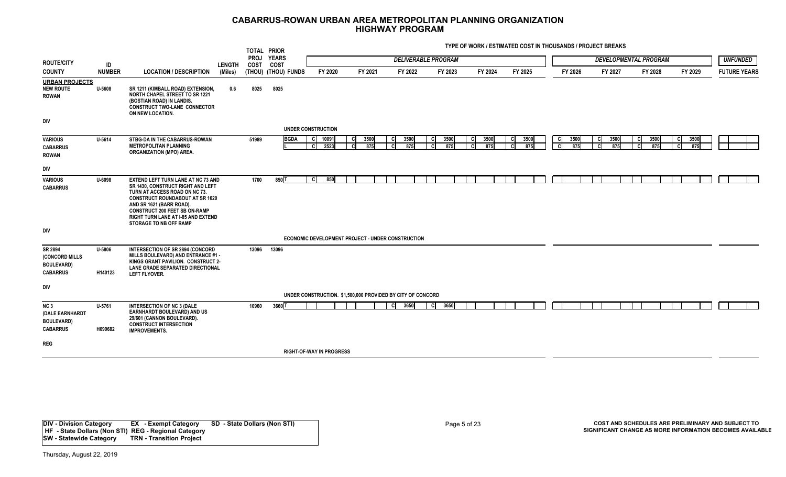|                                                                                   |                   |                                                                                                                                                                                                                                                                                                      |               | TOTAL PRIOR         |                      |                                 |                   |             |                                                             |                                   |                              |             |         |             |          |             |               |             |                              |         |             |                     |  |
|-----------------------------------------------------------------------------------|-------------------|------------------------------------------------------------------------------------------------------------------------------------------------------------------------------------------------------------------------------------------------------------------------------------------------------|---------------|---------------------|----------------------|---------------------------------|-------------------|-------------|-------------------------------------------------------------|-----------------------------------|------------------------------|-------------|---------|-------------|----------|-------------|---------------|-------------|------------------------------|---------|-------------|---------------------|--|
| <b>ROUTE/CITY</b>                                                                 | ID                |                                                                                                                                                                                                                                                                                                      | <b>LENGTH</b> | <b>PROJ</b><br>COST | <b>YEARS</b><br>COST |                                 |                   |             |                                                             | <b>DELIVERABLE PROGRAM</b>        |                              |             |         |             |          |             |               |             | <b>DEVELOPMENTAL PROGRAM</b> |         |             | <b>UNFUNDED</b>     |  |
| <b>COUNTY</b>                                                                     | <b>NUMBER</b>     | <b>LOCATION / DESCRIPTION</b>                                                                                                                                                                                                                                                                        | (Miles)       |                     | (THOU) (THOU) FUNDS  | FY 2020                         |                   | FY 2021     | FY 2022                                                     | FY 2023                           |                              | FY 2024     |         | FY 2025     |          | FY 2026     |               | FY 2027     | FY 2028                      | FY 2029 |             | <b>FUTURE YEARS</b> |  |
| <b>URBAN PROJECTS</b><br><b>NEW ROUTE</b><br><b>ROWAN</b>                         | U-5608            | SR 1211 (KIMBALL ROAD) EXTENSION,<br><b>NORTH CHAPEL STREET TO SR 1221</b><br>(BOSTIAN ROAD) IN LANDIS.<br><b>CONSTRUCT TWO-LANE CONNECTOR</b><br>ON NEW LOCATION.                                                                                                                                   | 0.6           | 8025                | 8025                 |                                 |                   |             |                                                             |                                   |                              |             |         |             |          |             |               |             |                              |         |             |                     |  |
| DIV                                                                               |                   |                                                                                                                                                                                                                                                                                                      |               |                     |                      | <b>UNDER CONSTRUCTION</b>       |                   |             |                                                             |                                   |                              |             |         |             |          |             |               |             |                              |         |             |                     |  |
|                                                                                   |                   |                                                                                                                                                                                                                                                                                                      |               |                     |                      |                                 |                   |             |                                                             |                                   |                              |             |         |             |          |             |               |             |                              |         |             |                     |  |
| <b>VARIOUS</b><br><b>CABARRUS</b><br><b>ROWAN</b>                                 | U-5614            | STBG-DA IN THE CABARRUS-ROWAN<br><b>METROPOLITAN PLANNING</b><br><b>ORGANIZATION (MPO) AREA.</b>                                                                                                                                                                                                     |               | 51989               | <b>BGDA</b>          | C 10091<br><b>CI</b><br>2523    | <b>CI</b><br>- CI | 3500<br>875 | 3500<br><b>CI</b><br><b>C</b><br>875                        | 3500<br>СI<br>875<br>$\mathbf{C}$ | <sub>c</sub><br><sub>c</sub> | 3500<br>875 | C<br>C. | 3500<br>875 | C.<br>ິດ | 3500<br>875 | C<br><b>C</b> | 3500<br>875 | 3500<br>875<br>C.            | C       | 3500<br>875 |                     |  |
| DIV                                                                               |                   |                                                                                                                                                                                                                                                                                                      |               |                     |                      |                                 |                   |             |                                                             |                                   |                              |             |         |             |          |             |               |             |                              |         |             |                     |  |
| <b>VARIOUS</b><br><b>CABARRUS</b>                                                 | U-6098            | <b>EXTEND LEFT TURN LANE AT NC 73 AND</b><br>SR 1430, CONSTRUCT RIGHT AND LEFT<br>TURN AT ACCESS ROAD ON NC 73.<br><b>CONSTRUCT ROUNDABOUT AT SR 1620</b><br>AND SR 1621 (BARR ROAD).<br><b>CONSTRUCT 200 FEET SB ON-RAMP</b><br>RIGHT TURN LANE AT I-85 AND EXTEND<br><b>STORAGE TO NB OFF RAMP</b> |               | 1700                | $850$ T              | 850<br><b>C</b>                 |                   |             |                                                             |                                   |                              |             |         |             |          |             |               |             |                              |         |             |                     |  |
| DIV                                                                               |                   |                                                                                                                                                                                                                                                                                                      |               |                     |                      |                                 |                   |             |                                                             |                                   |                              |             |         |             |          |             |               |             |                              |         |             |                     |  |
|                                                                                   |                   |                                                                                                                                                                                                                                                                                                      |               |                     |                      |                                 |                   |             | ECONOMIC DEVELOPMENT PROJECT - UNDER CONSTRUCTION           |                                   |                              |             |         |             |          |             |               |             |                              |         |             |                     |  |
| SR 2894<br>(CONCORD MILLS<br><b>BOULEVARD)</b><br><b>CABARRUS</b>                 | U-5806<br>H140123 | INTERSECTION OF SR 2894 (CONCORD<br>MILLS BOULEVARD) AND ENTRANCE #1 -<br>KINGS GRANT PAVILION. CONSTRUCT 2-<br><b>LANE GRADE SEPARATED DIRECTIONAL</b><br><b>LEFT FLYOVER.</b>                                                                                                                      |               | 13096               | 13096                |                                 |                   |             |                                                             |                                   |                              |             |         |             |          |             |               |             |                              |         |             |                     |  |
| DIV                                                                               |                   |                                                                                                                                                                                                                                                                                                      |               |                     |                      |                                 |                   |             |                                                             |                                   |                              |             |         |             |          |             |               |             |                              |         |             |                     |  |
|                                                                                   |                   |                                                                                                                                                                                                                                                                                                      |               |                     |                      |                                 |                   |             | UNDER CONSTRUCTION. \$1,500,000 PROVIDED BY CITY OF CONCORD |                                   |                              |             |         |             |          |             |               |             |                              |         |             |                     |  |
| NC <sub>3</sub><br><b>(DALE EARNHARDT</b><br><b>BOULEVARD)</b><br><b>CABARRUS</b> | U-5761<br>H090682 | <b>INTERSECTION OF NC 3 (DALE</b><br>EARNHARDT BOULEVARD) AND US<br>29/601 (CANNON BOULEVARD).<br><b>CONSTRUCT INTERSECTION</b><br><b>IMPROVEMENTS.</b>                                                                                                                                              |               | 10960               | 3660 T               |                                 |                   |             | $C$ 3650                                                    | 3650<br>-cl                       |                              |             |         |             |          |             |               |             |                              |         |             |                     |  |
| <b>REG</b>                                                                        |                   |                                                                                                                                                                                                                                                                                                      |               |                     |                      |                                 |                   |             |                                                             |                                   |                              |             |         |             |          |             |               |             |                              |         |             |                     |  |
|                                                                                   |                   |                                                                                                                                                                                                                                                                                                      |               |                     |                      | <b>RIGHT-OF-WAY IN PROGRESS</b> |                   |             |                                                             |                                   |                              |             |         |             |          |             |               |             |                              |         |             |                     |  |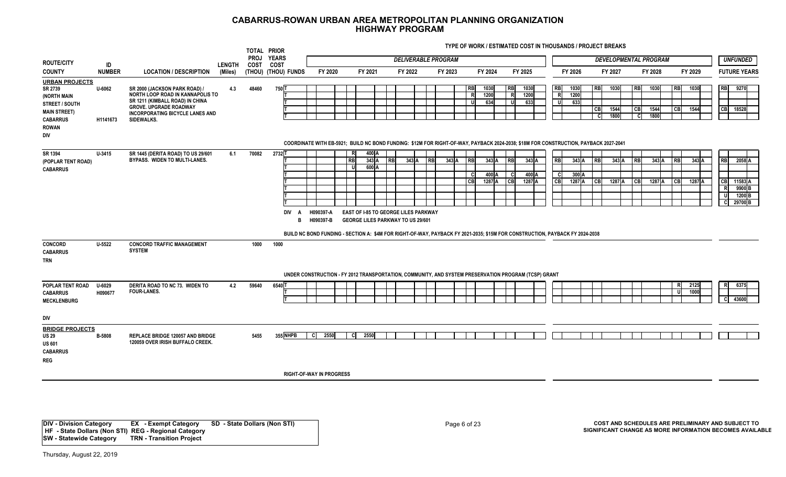**TYPE OF WORK / ESTIMATED COST IN THOUSANDS / PROJECT BREAKS**

|                                                                                                                                           |                    |                                                                                                                                                                                                      |               | TOTAL PRIOR         |                             |                                                                                                                                            |                        |         |           |                                                                                  |                           |           |                            |           |         |                                 |                         |                                |                     |                 |                             |              |                         |                              |                      |                              |                      |                 |                  |                |                             |                                                              |
|-------------------------------------------------------------------------------------------------------------------------------------------|--------------------|------------------------------------------------------------------------------------------------------------------------------------------------------------------------------------------------------|---------------|---------------------|-----------------------------|--------------------------------------------------------------------------------------------------------------------------------------------|------------------------|---------|-----------|----------------------------------------------------------------------------------|---------------------------|-----------|----------------------------|-----------|---------|---------------------------------|-------------------------|--------------------------------|---------------------|-----------------|-----------------------------|--------------|-------------------------|------------------------------|----------------------|------------------------------|----------------------|-----------------|------------------|----------------|-----------------------------|--------------------------------------------------------------|
| <b>ROUTE/CITY</b>                                                                                                                         | ID                 |                                                                                                                                                                                                      | <b>LENGTH</b> | <b>PROJ</b><br>COST | <b>YEARS</b><br><b>COST</b> |                                                                                                                                            |                        |         |           |                                                                                  |                           |           | <b>DELIVERABLE PROGRAM</b> |           |         |                                 |                         |                                |                     |                 |                             |              |                         |                              |                      | <b>DEVELOPMENTAL PROGRAM</b> |                      |                 |                  |                |                             | <b>UNFUNDED</b>                                              |
| <b>COUNTY</b>                                                                                                                             | <b>NUMBER</b>      | <b>LOCATION / DESCRIPTION</b>                                                                                                                                                                        | (Miles)       | (THOU) (THOU) FUNDS |                             |                                                                                                                                            |                        | FY 2020 |           | FY 2021                                                                          |                           |           | FY 2022                    |           | FY 2023 |                                 | FY 2024                 |                                | FY 2025             |                 |                             | FY 2026      |                         |                              | FY 2027              |                              | FY 2028              |                 |                  | FY 2029        |                             | <b>FUTURE YEARS</b>                                          |
| <b>URBAN PROJECTS</b><br>SR 2739<br>(NORTH MAIN<br><b>STREET / SOUTH</b><br><b>MAIN STREET)</b><br><b>CABARRUS</b><br><b>ROWAN</b><br>DIV | U-6062<br>H1141673 | SR 2000 (JACKSON PARK ROAD) /<br>NORTH LOOP ROAD IN KANNAPOLIS TO<br>SR 1211 (KIMBALL ROAD) IN CHINA<br><b>GROVE. UPGRADE ROADWAY</b><br><b>INCORPORATING BICYCLE LANES AND</b><br><b>SIDEWALKS.</b> | 4.3           | 48460               | 750 T                       | COORDINATE WITH EB-5921; BUILD NC BOND FUNDING: \$12M FOR RIGHT-OF-WAY, PAYBACK 2024-2038; \$18M FOR CONSTRUCTION, PAYBACK 2027-2041       |                        |         |           |                                                                                  |                           |           |                            |           |         | <b>RB</b><br>R<br>IJ            | 1030<br>1200<br>634     | RB<br>$\mathsf{R}$<br><b>U</b> | 1030<br>1200<br>633 |                 | <b>RB</b><br>R<br>U.        | 1030<br>1200 | 633                     | RB<br>$\overline{CB}$<br>- C | 1030<br>1544<br>1800 | <b>RB</b><br>CB<br><b>C</b>  | 1030<br>1544<br>1800 |                 | RB<br>l CBI      | 1030<br>1544   | <b>RB</b><br>CB 18528       | 9270                                                         |
| SR 1394<br>(POPLAR TENT ROAD)<br><b>CABARRUS</b>                                                                                          | U-3415             | SR 1445 (DERITA ROAD) TO US 29/601<br>BYPASS. WIDEN TO MULTI-LANES.                                                                                                                                  | 6.1           | 70082               | 2732 T                      | DIV A<br>B<br>BUILD NC BOND FUNDING - SECTION A: \$4M FOR RIGHT-OF-WAY, PAYBACK FY 2021-2035; \$15M FOR CONSTRUCTION, PAYBACK FY 2024-2038 | H090397-A<br>H090397-B |         | <b>RB</b> | EAST OF I-85 TO GEORGE LILES PARKWAY<br><b>GEORGE LILES PARKWAY TO US 29/601</b> | 400 A<br>$343$ A<br>600 A | <b>RB</b> | 343A                       | <b>RB</b> | 343A    | R <sub>B</sub><br>- Cl<br>l CBI | 343 A<br>400A<br>1287 A | RB<br>C<br> CB                 | 1287 A              | $343$ A<br>400A | <b>RB</b><br><b>C</b><br>CB |              | 343 A<br>300A<br>1287 A | RB<br>$\overline{C}$         | 343A<br>1287 A       | <b>RB</b><br><b>CB</b>       |                      | 343 A<br>1287 A | <b>RB</b><br> CB | 343A<br>1287 A | <b>RB</b><br>CB<br>R.<br>-U | 2058 A<br>11583 A<br>9900B<br>1200 <sub>B</sub><br>C 29700 B |
| <b>CONCORD</b><br><b>CABARRUS</b><br><b>TRN</b>                                                                                           | $U - 5522$         | <b>CONCORD TRAFFIC MANAGEMENT</b><br><b>SYSTEM</b>                                                                                                                                                   |               | 1000                | 1000                        | UNDER CONSTRUCTION - FY 2012 TRANSPORTATION, COMMUNITY, AND SYSTEM PRESERVATION PROGRAM (TCSP) GRANT                                       |                        |         |           |                                                                                  |                           |           |                            |           |         |                                 |                         |                                |                     |                 |                             |              |                         |                              |                      |                              |                      |                 |                  |                |                             |                                                              |
| POPLAR TENT ROAD                                                                                                                          | U-6029             | DERITA ROAD TO NC 73. WIDEN TO                                                                                                                                                                       | 4.2           | 59640               | 6540                        |                                                                                                                                            |                        |         |           |                                                                                  |                           |           |                            |           |         |                                 |                         |                                |                     |                 |                             |              |                         |                              |                      |                              |                      |                 | <b>R</b>         | 2125           | R.                          | 6375                                                         |
| <b>CABARRUS</b><br><b>MECKLENBURG</b>                                                                                                     | H090677            | <b>FOUR-LANES.</b>                                                                                                                                                                                   |               |                     |                             |                                                                                                                                            |                        |         |           |                                                                                  |                           |           |                            |           |         |                                 |                         |                                |                     |                 |                             |              |                         |                              |                      |                              |                      |                 | ш                | 1000           | C 43600                     |                                                              |
| DIV                                                                                                                                       |                    |                                                                                                                                                                                                      |               |                     |                             |                                                                                                                                            |                        |         |           |                                                                                  |                           |           |                            |           |         |                                 |                         |                                |                     |                 |                             |              |                         |                              |                      |                              |                      |                 |                  |                |                             |                                                              |
| <b>BRIDGE PROJECTS</b><br><b>US 29</b><br><b>US 601</b><br><b>CABARRUS</b><br><b>REG</b>                                                  | B-5808             | <b>REPLACE BRIDGE 120057 AND BRIDGE</b><br>120059 OVER IRISH BUFFALO CREEK.                                                                                                                          |               | 5455                | 355 NHPB                    |                                                                                                                                            | сI                     | 2550    | -CI       | 2550                                                                             |                           |           |                            |           |         |                                 |                         |                                |                     |                 |                             |              |                         |                              |                      |                              |                      |                 |                  |                |                             |                                                              |
|                                                                                                                                           |                    |                                                                                                                                                                                                      |               |                     |                             | <b>RIGHT-OF-WAY IN PROGRESS</b>                                                                                                            |                        |         |           |                                                                                  |                           |           |                            |           |         |                                 |                         |                                |                     |                 |                             |              |                         |                              |                      |                              |                      |                 |                  |                |                             |                                                              |

**DIV - Division Category EX - Exempt Category SD - State Dollars (Non STI) HF - State Dollars (Non STI) REG - Regional Category SW - Statewide Category TRN - Transition Project**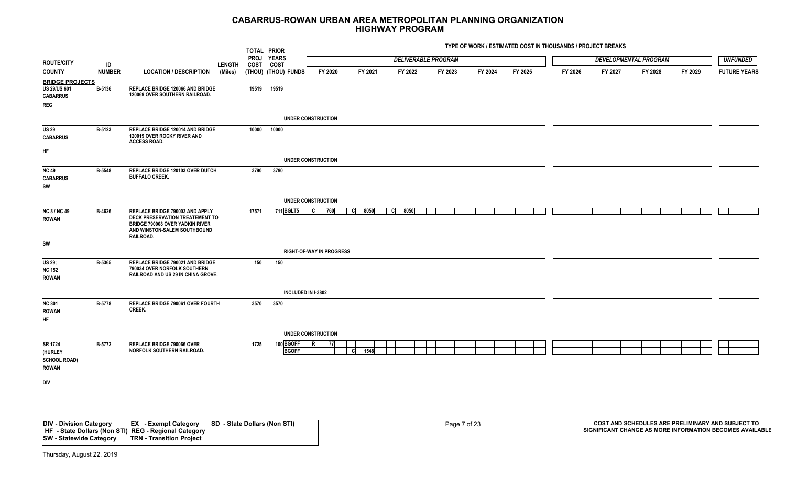**ROUTE/CITYCOUNTYID NUMBER** $LOGATION / DESCRIPTION (Miles)$ TOTAL PRIOR **YEARS PROJ COST FUNDS (Miles) FY 2024 FY 2025 FY 2026 FY 2027 FY 2028 FY 2029 H** COST **LENGTHTYPE OF WORK / ESTIMATED COST IN THOUSANDS / PROJECT BREAKS***UNFUNDED* **FY 2020 FY 2022 FY 2021 FY 2023 FUTURE YEARS***DELIVERABLE PROGRAM DEVELOPMENTAL PROGRAM* **BRIDGE PROJECTSUNDER CONSTRUCTION B-5136 19519 19519 REPLACE BRIDGE 120066 AND BRIDGE 120069 OVER SOUTHERN RAILROAD. REG CABARRUSUS 29/US 601 UNDER CONSTRUCTION B-5123 10000 10000 REPLACE BRIDGE 120014 AND BRIDGE 120019 OVER ROCKY RIVER AND ACCESS ROAD.HF CABARRUSUS 29UNDER CONSTRUCTIONB-5548 3790 3790 REPLACE BRIDGE 120103 OVER DUTCH BUFFALO CREEK.SWCABARRUSNC 49RIGHT-OF-WAY IN PROGRESSB-4626 17571 711 REPLACE BRIDGE 790003 AND APPLY DECK PRESERVATION TREATEMENT TO BRIDGE 790008 OVER YADKIN RIVER AND WINSTON-SALEM SOUTHBOUND RAILROAD. SWBGLT5 C 760 C 8050 C 8050 ROWAN NC 8 / NC 49INCLUDED IN I-3802B-5365 150 150 REPLACE BRIDGE 790021 AND BRIDGE 790034 OVER NORFOLK SOUTHERN RAILROAD AND US 29 IN CHINA GROVE. ROWANUS 29; NC 152UNDER CONSTRUCTIONB-5778 3570 3570 REPLACE BRIDGE 790061 OVER FOURTH CREEK.HFROWAN NC 801B-5772 1725 100 REPLACE BRIDGE 790066 OVER NORFOLK SOUTHERN RAILROAD. DIV BGOFF R 77 BGOFF**FIIIIC **1548 ROWAN SR 1724 (HURLEY SCHOOL ROAD)**

**DIV - Division Category EX - Exempt Category SD - State Dollars (Non STI) HF - State Dollars (Non STI) REG - Regional Category SW - Statewide Category TRN - Transition Project**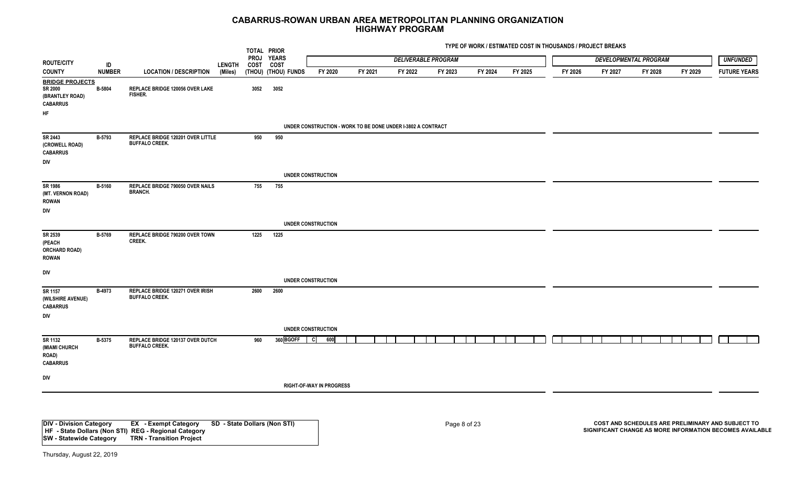**ROUTE/CITYCOUNTYID NUMBER** $LOGATION / DESCRIPTION (Miles)$ TOTAL PRIOR **YEARS PROJ COST COST FUNDS (Miles) FY 2024 FY 2025 FY 2026 FY 2027 FY 2028 FY 2029 LENGTHTYPE OF WORK / ESTIMATED COST IN THOUSANDS / PROJECT BREAKS***UNFUNDED* **FY 2020 FY 2022 FY 2021 FY 2023 FUTURE YEARS***DELIVERABLE PROGRAM DEVELOPMENTAL PROGRAM* **BRIDGE PROJECTSUNDER CONSTRUCTION - WORK TO BE DONE UNDER I-3802 A CONTRACT B-5804 3052 3052 REPLACE BRIDGE 120056 OVER LAKE FISHER. HFCABARRUS SR 2000 (BRANTLEY ROAD) UNDER CONSTRUCTION B-5793 950 950 REPLACE BRIDGE 120201 OVER LITTLE BUFFALO CREEK.DIV CABARRUSSR 2443(CROWELL ROAD) UNDER CONSTRUCTIONB-5160 755 755 REPLACE BRIDGE 790050 OVER NAILS BRANCH. DIVROWANSR 1986 (MT. VERNON ROAD) UNDER CONSTRUCTION B-5769 1225 1225 REPLACE BRIDGE 790200 OVER TOWN CREEK. DIVROWAN SR 2539(PEACH ORCHARD ROAD) UNDER CONSTRUCTIONB-4973 2600 2600 REPLACE BRIDGE 120271 OVER IRISH BUFFALO CREEK.DIVCABARRUSSR 1157(WILSHIRE AVENUE) RIGHT-OF-WAY IN PROGRESS B-5375 960 360 REPLACE BRIDGE 120137 OVER DUTCH BUFFALO CREEK. DIVBGOFF C 600 CABARRUS SR 1132 (MIAMI CHURCH ROAD)**

**DIV - Division Category EX - Exempt Category SD - State Dollars (Non STI) HF - State Dollars (Non STI) REG - Regional Category SW - Statewide Category**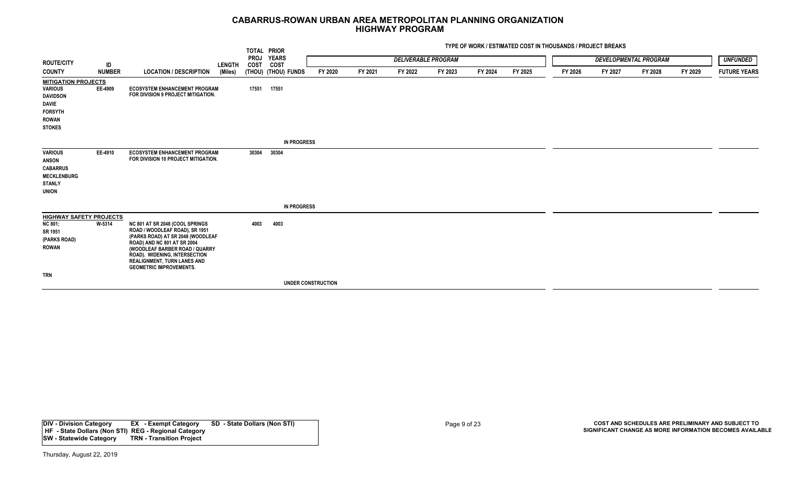|                                                                                                                                    |               |                                                                                                                                                                                                                                                                                  |               |                     | TOTAL PRIOR          |                    |         |                            |         |         | TYPE OF WORK / ESTIMATED COST IN THOUSANDS / PROJECT BREAKS |         |         |                              |         |                     |
|------------------------------------------------------------------------------------------------------------------------------------|---------------|----------------------------------------------------------------------------------------------------------------------------------------------------------------------------------------------------------------------------------------------------------------------------------|---------------|---------------------|----------------------|--------------------|---------|----------------------------|---------|---------|-------------------------------------------------------------|---------|---------|------------------------------|---------|---------------------|
| <b>ROUTE/CITY</b>                                                                                                                  | ID            |                                                                                                                                                                                                                                                                                  | <b>LENGTH</b> | <b>PROJ</b><br>COST | <b>YEARS</b><br>COST |                    |         | <b>DELIVERABLE PROGRAM</b> |         |         |                                                             |         |         | <b>DEVELOPMENTAL PROGRAM</b> |         | <b>UNFUNDED</b>     |
| <b>COUNTY</b>                                                                                                                      | <b>NUMBER</b> | <b>LOCATION / DESCRIPTION</b>                                                                                                                                                                                                                                                    | (Miles)       |                     | (THOU) (THOU) FUNDS  | FY 2020            | FY 2021 | FY 2022                    | FY 2023 | FY 2024 | FY 2025                                                     | FY 2026 | FY 2027 | FY 2028                      | FY 2029 | <b>FUTURE YEARS</b> |
| <b>MITIGATION PROJECTS</b><br><b>VARIOUS</b><br><b>DAVIDSON</b><br><b>DAVIE</b><br><b>FORSYTH</b><br><b>ROWAN</b><br><b>STOKES</b> | EE-4909       | <b>ECOSYSTEM ENHANCEMENT PROGRAM</b><br>FOR DIVISION 9 PROJECT MITIGATION.                                                                                                                                                                                                       |               | 17551               | 17551                |                    |         |                            |         |         |                                                             |         |         |                              |         |                     |
|                                                                                                                                    |               |                                                                                                                                                                                                                                                                                  |               |                     | <b>IN PROGRESS</b>   |                    |         |                            |         |         |                                                             |         |         |                              |         |                     |
| <b>VARIOUS</b><br><b>ANSON</b><br><b>CABARRUS</b><br><b>MECKLENBURG</b><br><b>STANLY</b><br><b>UNION</b>                           | EE-4910       | <b>ECOSYSTEM ENHANCEMENT PROGRAM</b><br>FOR DIVISION 10 PROJECT MITIGATION.                                                                                                                                                                                                      |               | 30304               | 30304                |                    |         |                            |         |         |                                                             |         |         |                              |         |                     |
|                                                                                                                                    |               |                                                                                                                                                                                                                                                                                  |               |                     | <b>IN PROGRESS</b>   |                    |         |                            |         |         |                                                             |         |         |                              |         |                     |
| <b>HIGHWAY SAFETY PROJECTS</b><br><b>NC 801;</b><br>SR 1951<br>(PARKS ROAD)<br><b>ROWAN</b>                                        | W-5314        | NC 801 AT SR 2048 (COOL SPRINGS<br>ROAD / WOODLEAF ROAD), SR 1951<br>(PARKS ROAD) AT SR 2048 (WOODLEAF<br>ROAD) AND NC 801 AT SR 2004<br>(WOODLEAF BARBER ROAD / QUARRY<br>ROAD). WIDENING, INTERSECTION<br><b>REALIGNMENT, TURN LANES AND</b><br><b>GEOMETRIC IMPROVEMENTS.</b> |               | 4003                | 4003                 |                    |         |                            |         |         |                                                             |         |         |                              |         |                     |
| <b>TRN</b>                                                                                                                         |               |                                                                                                                                                                                                                                                                                  |               |                     |                      |                    |         |                            |         |         |                                                             |         |         |                              |         |                     |
|                                                                                                                                    |               |                                                                                                                                                                                                                                                                                  |               |                     |                      | UNDER CONSTRUCTION |         |                            |         |         |                                                             |         |         |                              |         |                     |

**DIV - Division Category EX - Exempt Category SD - State Dollars (Non STI) HF - State Dollars (Non STI) REG - Regional Category SW - Statewide Category**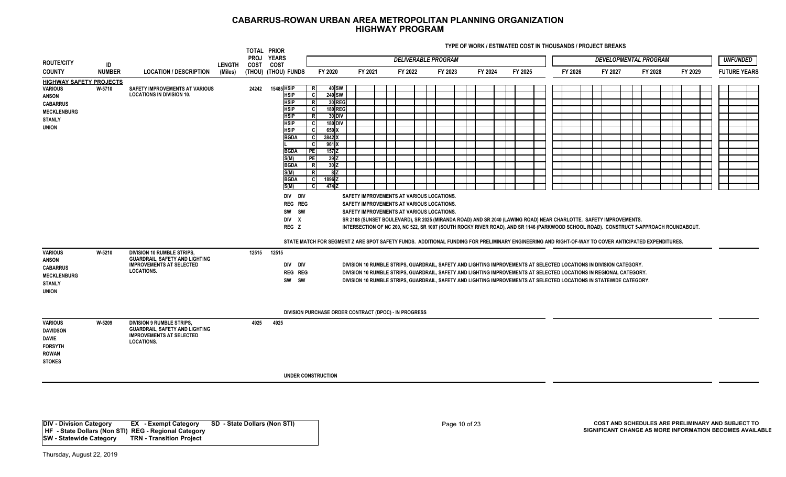**TYPE OF WORK / ESTIMATED COST IN THOUSANDS / PROJECT BREAKS**

|                                                                                                                                               |                  |                                                                                                                                                                                                                                             |               |           | TOTAL PRIOR                                                                                                                                                                                                                                                 |                                                                                                                                                                                                                                                                                       |         |                                                                                                                                     |                            |         |                                                                                                                                                                                                                                                                                                                                                                                                                                                                                                                        |         |         |                              |         |                     |
|-----------------------------------------------------------------------------------------------------------------------------------------------|------------------|---------------------------------------------------------------------------------------------------------------------------------------------------------------------------------------------------------------------------------------------|---------------|-----------|-------------------------------------------------------------------------------------------------------------------------------------------------------------------------------------------------------------------------------------------------------------|---------------------------------------------------------------------------------------------------------------------------------------------------------------------------------------------------------------------------------------------------------------------------------------|---------|-------------------------------------------------------------------------------------------------------------------------------------|----------------------------|---------|------------------------------------------------------------------------------------------------------------------------------------------------------------------------------------------------------------------------------------------------------------------------------------------------------------------------------------------------------------------------------------------------------------------------------------------------------------------------------------------------------------------------|---------|---------|------------------------------|---------|---------------------|
| <b>ROUTE/CITY</b>                                                                                                                             | ID               |                                                                                                                                                                                                                                             | <b>LENGTH</b> | COST COST | PROJ YEARS                                                                                                                                                                                                                                                  |                                                                                                                                                                                                                                                                                       |         |                                                                                                                                     | <b>DELIVERABLE PROGRAM</b> |         |                                                                                                                                                                                                                                                                                                                                                                                                                                                                                                                        |         |         | <b>DEVELOPMENTAL PROGRAM</b> |         | <b>UNFUNDED</b>     |
| <b>COUNTY</b>                                                                                                                                 | <b>NUMBER</b>    | <b>LOCATION / DESCRIPTION</b>                                                                                                                                                                                                               | (Miles)       |           | (THOU) (THOU) FUNDS                                                                                                                                                                                                                                         | FY 2020                                                                                                                                                                                                                                                                               | FY 2021 | FY 2022                                                                                                                             | FY 2023                    | FY 2024 | FY 2025                                                                                                                                                                                                                                                                                                                                                                                                                                                                                                                | FY 2026 | FY 2027 | FY 2028                      | FY 2029 | <b>FUTURE YEARS</b> |
| <b>HIGHWAY SAFETY PROJECTS</b><br><b>VARIOUS</b><br><b>ANSON</b><br><b>CABARRUS</b><br><b>MECKLENBURG</b><br><b>STANLY</b><br><b>UNION</b>    | W-5710           | <b>SAFETY IMPROVEMENTS AT VARIOUS</b><br><b>LOCATIONS IN DIVISION 10.</b>                                                                                                                                                                   |               | 24242     | 15485 HSIP<br><b>HSIP</b><br><b>HSIP</b><br><b>HSIP</b><br><b>HSIP</b><br><b>HSIP</b><br><b>HSIP</b><br><b>BGDA</b><br><b>BGDA</b><br>S(M)<br><b>BGDA</b><br>S(M)<br><b>BGDA</b><br>S(M)<br>DIV DIV<br><b>REG REG</b><br>SW SW<br>DIV X<br>REG <sub>Z</sub> | 40 SW<br>R<br><b>240 SW</b><br>-cl<br>30 REG<br>z<br>180 REG<br><sub>c</sub><br>$30$ DIV<br><b>R</b><br>180 DIV<br><b>C</b><br>650 X<br>C.<br>3842 X<br>C<br>961 X<br>C.<br>PE<br>$157$ Z<br>PE<br>39Z<br>30Z<br>R<br>8Z<br>-R.<br>1896 <sub>Z</sub><br><b>C</b><br>474 Z<br><b>C</b> |         | SAFETY IMPROVEMENTS AT VARIOUS LOCATIONS.<br>SAFETY IMPROVEMENTS AT VARIOUS LOCATIONS.<br>SAFETY IMPROVEMENTS AT VARIOUS LOCATIONS. |                            |         | SR 2108 (SUNSET BOULEVARD), SR 2025 (MIRANDA ROAD) AND SR 2040 (LAWING ROAD) NEAR CHARLOTTE. SAFETY IMPROVEMENTS.<br>INTERSECTION OF NC 200, NC 522, SR 1007 (SOUTH ROCKY RIVER ROAD), AND SR 1146 (PARKWOOD SCHOOL ROAD). CONSTRUCT 5-APPROACH ROUNDABOUT.                                                                                                                                                                                                                                                            |         |         |                              |         |                     |
| <b>VARIOUS</b><br><b>ANSON</b><br><b>CABARRUS</b><br><b>MECKLENBURG</b><br><b>STANLY</b><br><b>UNION</b><br><b>VARIOUS</b><br><b>DAVIDSON</b> | W-5210<br>W-5209 | DIVISION 10 RUMBLE STRIPS,<br><b>GUARDRAIL, SAFETY AND LIGHTING</b><br><b>IMPROVEMENTS AT SELECTED</b><br><b>LOCATIONS.</b><br><b>DIVISION 9 RUMBLE STRIPS,</b><br><b>GUARDRAIL, SAFETY AND LIGHTING</b><br><b>IMPROVEMENTS AT SELECTED</b> |               | 4925      | 12515 12515<br>DIV DIV<br><b>REG REG</b><br>SW SW<br>4925                                                                                                                                                                                                   | DIVISION PURCHASE ORDER CONTRACT (DPOC) - IN PROGRESS                                                                                                                                                                                                                                 |         |                                                                                                                                     |                            |         | STATE MATCH FOR SEGMENT Z ARE SPOT SAFETY FUNDS. ADDITIONAL FUNDING FOR PRELIMINARY ENGINEERING AND RIGHT-OF-WAY TO COVER ANTICIPATED EXPENDITURES.<br>DIVISION 10 RUMBLE STRIPS, GUARDRAIL, SAFETY AND LIGHTING IMPROVEMENTS AT SELECTED LOCATIONS IN DIVISION CATEGORY.<br>DIVISION 10 RUMBLE STRIPS, GUARDRAIL, SAFETY AND LIGHTING IMPROVEMENTS AT SELECTED LOCATIONS IN REGIONAL CATEGORY.<br>DIVISION 10 RUMBLE STRIPS. GUARDRAIL, SAFETY AND LIGHTING IMPROVEMENTS AT SELECTED LOCATIONS IN STATEWIDE CATEGORY. |         |         |                              |         |                     |
| <b>DAVIE</b><br><b>FORSYTH</b><br><b>ROWAN</b><br><b>STOKES</b>                                                                               |                  | <b>LOCATIONS.</b>                                                                                                                                                                                                                           |               |           |                                                                                                                                                                                                                                                             | <b>UNDER CONSTRUCTION</b>                                                                                                                                                                                                                                                             |         |                                                                                                                                     |                            |         |                                                                                                                                                                                                                                                                                                                                                                                                                                                                                                                        |         |         |                              |         |                     |

**DIV - Division Category EX - Exempt Category SD - State Dollars (Non STI) HF - State Dollars (Non STI) REG - Regional Category SW - Statewide Category TRN - Transition Project**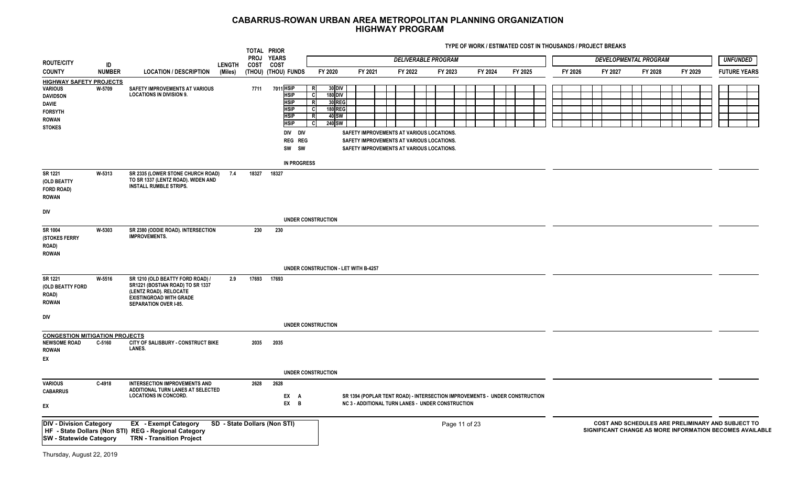|                                                                                                                                 |               |                                                                                                                                                                  |               |           | TOTAL PRIOR<br>PROJ YEARS                                                                                           |                                                                                                                            |         |                                                                                                                                     | <b>DELIVERABLE PROGRAM</b>                                                                                                              |         |         |         |         | DEVELOPMENTAL PROGRAM |         | <b>UNFUNDED</b>                                                                                               |
|---------------------------------------------------------------------------------------------------------------------------------|---------------|------------------------------------------------------------------------------------------------------------------------------------------------------------------|---------------|-----------|---------------------------------------------------------------------------------------------------------------------|----------------------------------------------------------------------------------------------------------------------------|---------|-------------------------------------------------------------------------------------------------------------------------------------|-----------------------------------------------------------------------------------------------------------------------------------------|---------|---------|---------|---------|-----------------------|---------|---------------------------------------------------------------------------------------------------------------|
| <b>ROUTE/CITY</b>                                                                                                               | ID            |                                                                                                                                                                  | <b>LENGTH</b> | COST COST |                                                                                                                     |                                                                                                                            |         |                                                                                                                                     |                                                                                                                                         |         |         |         |         |                       |         |                                                                                                               |
| <b>COUNTY</b>                                                                                                                   | <b>NUMBER</b> | <b>LOCATION / DESCRIPTION</b>                                                                                                                                    | (Miles)       |           | (THOU) (THOU) FUNDS                                                                                                 | FY 2020                                                                                                                    | FY 2021 | FY 2022                                                                                                                             | FY 2023                                                                                                                                 | FY 2024 | FY 2025 | FY 2026 | FY 2027 | FY 2028               | FY 2029 | <b>FUTURE YEARS</b>                                                                                           |
| <b>HIGHWAY SAFETY PROJECTS</b><br><b>VARIOUS</b><br><b>DAVIDSON</b><br>DAVIE<br><b>FORSYTH</b><br><b>ROWAN</b><br><b>STOKES</b> | W-5709        | <b>SAFETY IMPROVEMENTS AT VARIOUS</b><br><b>LOCATIONS IN DIVISION 9.</b>                                                                                         |               | 7711      | 7011 HSIP<br><b>HSIP</b><br><b>HSIP</b><br><b>HSIP</b><br><b>HSIP</b><br><b>HSIP</b><br>DIV DIV<br>REG REG<br>SW SW | <b>30 DIV</b><br>R<br><b>180 DIV</b><br>c.<br>30 REG<br>$\overline{R}$<br><b>180 REG</b><br>C<br>40 SW<br>R<br>240 SW<br>C |         | SAFETY IMPROVEMENTS AT VARIOUS LOCATIONS.<br>SAFETY IMPROVEMENTS AT VARIOUS LOCATIONS.<br>SAFETY IMPROVEMENTS AT VARIOUS LOCATIONS. |                                                                                                                                         |         |         |         |         |                       |         |                                                                                                               |
| SR 1221<br>(OLD BEATTY<br>FORD ROAD)<br><b>ROWAN</b>                                                                            | W-5313        | SR 2335 (LOWER STONE CHURCH ROAD)<br>TO SR 1337 (LENTZ ROAD). WIDEN AND<br><b>INSTALL RUMBLE STRIPS.</b>                                                         | 7.4           |           | <b>IN PROGRESS</b><br>18327 18327                                                                                   |                                                                                                                            |         |                                                                                                                                     |                                                                                                                                         |         |         |         |         |                       |         |                                                                                                               |
| DIV                                                                                                                             |               |                                                                                                                                                                  |               |           |                                                                                                                     | <b>UNDER CONSTRUCTION</b>                                                                                                  |         |                                                                                                                                     |                                                                                                                                         |         |         |         |         |                       |         |                                                                                                               |
| SR 1004<br>(STOKES FERRY<br>ROAD)<br><b>ROWAN</b>                                                                               | W-5303        | SR 2380 (ODDIE ROAD). INTERSECTION<br><b>IMPROVEMENTS.</b>                                                                                                       |               | 230       | 230                                                                                                                 |                                                                                                                            |         |                                                                                                                                     |                                                                                                                                         |         |         |         |         |                       |         |                                                                                                               |
|                                                                                                                                 |               |                                                                                                                                                                  |               |           |                                                                                                                     | UNDER CONSTRUCTION - LET WITH B-4257                                                                                       |         |                                                                                                                                     |                                                                                                                                         |         |         |         |         |                       |         |                                                                                                               |
| SR 1221<br>(OLD BEATTY FORD<br>ROAD)<br><b>ROWAN</b>                                                                            | W-5516        | SR 1210 (OLD BEATTY FORD ROAD) /<br>SR1221 (BOSTIAN ROAD) TO SR 1337<br>(LENTZ ROAD). RELOCATE<br><b>EXISTINGROAD WITH GRADE</b><br><b>SEPARATION OVER I-85.</b> | 2.9           |           | 17693 17693                                                                                                         |                                                                                                                            |         |                                                                                                                                     |                                                                                                                                         |         |         |         |         |                       |         |                                                                                                               |
| DIV                                                                                                                             |               |                                                                                                                                                                  |               |           |                                                                                                                     | <b>UNDER CONSTRUCTION</b>                                                                                                  |         |                                                                                                                                     |                                                                                                                                         |         |         |         |         |                       |         |                                                                                                               |
| <b>CONGESTION MITIGATION PROJECTS</b>                                                                                           |               |                                                                                                                                                                  |               |           |                                                                                                                     |                                                                                                                            |         |                                                                                                                                     |                                                                                                                                         |         |         |         |         |                       |         |                                                                                                               |
| <b>NEWSOME ROAD</b><br><b>ROWAN</b><br>EX                                                                                       | C-5160        | CITY OF SALISBURY - CONSTRUCT BIKE<br>LANES.                                                                                                                     |               | 2035      | 2035                                                                                                                |                                                                                                                            |         |                                                                                                                                     |                                                                                                                                         |         |         |         |         |                       |         |                                                                                                               |
|                                                                                                                                 |               |                                                                                                                                                                  |               |           |                                                                                                                     | <b>UNDER CONSTRUCTION</b>                                                                                                  |         |                                                                                                                                     |                                                                                                                                         |         |         |         |         |                       |         |                                                                                                               |
| <b>VARIOUS</b><br><b>CABARRUS</b><br>EΧ                                                                                         | C-4918        | INTERSECTION IMPROVEMENTS AND<br>ADDITIONAL TURN LANES AT SELECTED<br><b>LOCATIONS IN CONCORD.</b>                                                               |               | 2628      | 2628<br>EX A<br>$EX$ B                                                                                              |                                                                                                                            |         |                                                                                                                                     | SR 1394 (POPLAR TENT ROAD) - INTERSECTION IMPROVEMENTS - UNDER CONSTRUCTION<br><b>NC 3 - ADDITIONAL TURN LANES - UNDER CONSTRUCTION</b> |         |         |         |         |                       |         |                                                                                                               |
| <b>DIV - Division Category</b><br><b>SW</b> - Statewide Category                                                                |               | <b>EX</b> - Exempt Category<br>HF - State Dollars (Non STI) REG - Regional Category<br><b>TRN - Transition Project</b>                                           |               |           | SD - State Dollars (Non STI)                                                                                        |                                                                                                                            |         |                                                                                                                                     | Page 11 of 23                                                                                                                           |         |         |         |         |                       |         | COST AND SCHEDULES ARE PRELIMINARY AND SUBJECT TO<br>SIGNIFICANT CHANGE AS MORE INFORMATION BECOMES AVAILABLE |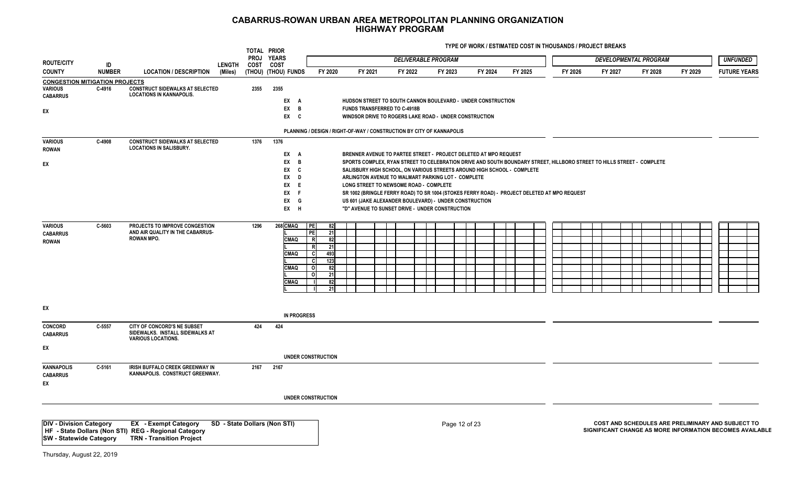|                                                                            |               |                                                                                             |               | TOTAL PRIOR<br><b>PROJ</b> | <b>YEARS</b>                 |                                 |                                                                                                           |         | <b>DELIVERABLE PROGRAM</b> |               |         |         |         |                                                                                                                        | <b>DEVELOPMENTAL PROGRAM</b> |         | <b>UNFUNDED</b>                                                                                               |
|----------------------------------------------------------------------------|---------------|---------------------------------------------------------------------------------------------|---------------|----------------------------|------------------------------|---------------------------------|-----------------------------------------------------------------------------------------------------------|---------|----------------------------|---------------|---------|---------|---------|------------------------------------------------------------------------------------------------------------------------|------------------------------|---------|---------------------------------------------------------------------------------------------------------------|
| <b>ROUTE/CITY</b>                                                          | ID            |                                                                                             | <b>LENGTH</b> | COST                       | COST                         |                                 |                                                                                                           |         |                            |               |         |         |         |                                                                                                                        |                              |         |                                                                                                               |
| <b>COUNTY</b>                                                              | <b>NUMBER</b> | <b>LOCATION / DESCRIPTION</b>                                                               | (Miles)       |                            | (THOU) (THOU) FUNDS          | FY 2020                         | FY 2021                                                                                                   | FY 2022 |                            | FY 2023       | FY 2024 | FY 2025 | FY 2026 | FY 2027                                                                                                                | FY 2028                      | FY 2029 | <b>FUTURE YEARS</b>                                                                                           |
| <b>CONGESTION MITIGATION PROJECTS</b><br><b>VARIOUS</b><br><b>CABARRUS</b> | C-4916        | <b>CONSTRUCT SIDEWALKS AT SELECTED</b><br><b>LOCATIONS IN KANNAPOLIS.</b>                   |               | 2355                       | 2355<br>EX A                 |                                 | HUDSON STREET TO SOUTH CANNON BOULEVARD - UNDER CONSTRUCTION                                              |         |                            |               |         |         |         |                                                                                                                        |                              |         |                                                                                                               |
|                                                                            |               |                                                                                             |               |                            | EX B                         |                                 | <b>FUNDS TRANSFERRED TO C-4918B</b>                                                                       |         |                            |               |         |         |         |                                                                                                                        |                              |         |                                                                                                               |
| EX                                                                         |               |                                                                                             |               |                            | EX C                         |                                 | WINDSOR DRIVE TO ROGERS LAKE ROAD - UNDER CONSTRUCTION                                                    |         |                            |               |         |         |         |                                                                                                                        |                              |         |                                                                                                               |
|                                                                            |               |                                                                                             |               |                            |                              |                                 | PLANNING / DESIGN / RIGHT-OF-WAY / CONSTRUCTION BY CITY OF KANNAPOLIS                                     |         |                            |               |         |         |         |                                                                                                                        |                              |         |                                                                                                               |
| <b>VARIOUS</b><br><b>ROWAN</b>                                             | C-4908        | <b>CONSTRUCT SIDEWALKS AT SELECTED</b><br><b>LOCATIONS IN SALISBURY.</b>                    |               | 1376                       | 1376<br>EX A                 |                                 | BRENNER AVENUE TO PARTEE STREET - PROJECT DELETED AT MPO REQUEST                                          |         |                            |               |         |         |         |                                                                                                                        |                              |         |                                                                                                               |
| EX                                                                         |               |                                                                                             |               |                            | EX<br>$\overline{B}$         |                                 |                                                                                                           |         |                            |               |         |         |         | SPORTS COMPLEX, RYAN STREET TO CELEBRATION DRIVE AND SOUTH BOUNDARY STREET, HILLBORO STREET TO HILLS STREET - COMPLETE |                              |         |                                                                                                               |
|                                                                            |               |                                                                                             |               |                            | EX<br><b>C</b>               |                                 | SALISBURY HIGH SCHOOL, ON VARIOUS STREETS AROUND HIGH SCHOOL - COMPLETE                                   |         |                            |               |         |         |         |                                                                                                                        |                              |         |                                                                                                               |
|                                                                            |               |                                                                                             |               |                            | EX<br>D                      |                                 | ARLINGTON AVENUE TO WALMART PARKING LOT - COMPLETE                                                        |         |                            |               |         |         |         |                                                                                                                        |                              |         |                                                                                                               |
|                                                                            |               |                                                                                             |               |                            | EX<br>E                      |                                 | LONG STREET TO NEWSOME ROAD - COMPLETE                                                                    |         |                            |               |         |         |         |                                                                                                                        |                              |         |                                                                                                               |
|                                                                            |               |                                                                                             |               |                            | EX<br>$\mathsf{F}$           |                                 | SR 1002 (BRINGLE FERRY ROAD) TO SR 1004 (STOKES FERRY ROAD) - PROJECT DELETED AT MPO REQUEST              |         |                            |               |         |         |         |                                                                                                                        |                              |         |                                                                                                               |
|                                                                            |               |                                                                                             |               |                            | EX<br>G<br>EX H              |                                 | US 601 (JAKE ALEXANDER BOULEVARD) - UNDER CONSTRUCTION<br>"D" AVENUE TO SUNSET DRIVE - UNDER CONSTRUCTION |         |                            |               |         |         |         |                                                                                                                        |                              |         |                                                                                                               |
|                                                                            |               |                                                                                             |               |                            |                              |                                 |                                                                                                           |         |                            |               |         |         |         |                                                                                                                        |                              |         |                                                                                                               |
| <b>VARIOUS</b>                                                             | C-5603        | PROJECTS TO IMPROVE CONGESTION                                                              |               | 1296                       | 268 CMAQ                     | <b>IPE</b><br>82                |                                                                                                           |         |                            |               |         |         |         |                                                                                                                        |                              |         |                                                                                                               |
| <b>CABARRUS</b>                                                            |               | AND AIR QUALITY IN THE CABARRUS-                                                            |               |                            |                              | <b>PE</b><br>21                 |                                                                                                           |         |                            |               |         |         |         |                                                                                                                        |                              |         |                                                                                                               |
| <b>ROWAN</b>                                                               |               | <b>ROWAN MPO.</b>                                                                           |               |                            | <b>CMAQ</b>                  | $\overline{R}$<br>82<br>R<br>21 |                                                                                                           |         |                            |               |         |         |         |                                                                                                                        |                              |         |                                                                                                               |
|                                                                            |               |                                                                                             |               |                            | <b>CMAQ</b>                  | C<br>493                        |                                                                                                           |         |                            |               |         |         |         |                                                                                                                        |                              |         |                                                                                                               |
|                                                                            |               |                                                                                             |               |                            |                              | 123<br><b>C</b>                 |                                                                                                           |         |                            |               |         |         |         |                                                                                                                        |                              |         |                                                                                                               |
|                                                                            |               |                                                                                             |               |                            | <b>CMAQ</b>                  | $\Omega$<br>82                  |                                                                                                           |         |                            |               |         |         |         |                                                                                                                        |                              |         |                                                                                                               |
|                                                                            |               |                                                                                             |               |                            | <b>CMAQ</b>                  | $\Omega$<br>21<br>82            |                                                                                                           |         |                            |               |         |         |         |                                                                                                                        |                              |         |                                                                                                               |
|                                                                            |               |                                                                                             |               |                            |                              | 21                              |                                                                                                           |         |                            |               |         |         |         |                                                                                                                        |                              |         |                                                                                                               |
|                                                                            |               |                                                                                             |               |                            |                              |                                 |                                                                                                           |         |                            |               |         |         |         |                                                                                                                        |                              |         |                                                                                                               |
| EX                                                                         |               |                                                                                             |               |                            | <b>IN PROGRESS</b>           |                                 |                                                                                                           |         |                            |               |         |         |         |                                                                                                                        |                              |         |                                                                                                               |
| <b>CONCORD</b><br><b>CABARRUS</b>                                          | C-5557        | CITY OF CONCORD'S NE SUBSET<br>SIDEWALKS. INSTALL SIDEWALKS AT<br><b>VARIOUS LOCATIONS.</b> |               | 424                        | 424                          |                                 |                                                                                                           |         |                            |               |         |         |         |                                                                                                                        |                              |         |                                                                                                               |
| EX                                                                         |               |                                                                                             |               |                            |                              |                                 |                                                                                                           |         |                            |               |         |         |         |                                                                                                                        |                              |         |                                                                                                               |
|                                                                            |               |                                                                                             |               |                            |                              | <b>UNDER CONSTRUCTION</b>       |                                                                                                           |         |                            |               |         |         |         |                                                                                                                        |                              |         |                                                                                                               |
| <b>KANNAPOLIS</b>                                                          | C-5161        | IRISH BUFFALO CREEK GREENWAY IN                                                             |               | 2167                       | 2167                         |                                 |                                                                                                           |         |                            |               |         |         |         |                                                                                                                        |                              |         |                                                                                                               |
| <b>CABARRUS</b><br>EX                                                      |               | KANNAPOLIS. CONSTRUCT GREENWAY.                                                             |               |                            |                              |                                 |                                                                                                           |         |                            |               |         |         |         |                                                                                                                        |                              |         |                                                                                                               |
|                                                                            |               |                                                                                             |               |                            |                              | UNDER CONSTRUCTION              |                                                                                                           |         |                            |               |         |         |         |                                                                                                                        |                              |         |                                                                                                               |
|                                                                            |               |                                                                                             |               |                            |                              |                                 |                                                                                                           |         |                            |               |         |         |         |                                                                                                                        |                              |         |                                                                                                               |
| <b>DIV - Division Category</b>                                             |               | <b>EX</b> - Exempt Category<br>HF - State Dollars (Non STI) REG - Regional Category         |               |                            | SD - State Dollars (Non STI) |                                 |                                                                                                           |         |                            | Page 12 of 23 |         |         |         |                                                                                                                        |                              |         | COST AND SCHEDULES ARE PRELIMINARY AND SUBJECT TO<br>SIGNIFICANT CHANGE AS MORE INFORMATION BECOMES AVAILABLE |
| <b>SW</b> - Statewide Category                                             |               | <b>TRN - Transition Project</b>                                                             |               |                            |                              |                                 |                                                                                                           |         |                            |               |         |         |         |                                                                                                                        |                              |         |                                                                                                               |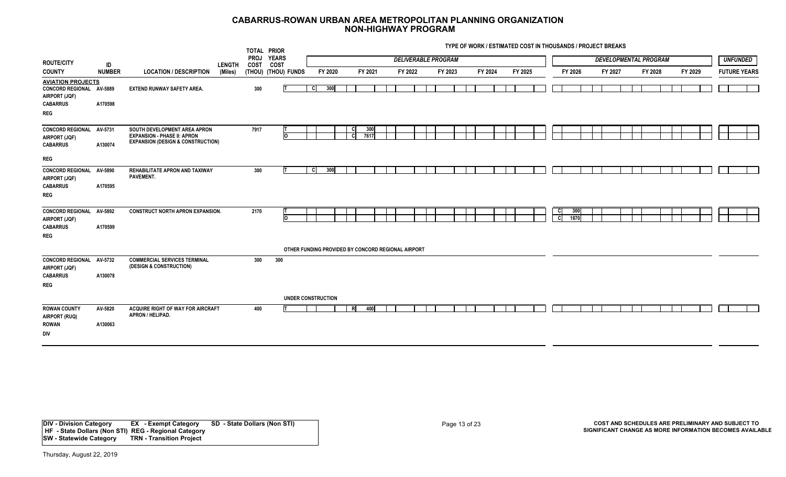**TYPE OF WORK / ESTIMATED COST IN THOUSANDS / PROJECT BREAKS**

|                                                                                                        |                    |                                                                                                                    |               |                     | TOTAL PRIOR          |                                                    |                  |             |  |         |                            |  |         |         |                            |             |         |                              |         |         |  |                     |  |
|--------------------------------------------------------------------------------------------------------|--------------------|--------------------------------------------------------------------------------------------------------------------|---------------|---------------------|----------------------|----------------------------------------------------|------------------|-------------|--|---------|----------------------------|--|---------|---------|----------------------------|-------------|---------|------------------------------|---------|---------|--|---------------------|--|
| <b>ROUTE/CITY</b>                                                                                      | ID                 |                                                                                                                    | <b>LENGTH</b> | <b>PROJ</b><br>COST | <b>YEARS</b><br>COST |                                                    |                  |             |  |         | <b>DELIVERABLE PROGRAM</b> |  |         |         |                            |             |         | <b>DEVELOPMENTAL PROGRAM</b> |         |         |  | <b>UNFUNDED</b>     |  |
| <b>COUNTY</b>                                                                                          | <b>NUMBER</b>      | <b>LOCATION / DESCRIPTION</b>                                                                                      | (Miles)       |                     | (THOU) (THOU) FUNDS  | FY 2020                                            |                  | FY 2021     |  | FY 2022 | FY 2023                    |  | FY 2024 | FY 2025 |                            | FY 2026     | FY 2027 |                              | FY 2028 | FY 2029 |  | <b>FUTURE YEARS</b> |  |
| <b>AVIATION PROJECTS</b><br>CONCORD REGIONAL AV-5889<br>AIRPORT (JQF)<br><b>CABARRUS</b><br><b>REG</b> | A170598            | <b>EXTEND RUNWAY SAFETY AREA.</b>                                                                                  |               | 300                 |                      | 300<br><b>C</b>                                    |                  |             |  |         |                            |  |         |         |                            |             |         |                              |         |         |  |                     |  |
| <b>CONCORD REGIONAL</b><br>AIRPORT (JQF)<br><b>CABARRUS</b><br><b>REG</b>                              | AV-5731<br>A130074 | SOUTH DEVELOPMENT AREA APRON<br><b>EXPANSION - PHASE II: APRON</b><br><b>EXPANSION (DESIGN &amp; CONSTRUCTION)</b> |               | 7917                | o                    |                                                    | -C I<br><b>C</b> | 300<br>7617 |  |         |                            |  |         |         |                            |             |         |                              |         |         |  |                     |  |
| <b>CONCORD REGIONAL</b><br>AIRPORT (JQF)<br><b>CABARRUS</b><br><b>REG</b>                              | AV-5890<br>A170595 | REHABILITATE APRON AND TAXIWAY<br>PAVEMENT.                                                                        |               | 300                 |                      | 300<br>-cl                                         |                  |             |  |         |                            |  |         |         |                            |             |         |                              |         |         |  |                     |  |
| <b>CONCORD REGIONAL</b><br>AIRPORT (JQF)<br><b>CABARRUS</b><br><b>REG</b>                              | AV-5892<br>A170599 | <b>CONSTRUCT NORTH APRON EXPANSION.</b>                                                                            |               | 2170                | ᢛ                    | OTHER FUNDING PROVIDED BY CONCORD REGIONAL AIRPORT |                  |             |  |         |                            |  |         |         | <b>C</b><br>$\overline{c}$ | 300<br>1870 |         |                              |         |         |  |                     |  |
| CONCORD REGIONAL AV-5732<br>AIRPORT (JQF)<br><b>CABARRUS</b><br><b>REG</b>                             | A130078            | <b>COMMERCIAL SERVICES TERMINAL</b><br>(DESIGN & CONSTRUCTION)                                                     |               | 300                 | 300                  |                                                    |                  |             |  |         |                            |  |         |         |                            |             |         |                              |         |         |  |                     |  |
| <b>ROWAN COUNTY</b><br>AIRPORT (RUQ)<br><b>ROWAN</b><br>DIV                                            | AV-5820<br>A130063 | ACQUIRE RIGHT OF WAY FOR AIRCRAFT<br>APRON / HELIPAD.                                                              |               | 400                 |                      | UNDER CONSTRUCTION                                 | R                | 400         |  |         |                            |  |         |         |                            |             |         |                              |         |         |  |                     |  |

**DIV - Division Category EX - Exempt Category SD - State Dollars (Non STI) HF - State Dollars (Non STI) REG - Regional Category SW - Statewide Category TRN - Transition Project**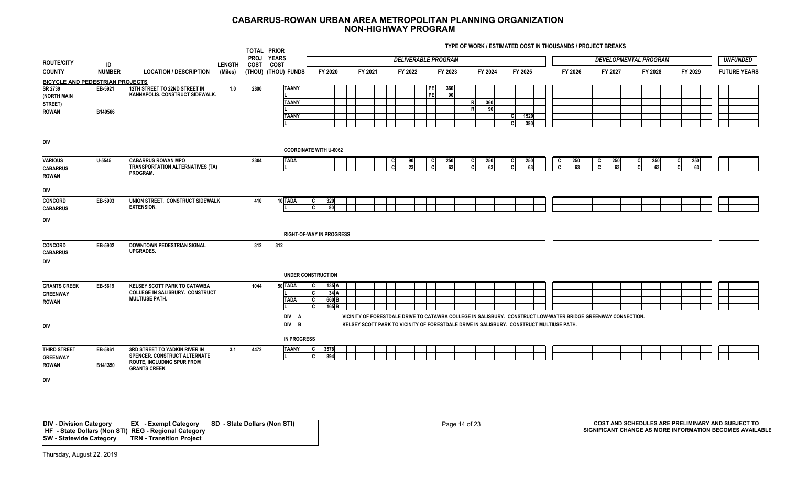**TYPE OF WORK / ESTIMATED COST IN THOUSANDS / PROJECT BREAKS**

| <b>ROUTE/CITY</b>                                                                           |                     |                                                                                                                     |                          | TOTAL PRIOR<br>PROJ YEARS |                                              |                                                              |         |          | <b>DELIVERABLE PROGRAM</b>   |                   |           |                                                                                                               |         |         | <b>DEVELOPMENTAL PROGRAM</b> |         | <b>UNFUNDED</b>     |
|---------------------------------------------------------------------------------------------|---------------------|---------------------------------------------------------------------------------------------------------------------|--------------------------|---------------------------|----------------------------------------------|--------------------------------------------------------------|---------|----------|------------------------------|-------------------|-----------|---------------------------------------------------------------------------------------------------------------|---------|---------|------------------------------|---------|---------------------|
| <b>COUNTY</b>                                                                               | ID<br><b>NUMBER</b> | <b>LOCATION / DESCRIPTION</b>                                                                                       | <b>LENGTH</b><br>(Miles) | COST                      | <b>COST</b><br>(THOU) (THOU) FUNDS           | FY 2020                                                      | FY 2021 | FY 2022  | FY 2023                      |                   | FY 2024   | FY 2025                                                                                                       | FY 2026 | FY 2027 | FY 2028                      | FY 2029 | <b>FUTURE YEARS</b> |
| <b>BICYCLE AND PEDESTRIAN PROJECTS</b><br>SR 2739<br>(NORTH MAIN<br>STREET)<br><b>ROWAN</b> | EB-5921<br>B140566  | 12TH STREET TO 22ND STREET IN<br>KANNAPOLIS. CONSTRUCT SIDEWALK.                                                    | 1.0                      | 2800                      | <b>TAANY</b><br><b>TAANY</b><br><b>TAANY</b> |                                                              |         |          | <b>PE</b><br>360<br>PE<br>90 | R<br>$\mathsf{R}$ | 360<br>90 | 1520<br>C.<br>380                                                                                             |         |         |                              |         |                     |
| DIV                                                                                         |                     |                                                                                                                     |                          |                           |                                              | <b>COORDINATE WITH U-6062</b>                                |         |          |                              |                   |           |                                                                                                               |         |         |                              |         |                     |
| <b>VARIOUS</b><br><b>CABARRUS</b><br><b>ROWAN</b>                                           | $U - 5545$          | <b>CABARRUS ROWAN MPO</b><br><b>TRANSPORTATION ALTERNATIVES (TA)</b><br>PROGRAM.                                    |                          | 2304                      | <b>TADA</b>                                  |                                                              |         | 90<br>23 | 250<br>63                    |                   | 250<br>63 | 250<br>63                                                                                                     |         | 25      | 25                           |         |                     |
| DIV                                                                                         |                     |                                                                                                                     |                          |                           |                                              |                                                              |         |          |                              |                   |           |                                                                                                               |         |         |                              |         |                     |
| <b>CONCORD</b><br><b>CABARRUS</b>                                                           | EB-5903             | UNION STREET. CONSTRUCT SIDEWALK<br><b>EXTENSION.</b>                                                               |                          | 410                       | 10 TADA                                      | <b>C</b><br>320<br>cl<br>80                                  |         |          |                              |                   |           |                                                                                                               |         |         |                              |         |                     |
| DIV                                                                                         |                     |                                                                                                                     |                          |                           |                                              | <b>RIGHT-OF-WAY IN PROGRESS</b>                              |         |          |                              |                   |           |                                                                                                               |         |         |                              |         |                     |
| <b>CONCORD</b><br><b>CABARRUS</b><br>DIV                                                    | EB-5902             | <b>DOWNTOWN PEDESTRIAN SIGNAL</b><br><b>UPGRADES.</b>                                                               |                          | 312                       | 312                                          |                                                              |         |          |                              |                   |           |                                                                                                               |         |         |                              |         |                     |
|                                                                                             |                     |                                                                                                                     |                          |                           |                                              | <b>UNDER CONSTRUCTION</b>                                    |         |          |                              |                   |           |                                                                                                               |         |         |                              |         |                     |
| <b>GRANTS CREEK</b><br><b>GREENWAY</b><br><b>ROWAN</b>                                      | EB-5619             | KELSEY SCOTT PARK TO CATAWBA<br>COLLEGE IN SALISBURY. CONSTRUCT<br><b>MULTIUSE PATH.</b>                            |                          | 1044                      | 50 TADA<br><b>TADA</b><br>DIV A              | - Cl<br>135 A<br>34A<br>660 <sub>B</sub><br>165B<br><b>C</b> |         |          |                              |                   |           | VICINITY OF FORESTDALE DRIVE TO CATAWBA COLLEGE IN SALISBURY. CONSTRUCT LOW-WATER BRIDGE GREENWAY CONNECTION. |         |         |                              |         |                     |
| DIV                                                                                         |                     |                                                                                                                     |                          |                           | DIV B                                        |                                                              |         |          |                              |                   |           | KELSEY SCOTT PARK TO VICINITY OF FORESTDALE DRIVE IN SALISBURY. CONSTRUCT MULTIUSE PATH.                      |         |         |                              |         |                     |
|                                                                                             |                     |                                                                                                                     |                          |                           | <b>IN PROGRESS</b>                           |                                                              |         |          |                              |                   |           |                                                                                                               |         |         |                              |         |                     |
| <b>THIRD STREET</b><br><b>GREENWAY</b><br><b>ROWAN</b>                                      | EB-5861<br>B141350  | 3RD STREET TO YADKIN RIVER IN<br>SPENCER. CONSTRUCT ALTERNATE<br>ROUTE, INCLUDING SPUR FROM<br><b>GRANTS CREEK.</b> | 3.1                      | 4472                      | <b>TAANY</b>                                 | -cl<br>3578<br>894<br>C                                      |         |          |                              |                   |           |                                                                                                               |         |         |                              |         |                     |
| DIV                                                                                         |                     |                                                                                                                     |                          |                           |                                              |                                                              |         |          |                              |                   |           |                                                                                                               |         |         |                              |         |                     |
|                                                                                             |                     |                                                                                                                     |                          |                           |                                              |                                                              |         |          |                              |                   |           |                                                                                                               |         |         |                              |         |                     |

**DIV - Division Category EX - Exempt Category SD - State Dollars (Non STI) HF - State Dollars (Non STI) REG - Regional Category SW - Statewide Category TRN - Transition Project**

Page 14 of 23 **COST AND SCHEDULES ARE PRELIMINARY AND SUBJECT TO SIGNIFICANT CHANGE AS MORE INFORMATION BECOMES AVAILABLE**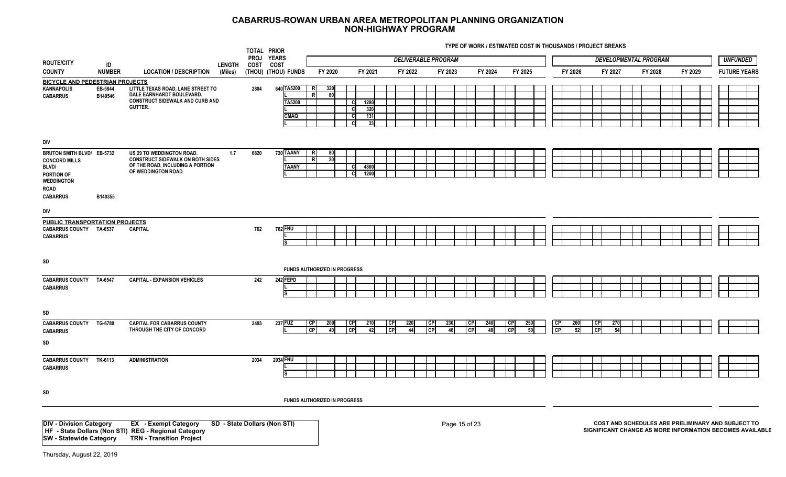| <b>ROUTE/CITY</b>                                                                                                    |                     |                                                                                                                                 |                          |      | TOTAL PRIOR<br>PROJ YEARS           |                                          |                                                  |                                     | <b>DELIVERABLE PROGRAM</b>    |               |         |                              |                               |                                    | <b>DEVELOPMENTAL PROGRAM</b> |         | <b>UNFUNDED</b>                                                                                               |
|----------------------------------------------------------------------------------------------------------------------|---------------------|---------------------------------------------------------------------------------------------------------------------------------|--------------------------|------|-------------------------------------|------------------------------------------|--------------------------------------------------|-------------------------------------|-------------------------------|---------------|---------|------------------------------|-------------------------------|------------------------------------|------------------------------|---------|---------------------------------------------------------------------------------------------------------------|
| <b>COUNTY</b>                                                                                                        | ID<br><b>NUMBER</b> | <b>LOCATION / DESCRIPTION</b>                                                                                                   | <b>LENGTH</b><br>(Miles) | COST | COST<br>(THOU) (THOU) FUNDS         | FY 2020                                  | FY 2021                                          | FY 2022                             | FY 2023                       |               | FY 2024 | FY 2025                      | FY 2026                       | FY 2027                            | FY 2028                      | FY 2029 | <b>FUTURE YEARS</b>                                                                                           |
| <b>BICYCLE AND PEDESTRIAN PROJECTS</b><br><b>KANNAPOLIS</b><br><b>CABARRUS</b>                                       | EB-5844<br>B140546  | LITTLE TEXAS ROAD, LANE STREET TO<br>DALE EARNHARDT BOULEVARD.<br>CONSTRUCT SIDEWALK AND CURB AND<br>GUTTER.                    |                          | 2804 | 640 TA5200<br>TA5200<br><b>CMAQ</b> | 320<br>80<br>R                           | 1280<br>C.<br>320<br>131<br>C.<br>33<br><b>C</b> |                                     |                               |               |         |                              |                               |                                    |                              |         |                                                                                                               |
| DIV                                                                                                                  |                     |                                                                                                                                 |                          |      |                                     |                                          |                                                  |                                     |                               |               |         |                              |                               |                                    |                              |         |                                                                                                               |
| BRUTON SMITH BLVD/ EB-5732<br><b>CONCORD MILLS</b><br><b>BLVD/</b><br>PORTION OF<br><b>WEDDINGTON</b><br><b>ROAD</b> |                     | US 29 TO WEDDINGTON ROAD.<br><b>CONSTRUCT SIDEWALK ON BOTH SIDES</b><br>OF THE ROAD, INCLUDING A PORTION<br>OF WEDDINGTON ROAD. | 1.7                      | 6820 | 720 TAANY<br><b>TAANY</b>           | R<br>80<br>$\mathsf{R}$<br>20            | 4800<br>1200<br><b>C</b>                         |                                     |                               |               |         |                              |                               |                                    |                              |         |                                                                                                               |
| <b>CABARRUS</b>                                                                                                      | B140355             |                                                                                                                                 |                          |      |                                     |                                          |                                                  |                                     |                               |               |         |                              |                               |                                    |                              |         |                                                                                                               |
| DIV                                                                                                                  |                     |                                                                                                                                 |                          |      |                                     |                                          |                                                  |                                     |                               |               |         |                              |                               |                                    |                              |         |                                                                                                               |
| <b>PUBLIC TRANSPORTATION PROJECTS</b><br><b>CABARRUS COUNTY TA-6537</b><br><b>CABARRUS</b>                           |                     | <b>CAPITAL</b>                                                                                                                  |                          | 762  | 762 FNU                             |                                          |                                                  |                                     |                               |               |         |                              |                               |                                    |                              |         |                                                                                                               |
| SD                                                                                                                   |                     |                                                                                                                                 |                          |      |                                     | <b>FUNDS AUTHORIZED IN PROGRESS</b>      |                                                  |                                     |                               |               |         |                              |                               |                                    |                              |         |                                                                                                               |
| <b>CABARRUS COUNTY</b><br><b>CABARRUS</b>                                                                            | TA-6547             | <b>CAPITAL - EXPANSION VEHICLES</b>                                                                                             |                          | 242  | 242 FEPD                            |                                          |                                                  |                                     |                               |               |         |                              |                               |                                    |                              |         |                                                                                                               |
| SD                                                                                                                   |                     |                                                                                                                                 |                          |      |                                     |                                          |                                                  |                                     |                               |               |         |                              |                               |                                    |                              |         |                                                                                                               |
| <b>CABARRUS COUNTY TG-6789</b><br><b>CABARRUS</b>                                                                    |                     | <b>CAPITAL FOR CABARRUS COUNTY</b><br>THROUGH THE CITY OF CONCORD                                                               |                          | 2493 | <b>237 FUZ</b>                      | <b>CP</b><br>200<br>C <sub>P</sub><br>40 | <b>CP</b><br>210<br>$\overline{CP}$<br>-42       | CP <br>220<br>$\overline{CP}$<br>44 | <b>CP</b><br>230<br><b>CP</b> | I CP<br>46    | 240     | <b>CP</b><br>250<br>CP<br>50 | <b>CP</b><br>260<br><b>CP</b> | <b>CP</b><br>270<br>C <sub>D</sub> |                              |         |                                                                                                               |
| SD                                                                                                                   |                     |                                                                                                                                 |                          |      |                                     |                                          |                                                  |                                     |                               |               |         |                              |                               |                                    |                              |         |                                                                                                               |
| <b>CABARRUS COUNTY TK-6113</b><br><b>CABARRUS</b>                                                                    |                     | <b>ADMINISTRATION</b>                                                                                                           |                          | 2034 | 2034 FNU                            |                                          |                                                  |                                     |                               |               |         |                              |                               |                                    |                              |         |                                                                                                               |
| SD                                                                                                                   |                     |                                                                                                                                 |                          |      |                                     |                                          |                                                  |                                     |                               |               |         |                              |                               |                                    |                              |         |                                                                                                               |
|                                                                                                                      |                     |                                                                                                                                 |                          |      |                                     | <b>FUNDS AUTHORIZED IN PROGRESS</b>      |                                                  |                                     |                               |               |         |                              |                               |                                    |                              |         |                                                                                                               |
| <b>DIV - Division Category</b><br><b>SW</b> - Statewide Category                                                     |                     | <b>EX</b> - Exempt Category<br>HF - State Dollars (Non STI) REG - Regional Category<br><b>TRN - Transition Project</b>          |                          |      | SD - State Dollars (Non STI)        |                                          |                                                  |                                     |                               | Page 15 of 23 |         |                              |                               |                                    |                              |         | COST AND SCHEDULES ARE PRELIMINARY AND SUBJECT TO<br>SIGNIFICANT CHANGE AS MORE INFORMATION BECOMES AVAILABLE |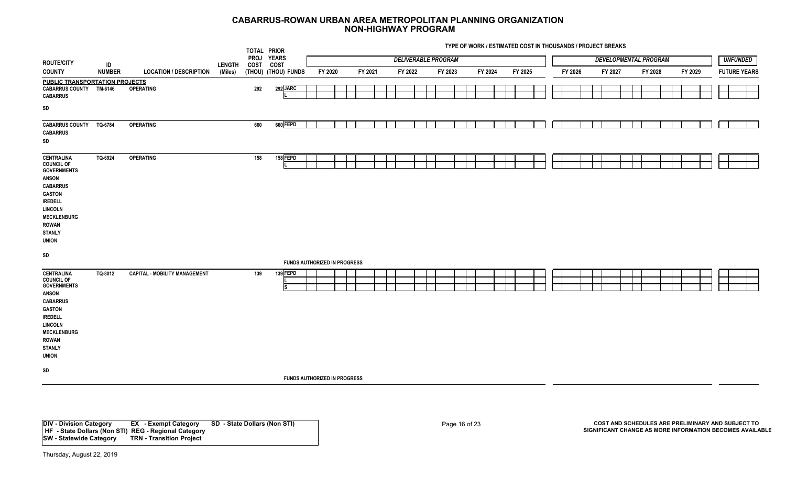| PROJ YEARS<br><b>UNFUNDED</b><br><b>DELIVERABLE PROGRAM</b><br><b>DEVELOPMENTAL PROGRAM</b><br>ID<br>COST COST<br>LENGTH<br><b>NUMBER</b><br><b>LOCATION / DESCRIPTION</b><br>(THOU) (THOU) FUNDS<br>FY 2020<br>FY 2021<br>FY 2022<br>FY 2024<br>FY 2025<br>FY 2026<br>FY 2028<br>FY 2029<br><b>FUTURE YEARS</b><br>(Miles)<br>FY 2023<br>FY 2027<br>PUBLIC TRANSPORTATION PROJECTS<br>292 JARC<br><b>CABARRUS COUNTY</b><br>TM-6146<br><b>OPERATING</b><br>292<br>SD<br>660 FEPD<br>660<br><b>CABARRUS COUNTY</b><br>TQ-6784<br><b>OPERATING</b><br>158 FEPD<br>TQ-6924<br><b>OPERATING</b><br>158<br>$\textsf{SD}{}$<br><b>FUNDS AUTHORIZED IN PROGRESS</b><br>139FEPD<br>TQ-8012<br><b>CAPITAL - MOBILITY MANAGEMENT</b><br>139<br>Is<br><b>FUNDS AUTHORIZED IN PROGRESS</b> |                                                                                                                                                                                                                             |  | TOTAL PRIOR |  |  |  |  |  |  |  |  |  |  |  |  |  |  |
|---------------------------------------------------------------------------------------------------------------------------------------------------------------------------------------------------------------------------------------------------------------------------------------------------------------------------------------------------------------------------------------------------------------------------------------------------------------------------------------------------------------------------------------------------------------------------------------------------------------------------------------------------------------------------------------------------------------------------------------------------------------------------------|-----------------------------------------------------------------------------------------------------------------------------------------------------------------------------------------------------------------------------|--|-------------|--|--|--|--|--|--|--|--|--|--|--|--|--|--|
|                                                                                                                                                                                                                                                                                                                                                                                                                                                                                                                                                                                                                                                                                                                                                                                 | <b>ROUTE/CITY</b>                                                                                                                                                                                                           |  |             |  |  |  |  |  |  |  |  |  |  |  |  |  |  |
|                                                                                                                                                                                                                                                                                                                                                                                                                                                                                                                                                                                                                                                                                                                                                                                 | <b>COUNTY</b>                                                                                                                                                                                                               |  |             |  |  |  |  |  |  |  |  |  |  |  |  |  |  |
|                                                                                                                                                                                                                                                                                                                                                                                                                                                                                                                                                                                                                                                                                                                                                                                 | <b>CABARRUS</b>                                                                                                                                                                                                             |  |             |  |  |  |  |  |  |  |  |  |  |  |  |  |  |
|                                                                                                                                                                                                                                                                                                                                                                                                                                                                                                                                                                                                                                                                                                                                                                                 |                                                                                                                                                                                                                             |  |             |  |  |  |  |  |  |  |  |  |  |  |  |  |  |
|                                                                                                                                                                                                                                                                                                                                                                                                                                                                                                                                                                                                                                                                                                                                                                                 | <b>CABARRUS</b><br>$\textsf{SD}{}$                                                                                                                                                                                          |  |             |  |  |  |  |  |  |  |  |  |  |  |  |  |  |
|                                                                                                                                                                                                                                                                                                                                                                                                                                                                                                                                                                                                                                                                                                                                                                                 | <b>CENTRALINA</b><br><b>COUNCIL OF</b><br><b>GOVERNMENTS</b><br><b>ANSON</b><br><b>CABARRUS</b><br><b>GASTON</b><br><b>IREDELL</b><br><b>LINCOLN</b><br><b>MECKLENBURG</b><br><b>ROWAN</b><br><b>STANLY</b><br><b>UNION</b> |  |             |  |  |  |  |  |  |  |  |  |  |  |  |  |  |
|                                                                                                                                                                                                                                                                                                                                                                                                                                                                                                                                                                                                                                                                                                                                                                                 |                                                                                                                                                                                                                             |  |             |  |  |  |  |  |  |  |  |  |  |  |  |  |  |
|                                                                                                                                                                                                                                                                                                                                                                                                                                                                                                                                                                                                                                                                                                                                                                                 | <b>CENTRALINA</b><br><b>COUNCIL OF</b><br><b>GOVERNMENTS</b><br><b>ANSON</b><br><b>CABARRUS</b><br><b>GASTON</b><br><b>IREDELL</b><br><b>LINCOLN</b><br><b>MECKLENBURG</b><br><b>ROWAN</b><br><b>STANLY</b><br><b>UNION</b> |  |             |  |  |  |  |  |  |  |  |  |  |  |  |  |  |
|                                                                                                                                                                                                                                                                                                                                                                                                                                                                                                                                                                                                                                                                                                                                                                                 | SD                                                                                                                                                                                                                          |  |             |  |  |  |  |  |  |  |  |  |  |  |  |  |  |
|                                                                                                                                                                                                                                                                                                                                                                                                                                                                                                                                                                                                                                                                                                                                                                                 |                                                                                                                                                                                                                             |  |             |  |  |  |  |  |  |  |  |  |  |  |  |  |  |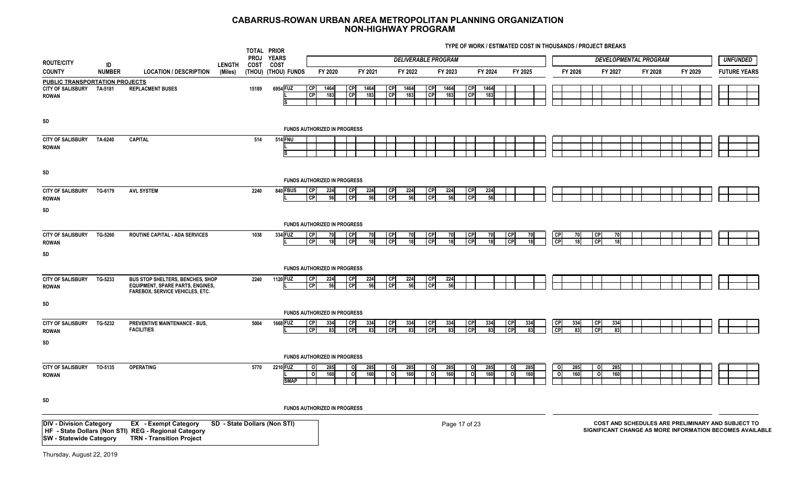|                                                                                    |                     |                                                                                                                        |                          | TOTAL PRIOR<br>PROJ YEARS |                              |                                                  |                                     |             |                                     | <b>DELIVERABLE PROGRAM</b> |               |                        |             |                |                       |                                    |            |                        |            | <b>DEVELOPMENTAL PROGRAM</b> |         |         | <b>UNFUNDED</b>                                   |                                                          |
|------------------------------------------------------------------------------------|---------------------|------------------------------------------------------------------------------------------------------------------------|--------------------------|---------------------------|------------------------------|--------------------------------------------------|-------------------------------------|-------------|-------------------------------------|----------------------------|---------------|------------------------|-------------|----------------|-----------------------|------------------------------------|------------|------------------------|------------|------------------------------|---------|---------|---------------------------------------------------|----------------------------------------------------------|
| <b>ROUTE/CITY</b><br><b>COUNTY</b>                                                 | ID<br><b>NUMBER</b> | <b>LOCATION / DESCRIPTION</b>                                                                                          | <b>LENGTH</b><br>(Miles) | COST                      | COST<br>(THOU) (THOU) FUNDS  | FY 2020                                          |                                     | FY 2021     | FY 2022                             |                            | FY 2023       |                        | FY 2024     | FY 2025        |                       |                                    | FY 2026    |                        | FY 2027    |                              | FY 2028 | FY 2029 | <b>FUTURE YEARS</b>                               |                                                          |
| <b>PUBLIC TRANSPORTATION PROJECTS</b><br>CITY OF SALISBURY TA-5181<br><b>ROWAN</b> |                     | <b>REPLACMENT BUSES</b>                                                                                                |                          | 15189                     | 6954 FUZ                     | CP <br>1464<br>CP<br>183                         | CP<br>GP                            | 1464<br>183 | <b>CP</b><br>1464<br>CP<br>183      | <b>CPI</b><br>CP           | 1464<br>183   | <b>CP</b><br>CP        | 1464<br>183 |                |                       |                                    |            |                        |            |                              |         |         |                                                   |                                                          |
| SD                                                                                 |                     |                                                                                                                        |                          |                           |                              |                                                  | <b>FUNDS AUTHORIZED IN PROGRESS</b> |             |                                     |                            |               |                        |             |                |                       |                                    |            |                        |            |                              |         |         |                                                   |                                                          |
| <b>CITY OF SALISBURY</b><br><b>ROWAN</b>                                           | TA-6240             | <b>CAPITAL</b>                                                                                                         |                          | 514                       | <b>514 FNU</b>               |                                                  |                                     |             |                                     |                            |               |                        |             |                |                       |                                    |            |                        |            |                              |         |         |                                                   |                                                          |
| SD                                                                                 |                     |                                                                                                                        |                          |                           |                              |                                                  | <b>FUNDS AUTHORIZED IN PROGRESS</b> |             |                                     |                            |               |                        |             |                |                       |                                    |            |                        |            |                              |         |         |                                                   |                                                          |
| <b>CITY OF SALISBURY</b><br><b>ROWAN</b>                                           | TG-6179             | <b>AVL SYSTEM</b>                                                                                                      |                          | 2240                      | 840 FBUS                     | 224<br> CP <br>$\overline{CP}$<br>56             | <b>CP</b><br><b>CP</b>              | 224<br>56   | <b>CP</b><br>224<br>CP<br>56        | <b>CP</b><br>l CPI         | 224<br>56     | <b>CP</b><br><b>CP</b> | 224<br>56   |                |                       |                                    |            |                        |            |                              |         |         |                                                   |                                                          |
| SD                                                                                 |                     |                                                                                                                        |                          |                           |                              |                                                  | FUNDS AUTHORIZED IN PROGRESS        |             |                                     |                            |               |                        |             |                |                       |                                    |            |                        |            |                              |         |         |                                                   |                                                          |
| <b>CITY OF SALISBURY</b><br><b>ROWAN</b>                                           | TG-5260             | ROUTINE CAPITAL - ADA SERVICES                                                                                         |                          | 1038                      | 334 FUZ                      | CP<br>70<br><b>CP</b><br>18                      | CP<br><b>CP</b>                     | 70<br>18    | CP <br>70<br><b>CP</b><br>18        | <b>CP</b><br><b>CP</b>     | 70<br>18      | <b>CP</b><br><b>CP</b> | 70<br>18    | l CP<br>l CP   | 70<br>18 <sup>1</sup> | <b>CP</b><br><b>CP</b>             | 70<br>18   | <b>CP</b><br><b>CP</b> | 70<br>18   |                              |         |         |                                                   |                                                          |
| SD                                                                                 |                     |                                                                                                                        |                          |                           |                              |                                                  | <b>FUNDS AUTHORIZED IN PROGRESS</b> |             |                                     |                            |               |                        |             |                |                       |                                    |            |                        |            |                              |         |         |                                                   |                                                          |
| <b>CITY OF SALISBURY</b><br><b>ROWAN</b>                                           | TG-5233             | BUS STOP SHELTERS, BENCHES, SHOP<br><b>EQUIPMENT, SPARE PARTS, ENGINES,</b><br><b>FAREBOX, SERVICE VEHICLES, ETC.</b>  |                          | 2240                      | 1120 FUZ                     | CP <br>224<br>$\overline{CP}$<br>56              | <b>CP</b><br>СP                     | 224<br>56   | <b>CP</b><br>224<br>S<br>56         | <b>CP</b><br>CP            | 224<br>56     |                        |             |                |                       |                                    |            |                        |            |                              |         |         |                                                   |                                                          |
| SD                                                                                 |                     |                                                                                                                        |                          |                           |                              |                                                  | FUNDS AUTHORIZED IN PROGRESS        |             |                                     |                            |               |                        |             |                |                       |                                    |            |                        |            |                              |         |         |                                                   |                                                          |
| <b>CITY OF SALISBURY</b><br><b>ROWAN</b>                                           | TG-5232             | PREVENTIVE MAINTENANCE - BUS,<br><b>FACILITIES</b>                                                                     |                          | 5004                      | 1668 FUZ                     | <b>CP</b><br>334<br><b>CPI</b><br>83             | СP<br><b>CP</b>                     | 334<br>83   | <b>CP</b><br>334<br><b>CP</b><br>83 | <b>CP</b><br><b>CP</b>     | 334<br>83     | <b>CP</b><br><b>CP</b> | 334         |                | 33 <sub>4</sub>       | СP<br>CP                           | 334        | <b>CP</b><br><b>CP</b> | 334        |                              |         |         |                                                   |                                                          |
| SD                                                                                 |                     |                                                                                                                        |                          |                           |                              |                                                  | <b>FUNDS AUTHORIZED IN PROGRESS</b> |             |                                     |                            |               |                        |             |                |                       |                                    |            |                        |            |                              |         |         |                                                   |                                                          |
| <b>CITY OF SALISBURY</b><br><b>ROWAN</b>                                           | TO-5135             | <b>OPERATING</b>                                                                                                       |                          | 5770                      | 2210 FUZ<br><b>SMAP</b>      | 285<br>$\circ$<br>$\overline{\mathbf{c}}$<br>160 | $\circ$<br>$\circ$                  | 285<br>160  | 285<br>o l<br>o<br>160              | οl<br>οI                   | 285<br>160    | οI<br>$\mathbf{o}$     | 285<br>160  | $\Omega$<br>οI | 285<br>160            | $\circ$<br>$\overline{\mathbf{c}}$ | 285<br>160 | - ol<br>o              | 285<br>160 |                              |         |         |                                                   |                                                          |
| SD                                                                                 |                     |                                                                                                                        |                          |                           |                              |                                                  | FUNDS AUTHORIZED IN PROGRESS        |             |                                     |                            |               |                        |             |                |                       |                                    |            |                        |            |                              |         |         |                                                   |                                                          |
| <b>DIV - Division Category</b><br><b>SW</b> - Statewide Category                   |                     | <b>EX</b> - Exempt Category<br>HF - State Dollars (Non STI) REG - Regional Category<br><b>TRN - Transition Project</b> |                          |                           | SD - State Dollars (Non STI) |                                                  |                                     |             |                                     |                            | Page 17 of 23 |                        |             |                |                       |                                    |            |                        |            |                              |         |         | COST AND SCHEDULES ARE PRELIMINARY AND SUBJECT TO | SIGNIFICANT CHANGE AS MORE INFORMATION BECOMES AVAILABLE |
| Thursday, August 22, 2019                                                          |                     |                                                                                                                        |                          |                           |                              |                                                  |                                     |             |                                     |                            |               |                        |             |                |                       |                                    |            |                        |            |                              |         |         |                                                   |                                                          |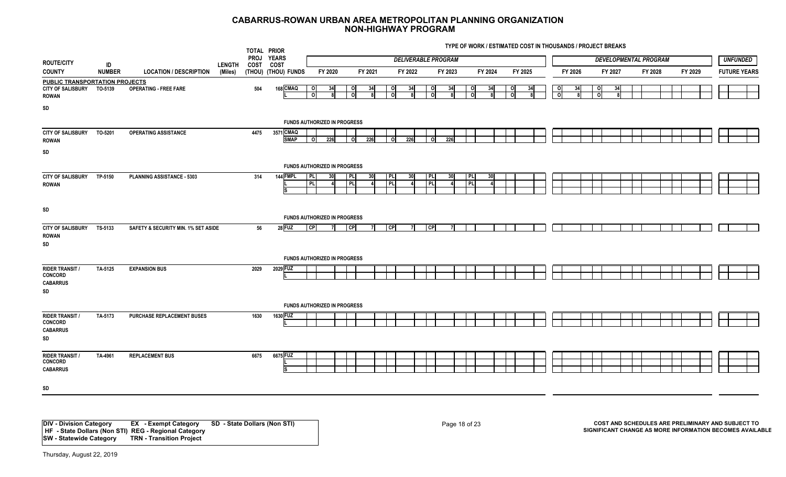**TYPE OF WORK / ESTIMATED COST IN THOUSANDS / PROJECT BREAKS**

|                                                                            |               |                                     |               | TOTAL PRIOR             |                                     |                                                      |                |              |                 |                     |                            |                  |         | $111 = 01$ . The rate $120$ and the properties are contributed to the state $111$ |         |          |         |            |         |                |         |                              |         |  |                     |
|----------------------------------------------------------------------------|---------------|-------------------------------------|---------------|-------------------------|-------------------------------------|------------------------------------------------------|----------------|--------------|-----------------|---------------------|----------------------------|------------------|---------|-----------------------------------------------------------------------------------|---------|----------|---------|------------|---------|----------------|---------|------------------------------|---------|--|---------------------|
| <b>ROUTE/CITY</b>                                                          | ID            |                                     | <b>LENGTH</b> | PROJ YEARS<br>COST COST |                                     |                                                      |                |              |                 |                     | <b>DELIVERABLE PROGRAM</b> |                  |         |                                                                                   |         |          |         |            |         |                |         | <b>DEVELOPMENTAL PROGRAM</b> |         |  | <b>UNFUNDED</b>     |
| <b>COUNTY</b>                                                              | <b>NUMBER</b> | <b>LOCATION / DESCRIPTION</b>       | (Miles)       |                         | (THOU) (THOU) FUNDS                 |                                                      | FY 2020        |              | FY 2021         |                     | FY 2022                    |                  | FY 2023 |                                                                                   | FY 2024 |          | FY 2025 |            | FY 2026 |                | FY 2027 | FY 2028                      | FY 2029 |  | <b>FUTURE YEARS</b> |
| PUBLIC TRANSPORTATION PROJECTS<br><b>CITY OF SALISBURY</b><br><b>ROWAN</b> | TO-5139       | <b>OPERATING - FREE FARE</b>        |               | 504                     | 168 CMAQ                            | - Ol<br>ി                                            | 34             | $\circ$<br>0 | 34              | $\circ$<br>$\Omega$ | 34                         | οI<br>ΩI         | 34      | οI<br>$\Omega$                                                                    | 34      | οI<br>ΩI | 34      | οI<br>- ol | 34      | 0l<br>$\Omega$ | 34      |                              |         |  |                     |
| SD                                                                         |               |                                     |               |                         | FUNDS AUTHORIZED IN PROGRESS        |                                                      |                |              |                 |                     |                            |                  |         |                                                                                   |         |          |         |            |         |                |         |                              |         |  |                     |
| CITY OF SALISBURY TO-5201<br><b>ROWAN</b><br>SD                            |               | <b>OPERATING ASSISTANCE</b>         |               | 4475                    | 3571 CMAQ<br><b>SMAP</b>            | $\begin{array}{ c c c }\n\hline\n0&226\n\end{array}$ |                | $O$ 226      |                 |                     | $0 \overline{\smash)226}$  | $\circ$          | 226     |                                                                                   |         |          |         |            |         |                |         |                              |         |  |                     |
|                                                                            |               |                                     |               |                         | <b>FUNDS AUTHORIZED IN PROGRESS</b> |                                                      |                |              |                 |                     |                            |                  |         |                                                                                   |         |          |         |            |         |                |         |                              |         |  |                     |
| <b>CITY OF SALISBURY</b><br><b>ROWAN</b>                                   | TP-5150       | PLANNING ASSISTANCE - 5303          |               | 314                     | 144 FMPL<br>IS                      | PLI<br>l PLI                                         | - 30           | PL.<br>PL    | 30 <sup>l</sup> | PL<br>PL            | 30                         | <b>PL</b><br>PL. | 30      | PL<br>P                                                                           | -30     |          |         |            |         |                |         |                              |         |  |                     |
| SD                                                                         |               |                                     |               |                         | <b>FUNDS AUTHORIZED IN PROGRESS</b> |                                                      |                |              |                 |                     |                            |                  |         |                                                                                   |         |          |         |            |         |                |         |                              |         |  |                     |
| <b>CITY OF SALISBURY</b><br><b>ROWAN</b><br>SD                             | TS-5133       | SAFETY & SECURITY MIN. 1% SET ASIDE |               | 56                      | 28 FUZ                              | <b>CPI</b>                                           | $\overline{7}$ | CP           | 71              | $\overline{C}$      | -71                        | CP               | -71     |                                                                                   |         |          |         |            |         |                |         |                              |         |  |                     |
|                                                                            |               |                                     |               |                         | FUNDS AUTHORIZED IN PROGRESS        |                                                      |                |              |                 |                     |                            |                  |         |                                                                                   |         |          |         |            |         |                |         |                              |         |  |                     |
| <b>RIDER TRANSIT /</b><br><b>CONCORD</b><br><b>CABARRUS</b><br>SD          | TA-5125       | <b>EXPANSION BUS</b>                |               | 2029                    | 2029 FUZ                            |                                                      |                |              |                 |                     |                            |                  |         |                                                                                   |         |          |         |            |         |                |         |                              |         |  |                     |
|                                                                            |               |                                     |               |                         | <b>FUNDS AUTHORIZED IN PROGRESS</b> |                                                      |                |              |                 |                     |                            |                  |         |                                                                                   |         |          |         |            |         |                |         |                              |         |  |                     |
| <b>RIDER TRANSIT /</b><br><b>CONCORD</b><br><b>CABARRUS</b><br>SD          | TA-5173       | PURCHASE REPLACEMENT BUSES          |               | 1630                    | 1630 FUZ                            |                                                      |                |              |                 |                     |                            |                  |         |                                                                                   |         |          |         |            |         |                |         |                              |         |  |                     |
| <b>RIDER TRANSIT /</b><br><b>CONCORD</b><br><b>CABARRUS</b>                | TA-4961       | <b>REPLACEMENT BUS</b>              |               | 6675                    | 6675 FUZ<br>IS                      |                                                      |                |              |                 |                     |                            |                  |         |                                                                                   |         |          |         |            |         |                |         |                              |         |  |                     |
| SD                                                                         |               |                                     |               |                         |                                     |                                                      |                |              |                 |                     |                            |                  |         |                                                                                   |         |          |         |            |         |                |         |                              |         |  |                     |

**DIV - Division Category EX - Exempt Category SD - State Dollars (Non STI) HF - State Dollars (Non STI) REG - Regional Category SW - Statewide Category TRN - Transition Project**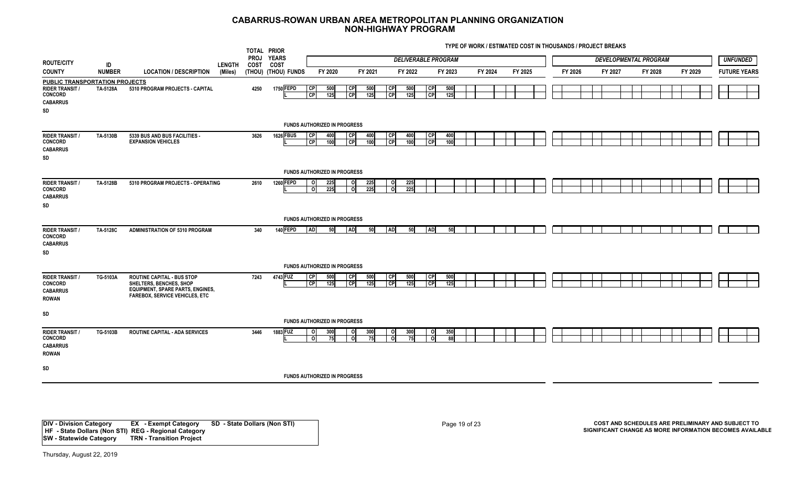**TYPE OF WORK / ESTIMATED COST IN THOUSANDS / PROJECT BREAKS**

|                                                                                                            |               |                                                                                                                                                  |               | TOTAL PRIOR         |                                                 |                                      |                        |                       |                        |                            |                        |            |         |         |  |         |         |  |                              |         |  |                     |
|------------------------------------------------------------------------------------------------------------|---------------|--------------------------------------------------------------------------------------------------------------------------------------------------|---------------|---------------------|-------------------------------------------------|--------------------------------------|------------------------|-----------------------|------------------------|----------------------------|------------------------|------------|---------|---------|--|---------|---------|--|------------------------------|---------|--|---------------------|
| <b>ROUTE/CITY</b>                                                                                          | ID            |                                                                                                                                                  | <b>LENGTH</b> | <b>PROJ</b><br>COST | <b>YEARS</b><br>COST                            |                                      |                        |                       |                        | <b>DELIVERABLE PROGRAM</b> |                        |            |         |         |  |         |         |  | <b>DEVELOPMENTAL PROGRAM</b> |         |  | <b>UNFUNDED</b>     |
| <b>COUNTY</b>                                                                                              | <b>NUMBER</b> | <b>LOCATION / DESCRIPTION</b>                                                                                                                    | (Miles)       |                     | (THOU) (THOU) FUNDS                             | FY 2020                              |                        | FY 2021               |                        | FY 2022                    |                        | FY 2023    | FY 2024 | FY 2025 |  | FY 2026 | FY 2027 |  | FY 2028                      | FY 2029 |  | <b>FUTURE YEARS</b> |
| <b>PUBLIC TRANSPORTATION PROJECTS</b><br><b>RIDER TRANSIT /</b><br><b>CONCORD</b><br><b>CABARRUS</b><br>SD | TA-5128A      | 5310 PROGRAM PROJECTS - CAPITAL                                                                                                                  |               | 4250                | 1750 FEPD                                       | l CP<br>500<br><b>CP</b><br>125      | <b>CP</b><br><b>CP</b> | 500<br>125            | <b>CP</b><br>CP        | 500<br>125                 | <b>CP</b><br>CP        | 500<br>125 |         |         |  |         |         |  |                              |         |  |                     |
|                                                                                                            |               |                                                                                                                                                  |               |                     | <b>FUNDS AUTHORIZED IN PROGRESS</b>             |                                      |                        |                       |                        |                            |                        |            |         |         |  |         |         |  |                              |         |  |                     |
| <b>RIDER TRANSIT /</b><br><b>CONCORD</b><br><b>CABARRUS</b><br>SD                                          | TA-5130B      | 5339 BUS AND BUS FACILITIES -<br><b>EXPANSION VEHICLES</b>                                                                                       |               | 3626                | <b>1626 FBUS</b>                                | <b>CP</b><br>400<br><b>CP</b><br>100 | CP<br><b>CP</b>        | 400<br>100            | <b>CP</b><br> cP       | 400<br>100                 | <b>CP</b><br>CP        | 400<br>100 |         |         |  |         |         |  |                              |         |  |                     |
|                                                                                                            |               |                                                                                                                                                  |               |                     | <b>FUNDS AUTHORIZED IN PROGRESS</b>             |                                      |                        |                       |                        |                            |                        |            |         |         |  |         |         |  |                              |         |  |                     |
| <b>RIDER TRANSIT /</b><br><b>CONCORD</b><br><b>CABARRUS</b><br>SD                                          | TA-5128B      | 5310 PROGRAM PROJECTS - OPERATING                                                                                                                |               | 2610                | <b>1260 FEPD</b>                                | 225<br>ി<br>225<br>- ol              |                        | 225<br>o<br>225<br>ol | $\circ$<br>ᅌ           | 225<br>225                 |                        |            |         |         |  |         |         |  |                              |         |  |                     |
|                                                                                                            |               |                                                                                                                                                  |               |                     | <b>FUNDS AUTHORIZED IN PROGRESS</b>             |                                      |                        |                       |                        |                            |                        |            |         |         |  |         |         |  |                              |         |  |                     |
| <b>RIDER TRANSIT /</b><br><b>CONCORD</b><br><b>CABARRUS</b><br>SD                                          | TA-5128C      | <b>ADMINISTRATION OF 5310 PROGRAM</b>                                                                                                            |               | 340                 | 140 FEPD                                        | I AD I                               | 50<br><b>AD</b>        | <b>50</b>             | <b>AD</b>              | 50                         | <b>AD</b>              | 50         |         |         |  |         |         |  |                              |         |  |                     |
|                                                                                                            |               |                                                                                                                                                  |               |                     | <b>FUNDS AUTHORIZED IN PROGRESS</b>             |                                      |                        |                       |                        |                            |                        |            |         |         |  |         |         |  |                              |         |  |                     |
| <b>RIDER TRANSIT /</b><br><b>CONCORD</b><br><b>CABARRUS</b><br><b>ROWAN</b>                                | TG-5103A      | <b>ROUTINE CAPITAL - BUS STOP</b><br>SHELTERS, BENCHES, SHOP<br><b>EQUIPMENT, SPARE PARTS, ENGINES,</b><br><b>FAREBOX, SERVICE VEHICLES, ETC</b> |               | 7243                | 4743 FUZ                                        | <b>CP</b><br>500<br>l CP<br>125      | l CPI<br> CP           | 500<br>125            | CP <br>$\overline{CP}$ | 500<br>125                 | <b>CP</b><br><b>CP</b> | 500<br>125 |         |         |  |         |         |  |                              |         |  |                     |
| SD                                                                                                         |               |                                                                                                                                                  |               |                     |                                                 |                                      |                        |                       |                        |                            |                        |            |         |         |  |         |         |  |                              |         |  |                     |
| <b>RIDER TRANSIT /</b><br><b>CONCORD</b><br><b>CABARRUS</b><br><b>ROWAN</b>                                | TG-5103B      | <b>ROUTINE CAPITAL - ADA SERVICES</b>                                                                                                            |               | 3446                | <b>FUNDS AUTHORIZED IN PROGRESS</b><br>1883 FUZ | 300<br>- Ol<br>o<br>- 75             |                        | 300<br>οI<br>οI<br>75 | o<br>- Ol              | 300<br>75                  | οI<br>οI               | 350<br>88  |         |         |  |         |         |  |                              |         |  |                     |
| SD                                                                                                         |               |                                                                                                                                                  |               |                     | <b>FUNDS AUTHORIZED IN PROGRESS</b>             |                                      |                        |                       |                        |                            |                        |            |         |         |  |         |         |  |                              |         |  |                     |
|                                                                                                            |               |                                                                                                                                                  |               |                     |                                                 |                                      |                        |                       |                        |                            |                        |            |         |         |  |         |         |  |                              |         |  |                     |

**DIV - Division Category EX - Exempt Category SD - State Dollars (Non STI) HF - State Dollars (Non STI) REG - Regional Category SW - Statewide Category TRN - Transition Project**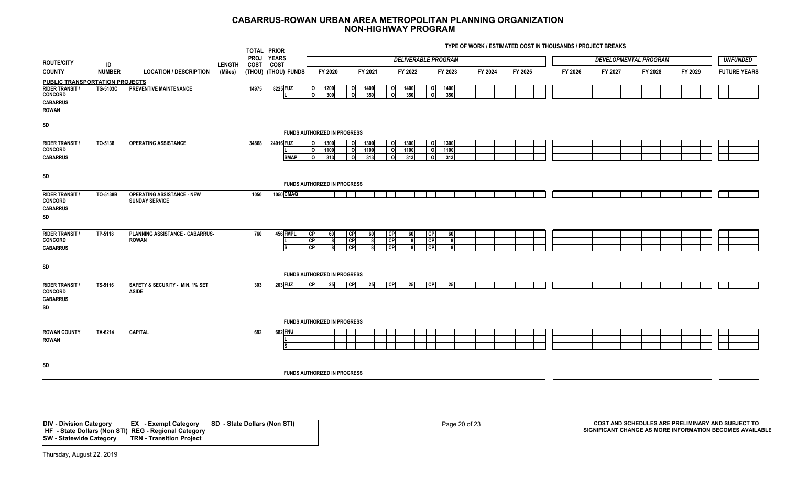**TYPE OF WORK / ESTIMATED COST IN THOUSANDS / PROJECT BREAKS**

|                                                                                                                      |               |                                                            |               | TOTAL PRIOR<br><b>PROJ</b> | <b>YEARS</b>             |                                           |                                                                                |                              |                     | <b>DELIVERABLE PROGRAM</b>                     |                         |         |         |         |         |  | <b>DEVELOPMENTAL PROGRAM</b> |         | <b>UNFUNDED</b>     |
|----------------------------------------------------------------------------------------------------------------------|---------------|------------------------------------------------------------|---------------|----------------------------|--------------------------|-------------------------------------------|--------------------------------------------------------------------------------|------------------------------|---------------------|------------------------------------------------|-------------------------|---------|---------|---------|---------|--|------------------------------|---------|---------------------|
| <b>ROUTE/CITY</b>                                                                                                    | ID            |                                                            | <b>LENGTH</b> | <b>COST</b>                | COST                     |                                           |                                                                                |                              |                     |                                                |                         |         |         |         |         |  |                              |         |                     |
| <b>COUNTY</b>                                                                                                        | <b>NUMBER</b> | <b>LOCATION / DESCRIPTION</b>                              | (Miles)       |                            | (THOU) (THOU) FUNDS      | FY 2020                                   | FY 2021                                                                        |                              | FY 2022             | FY 2023                                        |                         | FY 2024 | FY 2025 | FY 2026 | FY 2027 |  | FY 2028                      | FY 2029 | <b>FUTURE YEARS</b> |
| <b>PUBLIC TRANSPORTATION PROJECTS</b><br><b>RIDER TRANSIT /</b><br><b>CONCORD</b><br><b>CABARRUS</b><br><b>ROWAN</b> | TG-5103C      | <b>PREVENTIVE MAINTENANCE</b>                              |               | 14975                      | 8225 FUZ                 | $\circ$<br>1200<br>이<br>300               | o<br>1400<br>$\overline{\mathbf{c}}$<br>350                                    | ΟI<br>οl                     | 1400<br>350         | 1400<br>ΟI<br>350<br>οl                        |                         |         |         |         |         |  |                              |         |                     |
| SD                                                                                                                   |               |                                                            |               |                            |                          | FUNDS AUTHORIZED IN PROGRESS              |                                                                                |                              |                     |                                                |                         |         |         |         |         |  |                              |         |                     |
| <b>RIDER TRANSIT /</b><br><b>CONCORD</b><br><b>CABARRUS</b>                                                          | TO-5138       | <b>OPERATING ASSISTANCE</b>                                |               | 34868                      | 24016 FUZ<br><b>SMAP</b> | 1300<br>$\circ$<br>ō<br>1100<br>οI<br>313 | 1300<br>$\overline{\mathbf{0}}$<br>$\overline{\mathbf{c}}$<br>1100<br>0<br>313 | O.<br>o<br>0.                | 1300<br>1100<br>313 | 1300<br>$\circ$<br>1100<br>이<br>313<br>$\circ$ |                         |         |         |         |         |  |                              |         |                     |
| SD                                                                                                                   |               |                                                            |               |                            |                          | <b>FUNDS AUTHORIZED IN PROGRESS</b>       |                                                                                |                              |                     |                                                |                         |         |         |         |         |  |                              |         |                     |
| <b>RIDER TRANSIT /</b><br><b>CONCORD</b><br><b>CABARRUS</b><br>SD                                                    | TO-5138B      | <b>OPERATING ASSISTANCE - NEW</b><br><b>SUNDAY SERVICE</b> |               | 1050                       | 1050 CMAQ                |                                           |                                                                                |                              |                     |                                                |                         |         |         |         |         |  |                              |         |                     |
| <b>RIDER TRANSIT /</b><br><b>CONCORD</b><br><b>CABARRUS</b>                                                          | TP-5118       | PLANNING ASSISTANCE - CABARRUS-<br><b>ROWAN</b>            |               | 760                        | 456 FMPL<br>ls           | <b>CP</b><br>60<br>CP<br>CP               | <b>CPI</b><br>60<br>CP<br>-8<br> CP                                            | <b>CP</b><br><b>CP</b><br>CP | 60                  | CP <br> CP <br>$\overline{\mathsf{C}}$ P       | 60<br>R<br>$\mathbf{R}$ |         |         |         |         |  |                              |         |                     |
| SD                                                                                                                   |               |                                                            |               |                            |                          | FUNDS AUTHORIZED IN PROGRESS              |                                                                                |                              |                     |                                                |                         |         |         |         |         |  |                              |         |                     |
| <b>RIDER TRANSIT /</b><br><b>CONCORD</b><br><b>CABARRUS</b><br>SD                                                    | TS-5116       | SAFETY & SECURITY - MIN. 1% SET<br><b>ASIDE</b>            |               | 303                        | 203 FUZ                  | CP<br>25                                  | CP <br>25                                                                      | CP                           | 25                  | $\overline{C}$                                 | 25                      |         |         |         |         |  |                              |         |                     |
|                                                                                                                      |               |                                                            |               |                            |                          | <b>FUNDS AUTHORIZED IN PROGRESS</b>       |                                                                                |                              |                     |                                                |                         |         |         |         |         |  |                              |         |                     |
| <b>ROWAN COUNTY</b><br><b>ROWAN</b>                                                                                  | TA-6214       | <b>CAPITAL</b>                                             |               | 682                        | 682 FNU<br>Is            |                                           |                                                                                |                              |                     |                                                |                         |         |         |         |         |  |                              |         |                     |
| SD                                                                                                                   |               |                                                            |               |                            |                          | <b>FUNDS AUTHORIZED IN PROGRESS</b>       |                                                                                |                              |                     |                                                |                         |         |         |         |         |  |                              |         |                     |

**DIV - Division Category EX - Exempt Category SD - State Dollars (Non STI) HF - State Dollars (Non STI) REG - Regional Category SW - Statewide Category TRN - Transition Project**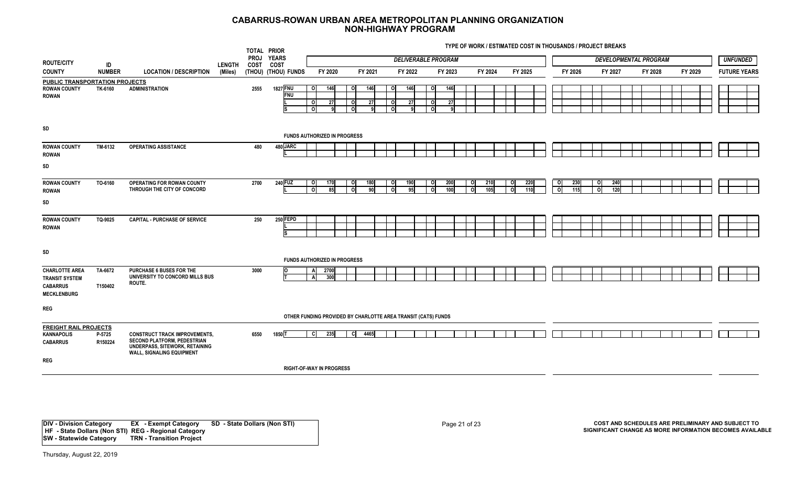**TYPE OF WORK / ESTIMATED COST IN THOUSANDS / PROJECT BREAKS**

|                                                                                         |                    |                                                                                                                                                  |               | TOTAL PRIOR        |                               |                                                  |                                                               |                |                            |                |                                  |                            |                                 |              |            |                         |                              |         |         |  |                     |
|-----------------------------------------------------------------------------------------|--------------------|--------------------------------------------------------------------------------------------------------------------------------------------------|---------------|--------------------|-------------------------------|--------------------------------------------------|---------------------------------------------------------------|----------------|----------------------------|----------------|----------------------------------|----------------------------|---------------------------------|--------------|------------|-------------------------|------------------------------|---------|---------|--|---------------------|
| <b>ROUTE/CITY</b>                                                                       | ID                 |                                                                                                                                                  | <b>LENGTH</b> | PROJ YEARS<br>COST | <b>COST</b>                   |                                                  |                                                               |                | <b>DELIVERABLE PROGRAM</b> |                |                                  |                            |                                 |              |            |                         | <b>DEVELOPMENTAL PROGRAM</b> |         |         |  | <b>UNFUNDED</b>     |
| <b>COUNTY</b>                                                                           | <b>NUMBER</b>      | <b>LOCATION / DESCRIPTION</b>                                                                                                                    | (Miles)       |                    | (THOU) (THOU) FUNDS           | FY 2020                                          | FY 2021                                                       |                | FY 2022                    |                | FY 2023                          | FY 2024                    | FY 2025                         |              | FY 2026    |                         | FY 2027                      | FY 2028 | FY 2029 |  | <b>FUTURE YEARS</b> |
| <b>PUBLIC TRANSPORTATION PROJECTS</b>                                                   |                    |                                                                                                                                                  |               |                    |                               |                                                  |                                                               |                |                            |                |                                  |                            |                                 |              |            |                         |                              |         |         |  |                     |
| <b>ROWAN COUNTY</b><br><b>ROWAN</b>                                                     | TK-6160            | <b>ADMINISTRATION</b>                                                                                                                            |               | 2555               | <b>1827 FNU</b><br><b>FNU</b> | 146<br>οI<br>27<br>οI<br>οl                      | o<br>$\circ$<br>$\overline{\mathbf{c}}$                       | 146<br>27<br>9 | 146<br>0<br>o<br>27<br>o   | οI<br>ΟI<br>οl | <b>146</b><br>27<br>$\mathbf{Q}$ |                            |                                 |              |            |                         |                              |         |         |  |                     |
| SD                                                                                      |                    |                                                                                                                                                  |               |                    |                               |                                                  |                                                               |                |                            |                |                                  |                            |                                 |              |            |                         |                              |         |         |  |                     |
|                                                                                         |                    |                                                                                                                                                  |               |                    |                               | <b>FUNDS AUTHORIZED IN PROGRESS</b>              |                                                               |                |                            |                |                                  |                            |                                 |              |            |                         |                              |         |         |  |                     |
| <b>ROWAN COUNTY</b><br><b>ROWAN</b>                                                     | TM-6132            | <b>OPERATING ASSISTANCE</b>                                                                                                                      |               | 480                | 480 JARC                      |                                                  |                                                               |                |                            |                |                                  |                            |                                 |              |            |                         |                              |         |         |  |                     |
| SD                                                                                      |                    |                                                                                                                                                  |               |                    |                               |                                                  |                                                               |                |                            |                |                                  |                            |                                 |              |            |                         |                              |         |         |  |                     |
| <b>ROWAN COUNTY</b><br>ROWAN                                                            | TO-6160            | OPERATING FOR ROWAN COUNTY<br>THROUGH THE CITY OF CONCORD                                                                                        |               | 2700               | 240 FUZ                       | 170<br>$\circ$<br>$\overline{\phantom{a}}$<br>85 | o<br>$\overline{\mathbf{c}}$                                  | 180<br>90      | 190<br>$\circ$<br>ा<br>95  | ΟI<br>- Ol     | 200<br>100                       | 210<br>o<br>105<br>$\circ$ | 220<br>0<br>110<br>$\mathbf{o}$ | $\circ$<br>ō | 230<br>115 | $\mathbf{o}$<br>$\circ$ | 240<br>120                   |         |         |  |                     |
| SD                                                                                      |                    |                                                                                                                                                  |               |                    |                               |                                                  |                                                               |                |                            |                |                                  |                            |                                 |              |            |                         |                              |         |         |  |                     |
| <b>ROWAN COUNTY</b><br><b>ROWAN</b>                                                     | TQ-9025            | <b>CAPITAL - PURCHASE OF SERVICE</b>                                                                                                             |               | 250                | 250 FEPD<br>۱s                |                                                  |                                                               |                |                            |                |                                  |                            |                                 |              |            |                         |                              |         |         |  |                     |
| SD                                                                                      |                    |                                                                                                                                                  |               |                    |                               |                                                  |                                                               |                |                            |                |                                  |                            |                                 |              |            |                         |                              |         |         |  |                     |
|                                                                                         |                    |                                                                                                                                                  |               |                    |                               | <b>FUNDS AUTHORIZED IN PROGRESS</b>              |                                                               |                |                            |                |                                  |                            |                                 |              |            |                         |                              |         |         |  |                     |
| <b>CHARLOTTE AREA</b><br><b>TRANSIT SYSTEM</b><br><b>CABARRUS</b><br><b>MECKLENBURG</b> | TA-6672<br>T150402 | <b>PURCHASE 6 BUSES FOR THE</b><br>UNIVERSITY TO CONCORD MILLS BUS<br><b>ROUTE.</b>                                                              |               | 3000               | <b>O</b>                      | 2700<br>300<br>A                                 |                                                               |                |                            |                |                                  |                            |                                 |              |            |                         |                              |         |         |  |                     |
| <b>REG</b>                                                                              |                    |                                                                                                                                                  |               |                    |                               |                                                  |                                                               |                |                            |                |                                  |                            |                                 |              |            |                         |                              |         |         |  |                     |
|                                                                                         |                    |                                                                                                                                                  |               |                    |                               |                                                  | OTHER FUNDING PROVIDED BY CHARLOTTE AREA TRANSIT (CATS) FUNDS |                |                            |                |                                  |                            |                                 |              |            |                         |                              |         |         |  |                     |
| <b>FREIGHT RAIL PROJECTS</b>                                                            |                    |                                                                                                                                                  |               |                    |                               |                                                  |                                                               |                |                            |                |                                  |                            |                                 |              |            |                         |                              |         |         |  |                     |
| <b>KANNAPOLIS</b><br><b>CABARRUS</b>                                                    | P-5725<br>R150224  | <b>CONSTRUCT TRACK IMPROVEMENTS,</b><br>SECOND PLATFORM, PEDESTRIAN<br><b>UNDERPASS, SITEWORK, RETAINING</b><br><b>WALL, SIGNALING EQUIPMENT</b> |               | 6550               | 1850 T                        | 235<br>- Cl                                      | - CI                                                          | 4465           |                            |                |                                  |                            |                                 |              |            |                         |                              |         |         |  |                     |
| <b>REG</b>                                                                              |                    |                                                                                                                                                  |               |                    |                               |                                                  |                                                               |                |                            |                |                                  |                            |                                 |              |            |                         |                              |         |         |  |                     |
|                                                                                         |                    |                                                                                                                                                  |               |                    |                               | <b>RIGHT-OF-WAY IN PROGRESS</b>                  |                                                               |                |                            |                |                                  |                            |                                 |              |            |                         |                              |         |         |  |                     |

**DIV - Division Category EX - Exempt Category SD - State Dollars (Non STI) HF - State Dollars (Non STI) REG - Regional Category SW - Statewide Category TRN - Transition Project**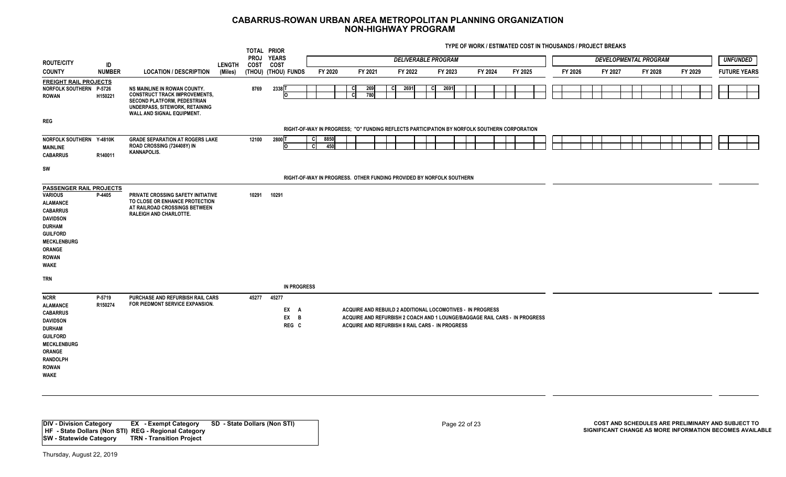**TYPE OF WORK / ESTIMATED COST IN THOUSANDS / PROJECT BREAKS**

|                                                                                                                                                                                                                            |                   |                                                                                                                                                                                   |               | TOTAL PRIOR<br><b>PROJ</b> | <b>YEARS</b>                |                                                                                              |             |                |            |     |         |    | <b>DELIVERABLE PROGRAM</b>                                                                                                                                                                  |         |  |         |  |         |  |         | <b>DEVELOPMENTAL PROGRAM</b> |         |  |         | <b>UNFUNDED</b> |                     |
|----------------------------------------------------------------------------------------------------------------------------------------------------------------------------------------------------------------------------|-------------------|-----------------------------------------------------------------------------------------------------------------------------------------------------------------------------------|---------------|----------------------------|-----------------------------|----------------------------------------------------------------------------------------------|-------------|----------------|------------|-----|---------|----|---------------------------------------------------------------------------------------------------------------------------------------------------------------------------------------------|---------|--|---------|--|---------|--|---------|------------------------------|---------|--|---------|-----------------|---------------------|
| <b>ROUTE/CITY</b>                                                                                                                                                                                                          | ID                |                                                                                                                                                                                   | <b>LENGTH</b> | <b>COST</b>                | COST                        |                                                                                              |             |                |            |     |         |    |                                                                                                                                                                                             |         |  |         |  |         |  |         |                              |         |  |         |                 |                     |
| <b>COUNTY</b>                                                                                                                                                                                                              | <b>NUMBER</b>     | <b>LOCATION / DESCRIPTION</b>                                                                                                                                                     | (Miles)       |                            | (THOU) (THOU) FUNDS         |                                                                                              | FY 2020     |                | FY 2021    |     | FY 2022 |    | FY 2023                                                                                                                                                                                     | FY 2024 |  | FY 2025 |  | FY 2026 |  | FY 2027 |                              | FY 2028 |  | FY 2029 |                 | <b>FUTURE YEARS</b> |
| <b>FREIGHT RAIL PROJECTS</b><br>NORFOLK SOUTHERN P-5726<br><b>ROWAN</b>                                                                                                                                                    | H150221           | NS MAINLINE IN ROWAN COUNTY.<br><b>CONSTRUCT TRACK IMPROVEMENTS,</b><br><b>SECOND PLATFORM, PEDESTRIAN</b><br>UNDERPASS, SITEWORK, RETAINING<br><b>WALL AND SIGNAL EQUIPMENT.</b> |               | 8769                       | 2338 T<br>O                 |                                                                                              |             | <b>C</b><br>c, | 269<br>780 | -CI | 2691    | C. | 2691                                                                                                                                                                                        |         |  |         |  |         |  |         |                              |         |  |         |                 |                     |
| <b>REG</b>                                                                                                                                                                                                                 |                   |                                                                                                                                                                                   |               |                            |                             |                                                                                              |             |                |            |     |         |    |                                                                                                                                                                                             |         |  |         |  |         |  |         |                              |         |  |         |                 |                     |
|                                                                                                                                                                                                                            |                   |                                                                                                                                                                                   |               |                            |                             | RIGHT-OF-WAY IN PROGRESS; "O" FUNDING REFLECTS PARTICIPATION BY NORFOLK SOUTHERN CORPORATION |             |                |            |     |         |    |                                                                                                                                                                                             |         |  |         |  |         |  |         |                              |         |  |         |                 |                     |
| NORFOLK SOUTHERN Y-4810K<br><b>MAINLINE</b><br><b>CABARRUS</b>                                                                                                                                                             | R140011           | <b>GRADE SEPARATION AT ROGERS LAKE</b><br>ROAD CROSSING (724408Y) IN<br><b>KANNAPOLIS.</b>                                                                                        |               | 12100                      | 2800 T<br>I٥                | -CI<br><b>cl</b>                                                                             | 8850<br>450 |                |            |     |         |    |                                                                                                                                                                                             |         |  |         |  |         |  |         |                              |         |  |         |                 |                     |
| SW                                                                                                                                                                                                                         |                   |                                                                                                                                                                                   |               |                            |                             | RIGHT-OF-WAY IN PROGRESS. OTHER FUNDING PROVIDED BY NORFOLK SOUTHERN                         |             |                |            |     |         |    |                                                                                                                                                                                             |         |  |         |  |         |  |         |                              |         |  |         |                 |                     |
| <b>PASSENGER RAIL PROJECTS</b><br><b>VARIOUS</b><br><b>ALAMANCE</b><br><b>CABARRUS</b><br><b>DAVIDSON</b><br><b>DURHAM</b><br><b>GUILFORD</b><br><b>MECKLENBURG</b><br><b>ORANGE</b><br><b>ROWAN</b><br>WAKE<br><b>TRN</b> | P-4405            | PRIVATE CROSSING SAFETY INITIATIVE<br>TO CLOSE OR ENHANCE PROTECTION<br>AT RAILROAD CROSSINGS BETWEEN<br><b>RALEIGH AND CHARLOTTE.</b>                                            |               | 10291                      | 10291<br><b>IN PROGRESS</b> |                                                                                              |             |                |            |     |         |    |                                                                                                                                                                                             |         |  |         |  |         |  |         |                              |         |  |         |                 |                     |
| <b>NCRR</b><br><b>ALAMANCE</b><br><b>CABARRUS</b><br><b>DAVIDSON</b><br><b>DURHAM</b><br><b>GUILFORD</b><br><b>MECKLENBURG</b><br><b>ORANGE</b><br><b>RANDOLPH</b><br><b>ROWAN</b><br>WAKE                                 | P-5719<br>R150274 | PURCHASE AND REFURBISH RAIL CARS<br>FOR PIEDMONT SERVICE EXPANSION.                                                                                                               |               | 45277 45277                | EX A<br>EX B<br>REG C       |                                                                                              |             |                |            |     |         |    | ACQUIRE AND REBUILD 2 ADDITIONAL LOCOMOTIVES - IN PROGRESS<br>ACQUIRE AND REFURBISH 2 COACH AND 1 LOUNGE/BAGGAGE RAIL CARS - IN PROGRESS<br>ACQUIRE AND REFURBISH 8 RAIL CARS - IN PROGRESS |         |  |         |  |         |  |         |                              |         |  |         |                 |                     |

**DIV - Division Category EX - Exempt Category SD - State Dollars (Non STI) HF - State Dollars (Non STI) REG - Regional Category SW - Statewide Category TRN - Transition Project**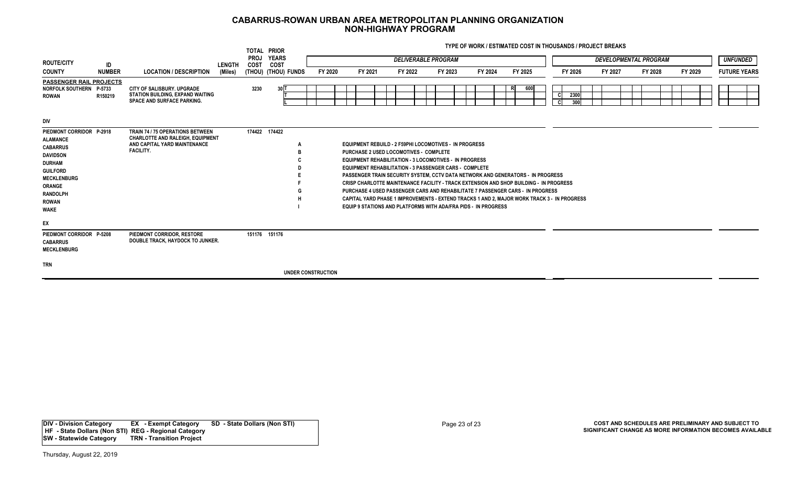**TYPE OF WORK / ESTIMATED COST IN THOUSANDS / PROJECT BREAKS**

|                                                                                                                                                                                                                                    |               |                                                                                                                                        |         |                            | TOTAL PRIOR               |         |                                                                                                                                                                                                                                                                                                                                                                                                                                                                                                                                                                                                                                                                                                |  |         |                            |         |     |         |                     |             |         |                              |         |  |          |                     |
|------------------------------------------------------------------------------------------------------------------------------------------------------------------------------------------------------------------------------------|---------------|----------------------------------------------------------------------------------------------------------------------------------------|---------|----------------------------|---------------------------|---------|------------------------------------------------------------------------------------------------------------------------------------------------------------------------------------------------------------------------------------------------------------------------------------------------------------------------------------------------------------------------------------------------------------------------------------------------------------------------------------------------------------------------------------------------------------------------------------------------------------------------------------------------------------------------------------------------|--|---------|----------------------------|---------|-----|---------|---------------------|-------------|---------|------------------------------|---------|--|----------|---------------------|
| <b>ROUTE/CITY</b>                                                                                                                                                                                                                  | ID            |                                                                                                                                        | LENGTH  | <b>PROJ</b><br><b>COST</b> | <b>YEARS</b><br>COST      |         |                                                                                                                                                                                                                                                                                                                                                                                                                                                                                                                                                                                                                                                                                                |  |         | <b>DELIVERABLE PROGRAM</b> |         |     |         |                     |             |         | <b>DEVELOPMENTAL PROGRAM</b> |         |  | UNFUNDED |                     |
| <b>COUNTY</b>                                                                                                                                                                                                                      | <b>NUMBER</b> | <b>LOCATION / DESCRIPTION</b>                                                                                                          | (Miles) |                            | (THOU) (THOU) FUNDS       | FY 2020 | FY 2021                                                                                                                                                                                                                                                                                                                                                                                                                                                                                                                                                                                                                                                                                        |  | FY 2022 | FY 2023                    | FY 2024 |     | FY 2025 |                     | FY 2026     | FY 2027 | FY 2028                      | FY 2029 |  |          | <b>FUTURE YEARS</b> |
| <b>PASSENGER RAIL PROJECTS</b><br>NORFOLK SOUTHERN P-5733<br><b>ROWAN</b>                                                                                                                                                          | R150219       | CITY OF SALISBURY, UPGRADE<br>STATION BUILDING, EXPAND WAITING<br><b>SPACE AND SURFACE PARKING.</b>                                    |         | 3230                       | 30 <sup>T</sup>           |         |                                                                                                                                                                                                                                                                                                                                                                                                                                                                                                                                                                                                                                                                                                |  |         |                            |         | -RI | 600     | <sub>C</sub><br>-cl | 2300<br>300 |         |                              |         |  |          |                     |
| <b>DIV</b><br>PIEDMONT CORRIDOR P-2918<br><b>ALAMANCE</b><br><b>CABARRUS</b><br><b>DAVIDSON</b><br><b>DURHAM</b><br><b>GUILFORD</b><br><b>MECKLENBURG</b><br><b>ORANGE</b><br><b>RANDOLPH</b><br><b>ROWAN</b><br><b>WAKE</b><br>EX |               | <b>TRAIN 74 / 75 OPERATIONS BETWEEN</b><br><b>CHARLOTTE AND RALEIGH, EQUIPMENT</b><br>AND CAPITAL YARD MAINTENANCE<br><b>FACILITY.</b> |         |                            | 174422 174422             |         | <b>EQUIPMENT REBUILD - 2 F59PHI LOCOMOTIVES - IN PROGRESS</b><br>PURCHASE 2 USED LOCOMOTIVES - COMPLETE<br><b>EQUIPMENT REHABILITATION - 3 LOCOMOTIVES - IN PROGRESS</b><br><b>EQUIPMENT REHABILITATION - 3 PASSENGER CARS - COMPLETE</b><br><b>PASSENGER TRAIN SECURITY SYSTEM. CCTV DATA NETWORK AND GENERATORS - IN PROGRESS</b><br><b>CRISP CHARLOTTE MAINTENANCE FACILITY - TRACK EXTENSION AND SHOP BUILDING - IN PROGRESS</b><br>PURCHASE 4 USED PASSENGER CARS AND REHABILITATE 7 PASSENGER CARS - IN PROGRESS<br>CAPITAL YARD PHASE 1 IMPROVEMENTS - EXTEND TRACKS 1 AND 2, MAJOR WORK TRACK 3 - IN PROGRESS<br><b>EQUIP 9 STATIONS AND PLATFORMS WITH ADA/FRA PIDS - IN PROGRESS</b> |  |         |                            |         |     |         |                     |             |         |                              |         |  |          |                     |
| PIEDMONT CORRIDOR P-5208<br><b>CABARRUS</b><br><b>MECKLENBURG</b>                                                                                                                                                                  |               | PIEDMONT CORRIDOR, RESTORE<br>DOUBLE TRACK, HAYDOCK TO JUNKER.                                                                         |         |                            | 151176 151176             |         |                                                                                                                                                                                                                                                                                                                                                                                                                                                                                                                                                                                                                                                                                                |  |         |                            |         |     |         |                     |             |         |                              |         |  |          |                     |
| <b>TRN</b>                                                                                                                                                                                                                         |               |                                                                                                                                        |         |                            | <b>UNDER CONSTRUCTION</b> |         |                                                                                                                                                                                                                                                                                                                                                                                                                                                                                                                                                                                                                                                                                                |  |         |                            |         |     |         |                     |             |         |                              |         |  |          |                     |

**DIV - Division Category EX - Exempt Category SD - State Dollars (Non STI) HF - State Dollars (Non STI) REG - Regional Category SW - Statewide Category TRN - Transition Project**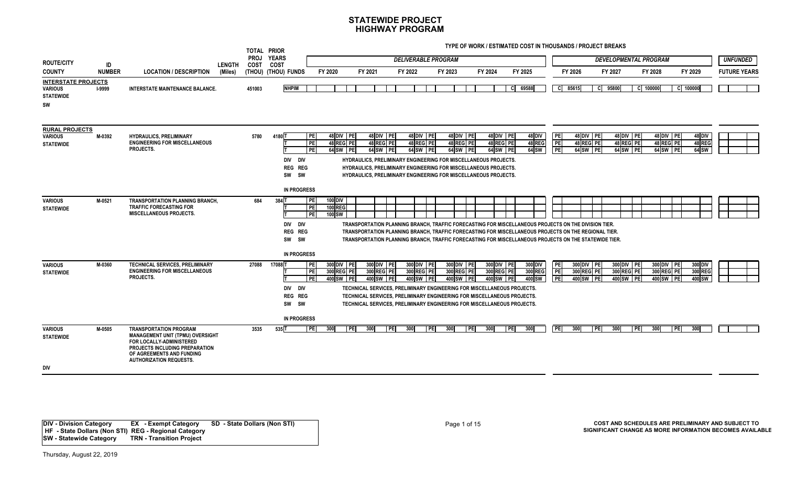**TYPE OF WORK / ESTIMATED COST IN THOUSANDS / PROJECT BREAKS**

|                                                                        |               |                                                                                                                                                                                                       |               |                            | TOTAL PRIOR                                                 |                                                                  |                                                                                                                                                                                                                                                                                                                       |                                       |                                       |                                       |                              |                       |                                       |                              |                                    |                                       |                                |                     |
|------------------------------------------------------------------------|---------------|-------------------------------------------------------------------------------------------------------------------------------------------------------------------------------------------------------|---------------|----------------------------|-------------------------------------------------------------|------------------------------------------------------------------|-----------------------------------------------------------------------------------------------------------------------------------------------------------------------------------------------------------------------------------------------------------------------------------------------------------------------|---------------------------------------|---------------------------------------|---------------------------------------|------------------------------|-----------------------|---------------------------------------|------------------------------|------------------------------------|---------------------------------------|--------------------------------|---------------------|
| <b>ROUTE/CITY</b>                                                      | ID            |                                                                                                                                                                                                       | <b>LENGTH</b> | <b>PROJ</b><br><b>COST</b> | <b>YEARS</b><br>COST                                        |                                                                  |                                                                                                                                                                                                                                                                                                                       | <b>DELIVERABLE PROGRAM</b>            |                                       |                                       |                              |                       |                                       | <b>DEVELOPMENTAL PROGRAM</b> |                                    |                                       |                                | <b>UNFUNDED</b>     |
| <b>COUNTY</b>                                                          | <b>NUMBER</b> | <b>LOCATION / DESCRIPTION</b>                                                                                                                                                                         | (Miles)       |                            | (THOU) (THOU) FUNDS                                         | FY 2020                                                          | FY 2021                                                                                                                                                                                                                                                                                                               | FY 2022                               | FY 2023                               | FY 2024                               | FY 2025                      |                       | FY 2026                               | FY 2027                      |                                    | FY 2028                               | FY 2029                        | <b>FUTURE YEARS</b> |
| <b>INTERSTATE PROJECTS</b><br><b>VARIOUS</b><br><b>STATEWIDE</b><br>SW | <b>I-9999</b> | <b>INTERSTATE MAINTENANCE BALANCE.</b>                                                                                                                                                                |               | 451003                     | <b>NHPIM</b>                                                |                                                                  |                                                                                                                                                                                                                                                                                                                       |                                       |                                       |                                       | 69588<br>CI.                 |                       | C 85615                               | C 95800                      | C 100000                           |                                       | C 100000                       |                     |
| <b>RURAL PROJECTS</b><br><b>VARIOUS</b><br><b>STATEWIDE</b>            | M-0392        | <b>HYDRAULICS, PRELIMINARY</b><br><b>ENGINEERING FOR MISCELLANEOUS</b><br>PROJECTS.                                                                                                                   |               | 5780                       | 4180 T<br>DIV DIV<br>REG REG<br>SW SW<br><b>IN PROGRESS</b> | PE<br>48 DIV PE<br>PE<br>48 REG PE<br>PE<br>64 SW PE             | 48 DIV PE<br>48 REG PE<br>64 SW PE<br>HYDRAULICS, PRELIMINARY ENGINEERING FOR MISCELLANEOUS PROJECTS.<br>HYDRAULICS, PRELIMINARY ENGINEERING FOR MISCELLANEOUS PROJECTS.<br>HYDRAULICS, PRELIMINARY ENGINEERING FOR MISCELLANEOUS PROJECTS.                                                                           | 48 DIV PE<br>48 REG PE<br>64 SW PE    | 48 DIV PE<br>48 REG PE<br>64 SW PE    | 48 DIV PE<br>48 REG PE<br>64 SW PE    | 48 DIV<br>48 REG<br>64 SW    | PE<br>PE<br><b>PE</b> | 48 DIV PE<br>48 REG PE<br>64 SW PE    |                              | 48 DIV PE<br>48 REG PE<br>64 SW PE | 48 DIV PE<br>48 REG PE<br>64 SW PE    | 48 DIV<br>48 REG<br>64 SW      |                     |
| <b>VARIOUS</b><br><b>STATEWIDE</b>                                     | M-0521        | <b>TRANSPORTATION PLANNING BRANCH,</b><br><b>TRAFFIC FORECASTING FOR</b><br><b>MISCELLANEOUS PROJECTS.</b>                                                                                            |               | 684                        | 384 T<br>DIV DIV<br>REG REG<br>SW SW<br><b>IN PROGRESS</b>  | 100 DIV<br>PE<br><b>PE</b><br><b>100 REG</b><br>PE<br>100 SW     | TRANSPORTATION PLANNING BRANCH. TRAFFIC FORECASTING FOR MISCELLANEOUS PROJECTS ON THE DIVISION TIER.<br>TRANSPORTATION PLANNING BRANCH, TRAFFIC FORECASTING FOR MISCELLANEOUS PROJECTS ON THE REGIONAL TIER.<br>TRANSPORTATION PLANNING BRANCH, TRAFFIC FORECASTING FOR MISCELLANEOUS PROJECTS ON THE STATEWIDE TIER. |                                       |                                       |                                       |                              |                       |                                       |                              |                                    |                                       |                                |                     |
| <b>VARIOUS</b><br><b>STATEWIDE</b>                                     | M-0360        | <b>TECHNICAL SERVICES, PRELIMINARY</b><br><b>ENGINEERING FOR MISCELLANEOUS</b><br>PROJECTS.                                                                                                           |               | 27088                      | 17088T<br>DIV DIV<br>REG REG<br>SW SW                       | 300 DIV PE<br>PE<br><b>TPEI</b><br>300 REG PE<br>PE<br>400 SW PE | 300 DIV PE<br>300 REG PE<br>400 SW PE<br>TECHNICAL SERVICES. PRELIMINARY ENGINEERING FOR MISCELLANEOUS PROJECTS.<br>TECHNICAL SERVICES, PRELIMINARY ENGINEERING FOR MISCELLANEOUS PROJECTS.<br>TECHNICAL SERVICES. PRELIMINARY ENGINEERING FOR MISCELLANEOUS PROJECTS.                                                | 300 DIV PE<br>300 REG PE<br>400 SW PE | 300 DIV PE<br>300 REG PE<br>400 SW PE | 300 DIV PE<br>300 REG PE<br>400 SW PE | 300 DIV<br>300 REG<br>400 SW | PE<br><b>PE</b><br>PE | 300 DIV PE<br>300 REG PE<br>400 SW PE | 300 DIV PE<br>300 REG PE     | 400 SW PE                          | 300 DIV PE<br>300 REG PE<br>400 SW PE | $300$ DIV<br>300 REG<br>400 SW |                     |
| <b>VARIOUS</b><br><b>STATEWIDE</b><br><b>DIV</b>                       | M-0505        | <b>TRANSPORTATION PROGRAM</b><br><b>MANAGEMENT UNIT (TPMU) OVERSIGHT</b><br>FOR LOCALLY-ADMINISTERED<br>PROJECTS INCLUDING PREPARATION<br>OF AGREEMENTS AND FUNDING<br><b>AUTHORIZATION REQUESTS.</b> |               | 3535                       | <b>IN PROGRESS</b><br>535T                                  | PE <br>300                                                       | 300<br><b>TPEI</b><br>l PEI                                                                                                                                                                                                                                                                                           | 300<br><b>TPE</b>                     | 300<br><b>TPEI</b>                    | 300                                   | 300<br>PE                    | <b>PE</b>             | 300                                   | 300<br><b>PE</b>             | <b>PEI</b>                         | 300<br><b>TPE</b>                     | 300                            |                     |

**DIV - Division Category EX - Exempt Category SD - State Dollars (Non STI) HF - State Dollars (Non STI) REG - Regional Category SW - Statewide Category TRN - Transition Project**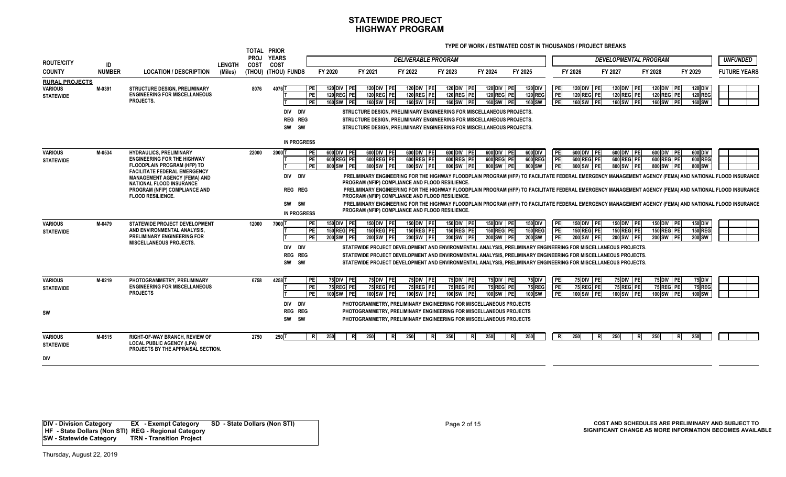**TYPE OF WORK / ESTIMATED COST IN THOUSANDS / PROJECT BREAKS**

| <b>ROUTE/CITY</b>                                           |                     |                                                                                                                                                                                                                                                                                   |                          | TOTAL PRIOR<br><b>PROJ</b> | <b>YEARS</b>                                                        |                                     |                                       |                                                                                                                                                                                                | <b>DELIVERABLE PROGRAM</b>            |                                                                                                                                                                                                                                                                  |                                       |                                                                                                                                                                                                                                                                                                                                                                                        |                              |                                       | <b>DEVELOPMENTAL PROGRAM</b>          |                                       |                                                    | <b>UNFUNDED</b>                                                                                                                                                                                                                                                                                                                                                                                                                                                            |
|-------------------------------------------------------------|---------------------|-----------------------------------------------------------------------------------------------------------------------------------------------------------------------------------------------------------------------------------------------------------------------------------|--------------------------|----------------------------|---------------------------------------------------------------------|-------------------------------------|---------------------------------------|------------------------------------------------------------------------------------------------------------------------------------------------------------------------------------------------|---------------------------------------|------------------------------------------------------------------------------------------------------------------------------------------------------------------------------------------------------------------------------------------------------------------|---------------------------------------|----------------------------------------------------------------------------------------------------------------------------------------------------------------------------------------------------------------------------------------------------------------------------------------------------------------------------------------------------------------------------------------|------------------------------|---------------------------------------|---------------------------------------|---------------------------------------|----------------------------------------------------|----------------------------------------------------------------------------------------------------------------------------------------------------------------------------------------------------------------------------------------------------------------------------------------------------------------------------------------------------------------------------------------------------------------------------------------------------------------------------|
| <b>COUNTY</b>                                               | ID<br><b>NUMBER</b> | <b>LOCATION / DESCRIPTION</b>                                                                                                                                                                                                                                                     | <b>LENGTH</b><br>(Miles) | <b>COST</b>                | COST<br>(THOU) (THOU) FUNDS                                         |                                     | FY 2020                               | FY 2021                                                                                                                                                                                        | FY 2022                               | FY 2023                                                                                                                                                                                                                                                          | FY 2024                               | FY 2025                                                                                                                                                                                                                                                                                                                                                                                |                              | FY 2026                               | FY 2027                               | FY 2028                               | FY 2029                                            | <b>FUTURE YEARS</b>                                                                                                                                                                                                                                                                                                                                                                                                                                                        |
| <b>RURAL PROJECTS</b><br><b>VARIOUS</b><br><b>STATEWIDE</b> | M-0391              | <b>STRUCTURE DESIGN, PRELIMINARY</b><br><b>ENGINEERING FOR MISCELLANEOUS</b><br>PROJECTS.                                                                                                                                                                                         |                          | 8076                       | 4076<br>DIV DIV<br><b>REG REG</b><br>SW<br>sw<br><b>IN PROGRESS</b> | <b>PE</b><br><b>PE</b><br><b>PE</b> | 120 DIV PE<br>120 REG PE<br>160 SW PE | 120 DIV PE<br>120 REG PE<br>160 SW PE                                                                                                                                                          | 120 DIV PE<br>120 REG PE<br>160 SW PE | 120 DIV PE<br>120 REG PE<br>160 SW PE<br>STRUCTURE DESIGN. PRELIMINARY ENGINEERING FOR MISCELLANEOUS PROJECTS.<br>STRUCTURE DESIGN, PRELIMINARY ENGINEERING FOR MISCELLANEOUS PROJECTS.<br>STRUCTURE DESIGN, PRELIMINARY ENGINEERING FOR MISCELLANEOUS PROJECTS. | 120 DIV PE<br>120 REG PE<br>160 SW PE | <b>120 DIV</b><br><b>120 REG</b><br>160 SW                                                                                                                                                                                                                                                                                                                                             | PE<br>PE<br><b>PE</b>        | 120 DIV PE<br>120 REG PE<br>160 SW PE | 120 DIV PE<br>120 REG PE<br>160 SW PE | 120 DIV PE<br>120 REG PE<br>160 SW PE | 120 DIV<br><b>120 REG</b><br>160 SW                |                                                                                                                                                                                                                                                                                                                                                                                                                                                                            |
| <b>VARIOUS</b><br><b>STATEWIDE</b>                          | M-0534              | <b>HYDRAULICS, PRELIMINARY</b><br><b>ENGINEERING FOR THE HIGHWAY</b><br>FLOODPLAIN PROGRAM (HFP) TO<br><b>FACILITATE FEDERAL EMERGENCY</b><br><b>MANAGEMENT AGENCY (FEMA) AND</b><br><b>NATIONAL FLOOD INSURANCE</b><br>PROGRAM (NFIP) COMPLIANCE AND<br><b>FLOOD RESILIENCE.</b> |                          | 22000                      | 20001<br>DIV DIV<br><b>REG REG</b><br>SW SW<br><b>IN PROGRESS</b>   | <b>PE</b><br><b>PE</b><br>PE        | 600 DIV PE<br>600 REG PE<br>800 SW PE | 600 DIV PE<br>600 REG PE<br>800 SW PE<br>PROGRAM (NFIP) COMPLIANCE AND FLOOD RESILIENCE.<br>PROGRAM (NFIP) COMPLIANCE AND FLOOD RESILIENCE.<br>PROGRAM (NFIP) COMPLIANCE AND FLOOD RESILIENCE. | 600 DIV PE<br>600 REG PE<br>800 SW PE | 600 DIV PE<br>600 REG PE<br>800 SW PE                                                                                                                                                                                                                            | 600 DIV PE<br>600 REG PE<br>800 SW PE | 600 DIV<br>600REG<br>$800$ <sub>SW</sub>                                                                                                                                                                                                                                                                                                                                               | <b>PE</b><br>PE<br><b>PE</b> | 600 DIV PE<br>600 REG PE<br>800 SW PE | 600 DIV PE<br>600 REG PE<br>800 SW PE | 600 DIV PE<br>600 REG PE<br>800 SW PE | 600 DIV<br>600 REG<br>800 SW                       | PRELIMINARY ENGINEERING FOR THE HIGHWAY FLOODPLAIN PROGRAM (HFP) TO FACILITATE FEDERAL EMERGENCY MANAGEMENT AGENCY (FEMA) AND NATIONAL FLOOD INSURANCE<br>PRELIMINARY ENGINEERING FOR THE HIGHWAY FLOODPLAIN PROGRAM (HFP) TO FACILITATE FEDERAL EMERGENCY MANAGEMENT AGENCY (FEMA) AND NATIONAL FLOOD INSURANCE<br>PRELIMINARY ENGINEERING FOR THE HIGHWAY FLOODPLAIN PROGRAM (HFP) TO FACILITATE FEDERAL EMERGENCY MANAGEMENT AGENCY (FEMA) AND NATIONAL FLOOD INSURANCE |
| <b>VARIOUS</b><br><b>STATEWIDE</b>                          | M-0479              | <b>STATEWIDE PROJECT DEVELOPMENT</b><br>AND ENVIRONMENTAL ANALYSIS.<br><b>PRELIMINARY ENGINEERING FOR</b><br><b>MISCELLANEOUS PROJECTS.</b>                                                                                                                                       |                          | 12000                      | 7000 <b>1</b><br>DIV DIV<br>REG REG<br>SW SW                        | <b>PE</b><br><b>PE</b><br><b>PE</b> | 150 DIV PE<br>150 REG PE<br>200 SW PE | 150 DIV PE<br>150 REG PE<br>200 SW PE                                                                                                                                                          | 150 DIV PE<br>150 REG PE<br>200 SW PE | 150 DIV PE<br>150 REG PE<br>200 SW PE                                                                                                                                                                                                                            | 150 DIV PE<br>150 REG PE<br>200 SW PE | 150 DIV<br><b>150 REG</b><br>200 SW<br>STATEWIDE PROJECT DEVELOPMENT AND ENVIRONMENTAL ANALYSIS. PRELIMINARY ENGINEERING FOR MISCELLANEOUS PROJECTS.<br>STATEWIDE PROJECT DEVELOPMENT AND ENVIRONMENTAL ANALYSIS. PRELIMINARY ENGINEERING FOR MISCELLANEOUS PROJECTS.<br>STATEWIDE PROJECT DEVELOPMENT AND ENVIRONMENTAL ANALYSIS. PRELIMINARY ENGINEERING FOR MISCELLANEOUS PROJECTS. | PE<br>PE<br><b>PE</b>        | 150 DIV PE<br>150 REG PE<br>200 SW PE | 150 DIV PE<br>150 REG PE<br>200 SW PE | 150 DIV PE<br>150 REG PE<br>200 SW PE | $150$ <sub>DIV</sub><br><b>150 REG</b><br>$200$ SW |                                                                                                                                                                                                                                                                                                                                                                                                                                                                            |
| <b>VARIOUS</b><br><b>STATEWIDE</b><br>sw                    | M-0219              | PHOTOGRAMMETRY, PRELIMINARY<br><b>ENGINEERING FOR MISCELLANEOUS</b><br><b>PROJECTS</b>                                                                                                                                                                                            |                          | 6758                       | 42581<br>DIV DIV<br>REG REG<br>SW SW                                | <b>PE</b><br><b>PE</b><br><b>PE</b> | 75 DIV PE<br>75 REG PE<br>100 SW PE   | 75 DIV PE<br>75 REG PE<br>100 SW PE                                                                                                                                                            | 75 DIV PE<br>75 REG PE<br>100 SW PE   | 75 DIV PE<br>75 REG PE<br>100 SW PE<br>PHOTOGRAMMETRY, PRELIMINARY ENGINEERING FOR MISCELLANEOUS PROJECTS<br>PHOTOGRAMMETRY, PRELIMINARY ENGINEERING FOR MISCELLANEOUS PROJECTS<br>PHOTOGRAMMETRY, PRELIMINARY ENGINEERING FOR MISCELLANEOUS PROJECTS            | 75 DIV PE<br>75 REG PE<br>100 SW PE   | <b>75 DIV</b><br>75 REG<br>100 SW                                                                                                                                                                                                                                                                                                                                                      | PE<br>PE<br><b>PE</b>        | 75 DIV PE<br>75 REG PE<br>100 SW PE   | 75 DIV PE<br>75 REG PE<br>100 SW PE   | 75 DIV PE<br>75 REG PE<br>100 SW PE   | <b>75 DIV</b><br>75 REG<br>100 SW                  |                                                                                                                                                                                                                                                                                                                                                                                                                                                                            |
| <b>VARIOUS</b><br><b>STATEWIDE</b><br>div                   | M-0515              | <b>RIGHT-OF-WAY BRANCH, REVIEW OF</b><br><b>LOCAL PUBLIC AGENCY (LPA)</b><br>PROJECTS BY THE APPRAISAL SECTION.                                                                                                                                                                   |                          | 2750                       | $250$ T                                                             | -RI                                 | 250<br>$\overline{R}$                 | 250<br>-R.                                                                                                                                                                                     | 250<br>-R.                            | 250                                                                                                                                                                                                                                                              | 250                                   | 250<br>R                                                                                                                                                                                                                                                                                                                                                                               | $R_{\rm}$                    | 250<br>R                              | 250<br><b>R</b>                       | 250                                   | R<br>250                                           |                                                                                                                                                                                                                                                                                                                                                                                                                                                                            |

**DIV - Division Category EX - Exempt Category SD - State Dollars (Non STI) HF - State Dollars (Non STI) REG - Regional Category SW - Statewide Category TRN - Transition Project**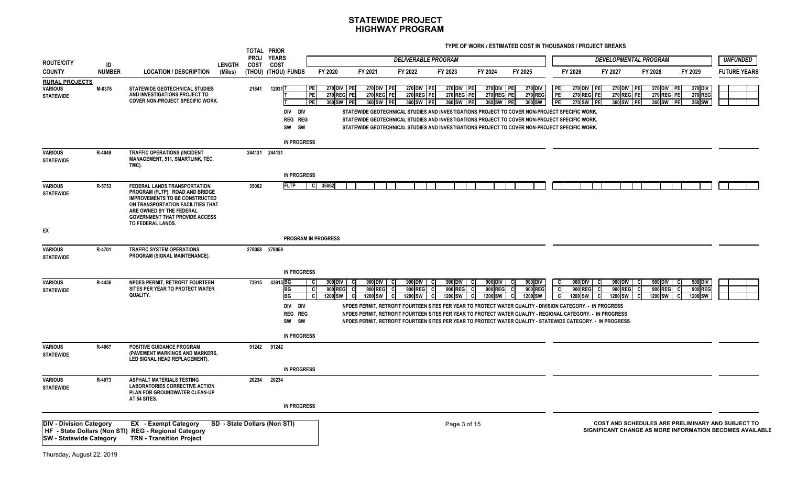|                                                                  |               |                                                                                                                                                                                                                                         |         | TOTAL PRIOR<br><b>PROJ</b> | <b>YEARS</b>                           |                       |                                                        |                                              |                                         |                                                                                                                                                                                                                                                                                                                                         |     |                                       |                                            |                         |                                              |                                                                                                               |                                          |                                       |                                     |                     |
|------------------------------------------------------------------|---------------|-----------------------------------------------------------------------------------------------------------------------------------------------------------------------------------------------------------------------------------------|---------|----------------------------|----------------------------------------|-----------------------|--------------------------------------------------------|----------------------------------------------|-----------------------------------------|-----------------------------------------------------------------------------------------------------------------------------------------------------------------------------------------------------------------------------------------------------------------------------------------------------------------------------------------|-----|---------------------------------------|--------------------------------------------|-------------------------|----------------------------------------------|---------------------------------------------------------------------------------------------------------------|------------------------------------------|---------------------------------------|-------------------------------------|---------------------|
| <b>ROUTE/CITY</b>                                                | ID            |                                                                                                                                                                                                                                         | LENGTH  | COST                       | COST                                   |                       |                                                        |                                              | <b>DELIVERABLE PROGRAM</b>              |                                                                                                                                                                                                                                                                                                                                         |     |                                       |                                            |                         |                                              | <b>DEVELOPMENTAL PROGRAM</b>                                                                                  |                                          |                                       |                                     | <b>UNFUNDED</b>     |
| <b>COUNTY</b>                                                    | <b>NUMBER</b> | <b>LOCATION / DESCRIPTION</b>                                                                                                                                                                                                           | (Miles) |                            | (THOU) (THOU) FUNDS                    |                       | FY 2020                                                | FY 2021                                      | FY 2022                                 | FY 2023                                                                                                                                                                                                                                                                                                                                 |     | FY 2024                               | FY 2025                                    |                         | FY 2026                                      | FY 2027                                                                                                       | FY 2028                                  |                                       | FY 2029                             | <b>FUTURE YEARS</b> |
| <b>RURAL PROJECTS</b><br><b>VARIOUS</b><br><b>STATEWIDE</b>      | M-0376        | <b>STATEWIDE GEOTECHNICAL STUDIES</b><br>AND INVESTIGATIONS PROJECT TO<br><b>COVER NON-PROJECT SPECIFIC WORK.</b>                                                                                                                       |         | 21841                      | 129311<br>DIV DIV                      | PE<br>PE<br>PE        | 270 DIV PE<br><b>270 REG PE</b><br>360 SW PE           | 270 DIV PE<br><b>270 REG PE</b><br>360 SW PE | 270 DIV PE<br>270 REGI PEI<br>360 SW PE | 270 DIV PE<br><b>270 REG PE</b><br>360 SW PE<br>STATEWIDE GEOTECHNICAL STUDIES AND INVESTIGATIONS PROJECT TO COVER NON-PROJECT SPECIFIC WORK.                                                                                                                                                                                           |     | 270 DIV PE<br>270 REG PE<br>360 SW PE | <b>270 DIV</b><br><b>270 REG</b><br>360 SW | PE<br><b>PE</b><br>  PE | 270 DIV PE<br><b>270 REG PE</b><br>270 SW PE | 270 DIV PE<br><b>270 REG PE</b><br>360 SW PE                                                                  |                                          | 270 DIV PE<br>270 REG PE<br>360 SW PE | 270 DIV<br><b>270 REG</b><br>360 SW |                     |
|                                                                  |               |                                                                                                                                                                                                                                         |         |                            | REG REG<br>SW SW<br><b>IN PROGRESS</b> |                       |                                                        |                                              |                                         | STATEWIDE GEOTECHNICAL STUDIES AND INVESTIGATIONS PROJECT TO COVER NON-PROJECT SPECIFIC WORK.<br>STATEWIDE GEOTECHNICAL STUDIES AND INVESTIGATIONS PROJECT TO COVER NON-PROJECT SPECIFIC WORK.                                                                                                                                          |     |                                       |                                            |                         |                                              |                                                                                                               |                                          |                                       |                                     |                     |
| <b>VARIOUS</b><br><b>STATEWIDE</b>                               | R-4049        | <b>TRAFFIC OPERATIONS (INCIDENT</b><br><b>MANAGEMENT, 511, SMARTLINK, TEC,</b><br>TMC).                                                                                                                                                 |         | 244131 244131              |                                        |                       |                                                        |                                              |                                         |                                                                                                                                                                                                                                                                                                                                         |     |                                       |                                            |                         |                                              |                                                                                                               |                                          |                                       |                                     |                     |
|                                                                  |               |                                                                                                                                                                                                                                         |         |                            | <b>IN PROGRESS</b>                     |                       |                                                        |                                              |                                         |                                                                                                                                                                                                                                                                                                                                         |     |                                       |                                            |                         |                                              |                                                                                                               |                                          |                                       |                                     |                     |
| <b>VARIOUS</b><br><b>STATEWIDE</b>                               | R-5753        | FEDERAL LANDS TRANSPORTATION<br>PROGRAM (FLTP). ROAD AND BRIDGE<br><b>IMPROVEMENTS TO BE CONSTRUCTED</b><br>ON TRANSPORTATION FACILITIES THAT<br>ARE OWNED BY THE FEDERAL<br><b>GOVERNMENT THAT PROVIDE ACCESS</b><br>TO FEDERAL LANDS. |         | 35062                      | <b>FLTP</b>                            | 35062<br>- CI         |                                                        |                                              |                                         |                                                                                                                                                                                                                                                                                                                                         |     |                                       |                                            |                         |                                              |                                                                                                               |                                          |                                       |                                     |                     |
| EX                                                               |               |                                                                                                                                                                                                                                         |         |                            |                                        |                       |                                                        |                                              |                                         |                                                                                                                                                                                                                                                                                                                                         |     |                                       |                                            |                         |                                              |                                                                                                               |                                          |                                       |                                     |                     |
| <b>VARIOUS</b>                                                   | R-4701        | <b>TRAFFIC SYSTEM OPERATIONS</b>                                                                                                                                                                                                        |         | 278058 278058              | <b>PROGRAM IN PROGRESS</b>             |                       |                                                        |                                              |                                         |                                                                                                                                                                                                                                                                                                                                         |     |                                       |                                            |                         |                                              |                                                                                                               |                                          |                                       |                                     |                     |
| <b>STATEWIDE</b>                                                 |               | PROGRAM (SIGNAL MAINTENANCE).                                                                                                                                                                                                           |         |                            |                                        |                       |                                                        |                                              |                                         |                                                                                                                                                                                                                                                                                                                                         |     |                                       |                                            |                         |                                              |                                                                                                               |                                          |                                       |                                     |                     |
|                                                                  |               |                                                                                                                                                                                                                                         |         |                            | <b>IN PROGRESS</b>                     |                       |                                                        |                                              |                                         |                                                                                                                                                                                                                                                                                                                                         |     |                                       |                                            |                         |                                              |                                                                                                               |                                          |                                       |                                     |                     |
| <b>VARIOUS</b><br><b>STATEWIDE</b>                               | R-4436        | NPDES PERMIT. RETROFIT FOURTEEN<br>SITES PER YEAR TO PROTECT WATER<br>QUALITY.                                                                                                                                                          |         | 73915                      | 43915 BG<br>BG<br>BG                   | <b>C</b><br>- C<br>C. | 900 DIV<br>C<br>900 REG<br><b>C</b><br>1200 SW<br>- Cl | 900 DIV C<br>900 REG<br>1200 SW C            | 900 DIV<br>900 REG<br>1200 SW C         | 900 DIV  <br>900 REG<br>1200 SW                                                                                                                                                                                                                                                                                                         | -CI | 900 DIV<br>c<br>900 REG<br>1200 SW    | 900 DIV<br>900 REG<br>1200 SW              | C<br>-cl                | 900 DIV C<br>900 REG<br>1200 SW              | 900 DIV<br>900 REG<br>1200 SW<br>- CI                                                                         | 900 DIV  <br>900 REG<br>1200 SW  <br>-CI |                                       | 900 DIV<br>900 REG<br>1200 SW       |                     |
|                                                                  |               |                                                                                                                                                                                                                                         |         |                            | DIV DIV<br>REG REG<br>SW SW            |                       |                                                        |                                              |                                         | NPDES PERMIT, RETROFIT FOURTEEN SITES PER YEAR TO PROTECT WATER QUALITY - DIVISION CATEGORY. - IN PROGRESS<br>NPDES PERMIT, RETROFIT FOURTEEN SITES PER YEAR TO PROTECT WATER QUALITY - REGIONAL CATEGORY. - IN PROGRESS<br>NPDES PERMIT, RETROFIT FOURTEEN SITES PER YEAR TO PROTECT WATER QUALITY - STATEWIDE CATEGORY. - IN PROGRESS |     |                                       |                                            |                         |                                              |                                                                                                               |                                          |                                       |                                     |                     |
|                                                                  |               |                                                                                                                                                                                                                                         |         |                            | <b>IN PROGRESS</b>                     |                       |                                                        |                                              |                                         |                                                                                                                                                                                                                                                                                                                                         |     |                                       |                                            |                         |                                              |                                                                                                               |                                          |                                       |                                     |                     |
| <b>VARIOUS</b><br><b>STATEWIDE</b>                               | R-4067        | <b>POSITIVE GUIDANCE PROGRAM</b><br>(PAVEMENT MARKINGS AND MARKERS.<br>LED SIGNAL HEAD REPLACEMENT).                                                                                                                                    |         | 91242 91242                |                                        |                       |                                                        |                                              |                                         |                                                                                                                                                                                                                                                                                                                                         |     |                                       |                                            |                         |                                              |                                                                                                               |                                          |                                       |                                     |                     |
|                                                                  |               |                                                                                                                                                                                                                                         |         |                            | <b>IN PROGRESS</b>                     |                       |                                                        |                                              |                                         |                                                                                                                                                                                                                                                                                                                                         |     |                                       |                                            |                         |                                              |                                                                                                               |                                          |                                       |                                     |                     |
| <b>VARIOUS</b><br><b>STATEWIDE</b>                               | R-4073        | <b>ASPHALT MATERIALS TESTING</b><br><b>LABORATORIES CORRECTIVE ACTION</b><br>PLAN FOR GROUNDWATER CLEAN-UP<br>AT 54 SITES.                                                                                                              |         | 20234                      | 20234                                  |                       |                                                        |                                              |                                         |                                                                                                                                                                                                                                                                                                                                         |     |                                       |                                            |                         |                                              |                                                                                                               |                                          |                                       |                                     |                     |
|                                                                  |               |                                                                                                                                                                                                                                         |         |                            | <b>IN PROGRESS</b>                     |                       |                                                        |                                              |                                         |                                                                                                                                                                                                                                                                                                                                         |     |                                       |                                            |                         |                                              |                                                                                                               |                                          |                                       |                                     |                     |
| <b>DIV - Division Category</b><br><b>SW</b> - Statewide Category |               | <b>EX</b> - Exempt Category<br>HF - State Dollars (Non STI) REG - Regional Category<br><b>TRN - Transition Project</b>                                                                                                                  |         |                            | SD - State Dollars (Non STI)           |                       |                                                        |                                              |                                         | Page 3 of 15                                                                                                                                                                                                                                                                                                                            |     |                                       |                                            |                         |                                              | COST AND SCHEDULES ARE PRELIMINARY AND SUBJECT TO<br>SIGNIFICANT CHANGE AS MORE INFORMATION BECOMES AVAILABLE |                                          |                                       |                                     |                     |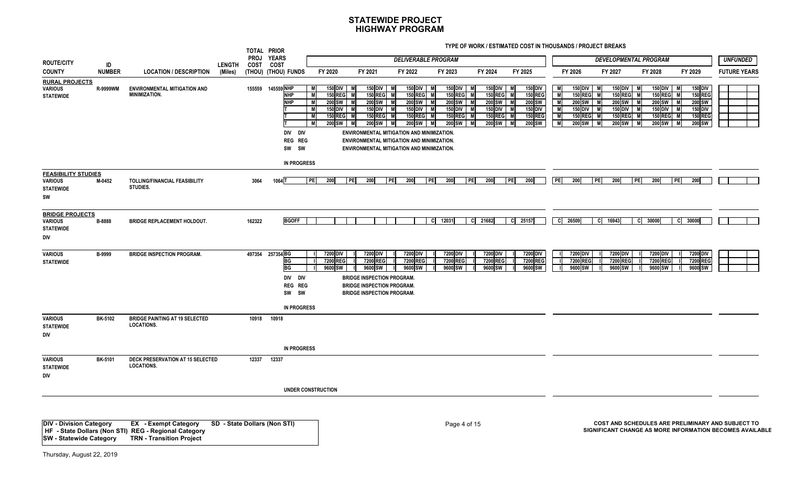**TYPE OF WORK / ESTIMATED COST IN THOUSANDS / PROJECT BREAKS**

|                                                                        |                 |                                                            |               |           | TOTAL PRIOR<br>PROJ YEARS                                                                              |                                                                            |                                                                                                                                                                                                                                                       |                                                                               |                                                                                                    |                                                                                                                       |                                                                                                  |                                           |                                                                                   |                                                                                  |                                                                                   |                                                                                                                   |                                                   |
|------------------------------------------------------------------------|-----------------|------------------------------------------------------------|---------------|-----------|--------------------------------------------------------------------------------------------------------|----------------------------------------------------------------------------|-------------------------------------------------------------------------------------------------------------------------------------------------------------------------------------------------------------------------------------------------------|-------------------------------------------------------------------------------|----------------------------------------------------------------------------------------------------|-----------------------------------------------------------------------------------------------------------------------|--------------------------------------------------------------------------------------------------|-------------------------------------------|-----------------------------------------------------------------------------------|----------------------------------------------------------------------------------|-----------------------------------------------------------------------------------|-------------------------------------------------------------------------------------------------------------------|---------------------------------------------------|
| <b>ROUTE/CITY</b>                                                      | ID              |                                                            | <b>LENGTH</b> | COST COST |                                                                                                        |                                                                            |                                                                                                                                                                                                                                                       |                                                                               | <b>DELIVERABLE PROGRAM</b>                                                                         |                                                                                                                       |                                                                                                  |                                           |                                                                                   | <b>DEVELOPMENTAL PROGRAM</b>                                                     |                                                                                   |                                                                                                                   | <b>UNFUNDED</b>                                   |
| <b>COUNTY</b>                                                          | <b>NUMBER</b>   | <b>LOCATION / DESCRIPTION</b>                              | (Miles)       |           | (THOU) (THOU) FUNDS                                                                                    | FY 2020                                                                    | FY 2021                                                                                                                                                                                                                                               | FY 2022                                                                       | FY 2023                                                                                            | FY 2024                                                                                                               | FY 2025                                                                                          | FY 2026                                   | FY 2027                                                                           |                                                                                  | FY 2028                                                                           | FY 2029                                                                                                           | <b>FUTURE YEARS</b>                               |
| <b>RURAL PROJECTS</b><br>VARIOUS<br><b>STATEWIDE</b>                   | <b>R-9999WM</b> | <b>ENVIRONMENTAL MITIGATION AND</b><br>MINIMIZATION.       |               |           | 155559 145559 NHP<br>M<br><b>NHP</b><br>M<br><b>NHP</b><br><b>M</b><br>DIV DIV<br>REG REG<br>SW SW     | 150 DIV<br><b>150 REG</b><br>200 SW<br>150 DIV<br><b>150 REG</b><br>200 SW | <b>150 DIV</b><br>150 REG M<br>M<br>200 SW<br>M<br>$150$ DIV<br>M<br>150 REG M<br><b>M</b><br>200 SW M<br>M<br>ENVIRONMENTAL MITIGATION AND MINIMIZATION.<br>ENVIRONMENTAL MITIGATION AND MINIMIZATION.<br>ENVIRONMENTAL MITIGATION AND MINIMIZATION. | 150 DIV<br>150 REG M<br>200 SW<br>M<br>150 DIV M<br>lм<br>150 REG M<br>200 SW | 150 DIV<br>M<br><b>150 REG</b><br>$200$ SW<br>M<br><b>150 DIV</b><br><b>150 REG</b><br>200 SW<br>M | <b>150 DIV</b><br><b>150 REG</b><br>M<br>$200$ SW<br>M<br><b>150 DIV</b><br>M<br>150 REG M<br>M<br><b>200 SW</b><br>M | 150 DIV<br><b>150 REG</b><br><b>M</b><br>200 SW<br>M<br>150 DIV<br><b>150 REG</b><br>200 SW<br>M | M<br>M<br>M<br>$\overline{M}$<br><b>M</b> | 150 DIV<br><b>150 REG</b><br>200 SW<br><b>150 DIV</b><br><b>150 REG</b><br>200 SW | 150 DIV  <br><b>150 REG</b><br>200 SW M<br>150 DIV M<br>150 REG M<br>200 SW<br>M | 150 DIV<br><b>150 REG</b><br><b>200 SW</b><br>150 DIV<br><b>150 REG</b><br>200 SW | 150 DIV<br>м<br><b>150 REG</b><br><b>200 SW</b><br>M<br><b>150 DIV</b><br>M<br><b>150 REG</b><br>м<br>200 SW<br>M |                                                   |
|                                                                        |                 |                                                            |               |           | <b>IN PROGRESS</b>                                                                                     |                                                                            |                                                                                                                                                                                                                                                       |                                                                               |                                                                                                    |                                                                                                                       |                                                                                                  |                                           |                                                                                   |                                                                                  |                                                                                   |                                                                                                                   |                                                   |
| <b>FEASIBILITY STUDIES</b><br><b>VARIOUS</b><br><b>STATEWIDE</b><br>SW | M-0452          | TOLLING/FINANCIAL FEASIBILITY<br>STUDIES.                  |               | 3064      | PE<br>1064                                                                                             | 200                                                                        | PE<br>200                                                                                                                                                                                                                                             | 200<br> PE                                                                    | 200<br>  PE                                                                                        | PEI<br>200                                                                                                            | 200<br>  PEI                                                                                     | PE <br>200                                | PE                                                                                | 200<br>  PE                                                                      | 200                                                                               | <b>PE</b><br>200                                                                                                  |                                                   |
| <b>BRIDGE PROJECTS</b><br><b>VARIOUS</b><br><b>STATEWIDE</b><br>DIV    | B-8888          | <b>BRIDGE REPLACEMENT HOLDOUT.</b>                         |               | 162322    | <b>BGOFF</b>                                                                                           |                                                                            |                                                                                                                                                                                                                                                       |                                                                               | 12031<br><b>C</b>                                                                                  | 21682<br>CI                                                                                                           | C 25157                                                                                          | C 26509                                   | C 16943                                                                           |                                                                                  | C 30000                                                                           | C 30000                                                                                                           |                                                   |
| <b>VARIOUS</b><br><b>STATEWIDE</b>                                     | B-9999          | <b>BRIDGE INSPECTION PROGRAM.</b>                          |               |           | 497354 257354 BG<br><b>BG</b><br><b>BG</b><br>DIV DIV<br><b>REG REG</b><br>SW SW<br><b>IN PROGRESS</b> | 7200 DIV<br>7200 REG<br>9600 SW                                            | 7200 DIV<br>7200 REG<br>9600 SW<br><b>BRIDGE INSPECTION PROGRAM.</b><br><b>BRIDGE INSPECTION PROGRAM.</b><br><b>BRIDGE INSPECTION PROGRAM.</b>                                                                                                        | 7200 DIV<br>7200 REG<br>9600 SW                                               | 7200 DIV<br>7200 REG<br>9600 SW                                                                    | 7200 DIV<br>7200 REG<br>9600 SW                                                                                       | 7200 DIV<br>7200 REG<br>9600 SW                                                                  |                                           | 7200 DIV<br>7200 REG<br>9600 SW                                                   | 7200 DIV<br>7200 REG<br>9600 SW                                                  | 7200 DIV<br>7200 REG<br>9600 SW                                                   | 7200 DIV<br>7200 REG<br>9600 SW                                                                                   |                                                   |
| <b>VARIOUS</b><br><b>STATEWIDE</b><br><b>DIV</b>                       | <b>BK-5102</b>  | <b>BRIDGE PAINTING AT 19 SELECTED</b><br><b>LOCATIONS.</b> |               |           | 10918 10918                                                                                            |                                                                            |                                                                                                                                                                                                                                                       |                                                                               |                                                                                                    |                                                                                                                       |                                                                                                  |                                           |                                                                                   |                                                                                  |                                                                                   |                                                                                                                   |                                                   |
|                                                                        |                 |                                                            |               |           | <b>IN PROGRESS</b>                                                                                     |                                                                            |                                                                                                                                                                                                                                                       |                                                                               |                                                                                                    |                                                                                                                       |                                                                                                  |                                           |                                                                                   |                                                                                  |                                                                                   |                                                                                                                   |                                                   |
| <b>VARIOUS</b><br><b>STATEWIDE</b><br>DIV                              | <b>BK-5101</b>  | DECK PRESERVATION AT 15 SELECTED<br><b>LOCATIONS.</b>      |               |           | 12337 12337                                                                                            |                                                                            |                                                                                                                                                                                                                                                       |                                                                               |                                                                                                    |                                                                                                                       |                                                                                                  |                                           |                                                                                   |                                                                                  |                                                                                   |                                                                                                                   |                                                   |
|                                                                        |                 |                                                            |               |           | <b>UNDER CONSTRUCTION</b>                                                                              |                                                                            |                                                                                                                                                                                                                                                       |                                                                               |                                                                                                    |                                                                                                                       |                                                                                                  |                                           |                                                                                   |                                                                                  |                                                                                   |                                                                                                                   |                                                   |
| <b>DIV - Division Category</b>                                         |                 | <b>EX</b> - Exempt Category                                |               |           | SD - State Dollars (Non STI)                                                                           |                                                                            |                                                                                                                                                                                                                                                       |                                                                               | Page 4 of 15                                                                                       |                                                                                                                       |                                                                                                  |                                           |                                                                                   |                                                                                  |                                                                                   |                                                                                                                   | COST AND SCHEDULES ARE PRELIMINARY AND SUBJECT TO |

 **HF - State Dollars (Non STI) REG - Regional Category SW - Statewide Category TRN - Transition Project**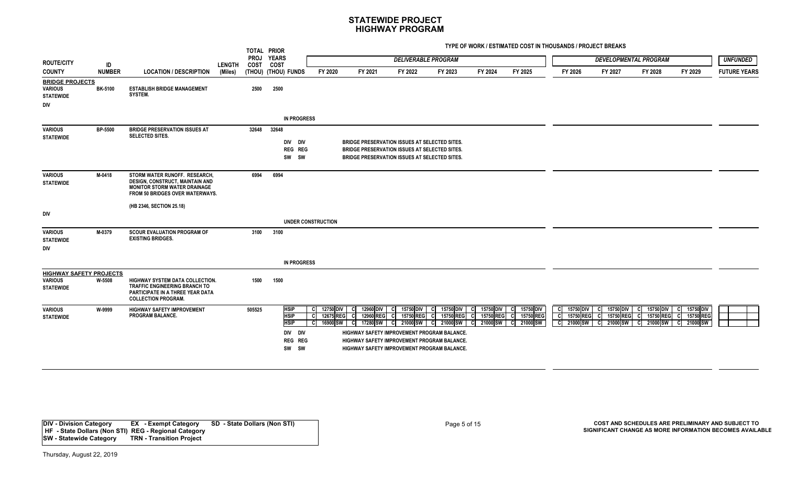**TYPE OF WORK / ESTIMATED COST IN THOUSANDS / PROJECT BREAKS**

|                                                                      |                |                                                                                                                                            |               |        | TOTAL PRIOR                                                                     |                                                         |                                                                                                                                                                                                 |                                                       |                                                    |                                      |                                    |                                                          |                                                   |                                                                    |                                                         |                     |
|----------------------------------------------------------------------|----------------|--------------------------------------------------------------------------------------------------------------------------------------------|---------------|--------|---------------------------------------------------------------------------------|---------------------------------------------------------|-------------------------------------------------------------------------------------------------------------------------------------------------------------------------------------------------|-------------------------------------------------------|----------------------------------------------------|--------------------------------------|------------------------------------|----------------------------------------------------------|---------------------------------------------------|--------------------------------------------------------------------|---------------------------------------------------------|---------------------|
| <b>ROUTE/CITY</b>                                                    | ID             |                                                                                                                                            | <b>LENGTH</b> | COST   | PROJ YEARS<br>COST                                                              |                                                         |                                                                                                                                                                                                 | <b>DELIVERABLE PROGRAM</b>                            |                                                    |                                      |                                    |                                                          |                                                   | <b>DEVELOPMENTAL PROGRAM</b>                                       |                                                         | <b>UNFUNDED</b>     |
| <b>COUNTY</b>                                                        | <b>NUMBER</b>  | <b>LOCATION / DESCRIPTION</b>                                                                                                              | (Miles)       |        | (THOU) (THOU) FUNDS                                                             | FY 2020                                                 | FY 2021                                                                                                                                                                                         | FY 2022                                               | FY 2023                                            | FY 2024                              | FY 2025                            | FY 2026                                                  | FY 2027                                           | FY 2028                                                            | FY 2029                                                 | <b>FUTURE YEARS</b> |
| <b>BRIDGE PROJECTS</b><br><b>VARIOUS</b><br><b>STATEWIDE</b><br>DIV  | <b>BK-5100</b> | <b>ESTABLISH BRIDGE MANAGEMENT</b><br>SYSTEM.                                                                                              |               | 2500   | 2500                                                                            |                                                         |                                                                                                                                                                                                 |                                                       |                                                    |                                      |                                    |                                                          |                                                   |                                                                    |                                                         |                     |
|                                                                      |                |                                                                                                                                            |               |        | <b>IN PROGRESS</b>                                                              |                                                         |                                                                                                                                                                                                 |                                                       |                                                    |                                      |                                    |                                                          |                                                   |                                                                    |                                                         |                     |
| <b>VARIOUS</b><br><b>STATEWIDE</b>                                   | BP-5500        | <b>BRIDGE PRESERVATION ISSUES AT</b><br><b>SELECTED SITES.</b>                                                                             |               | 32648  | 32648<br>DIV DIV<br><b>REG REG</b><br>SW SW                                     |                                                         | <b>BRIDGE PRESERVATION ISSUES AT SELECTED SITES.</b><br><b>BRIDGE PRESERVATION ISSUES AT SELECTED SITES.</b><br>BRIDGE PRESERVATION ISSUES AT SELECTED SITES.                                   |                                                       |                                                    |                                      |                                    |                                                          |                                                   |                                                                    |                                                         |                     |
| <b>VARIOUS</b><br><b>STATEWIDE</b>                                   | M-0418         | STORM WATER RUNOFF. RESEARCH,<br>DESIGN, CONSTRUCT, MAINTAIN AND<br><b>MONITOR STORM WATER DRAINAGE</b><br>FROM 50 BRIDGES OVER WATERWAYS. |               | 6994   | 6994                                                                            |                                                         |                                                                                                                                                                                                 |                                                       |                                                    |                                      |                                    |                                                          |                                                   |                                                                    |                                                         |                     |
| DIV                                                                  |                | (HB 2346, SECTION 25.18)                                                                                                                   |               |        |                                                                                 |                                                         |                                                                                                                                                                                                 |                                                       |                                                    |                                      |                                    |                                                          |                                                   |                                                                    |                                                         |                     |
|                                                                      |                |                                                                                                                                            |               |        |                                                                                 | <b>UNDER CONSTRUCTION</b>                               |                                                                                                                                                                                                 |                                                       |                                                    |                                      |                                    |                                                          |                                                   |                                                                    |                                                         |                     |
| <b>VARIOUS</b><br><b>STATEWIDE</b><br>DIV                            | M-0379         | <b>SCOUR EVALUATION PROGRAM OF</b><br><b>EXISTING BRIDGES.</b>                                                                             |               | 3100   | 3100                                                                            |                                                         |                                                                                                                                                                                                 |                                                       |                                                    |                                      |                                    |                                                          |                                                   |                                                                    |                                                         |                     |
|                                                                      |                |                                                                                                                                            |               |        | <b>IN PROGRESS</b>                                                              |                                                         |                                                                                                                                                                                                 |                                                       |                                                    |                                      |                                    |                                                          |                                                   |                                                                    |                                                         |                     |
| <b>HIGHWAY SAFETY PROJECTS</b><br><b>VARIOUS</b><br><b>STATEWIDE</b> | W-5508         | HIGHWAY SYSTEM DATA COLLECTION.<br><b>TRAFFIC ENGINEERING BRANCH TO</b><br>PARTICIPATE IN A THREE YEAR DATA<br><b>COLLECTION PROGRAM.</b>  |               | 1500   | 1500                                                                            |                                                         |                                                                                                                                                                                                 |                                                       |                                                    |                                      |                                    |                                                          |                                                   |                                                                    |                                                         |                     |
| <b>VARIOUS</b><br><b>STATEWIDE</b>                                   | W-9999         | <b>HIGHWAY SAFETY IMPROVEMENT</b><br><b>PROGRAM BALANCE.</b>                                                                               |               | 505525 | <b>HSIP</b><br><b>HSIP</b><br><b>HSIP</b><br>DIV DIV<br><b>REG REG</b><br>SW SW | 12750 DIV<br>- CI<br>12675 REG<br>- CI<br>16900 SW<br>C | 12960 DIV<br>-CI<br>C 12960 REG<br>17280 SW<br>-CI<br>HIGHWAY SAFETY IMPROVEMENT PROGRAM BALANCE.<br>HIGHWAY SAFETY IMPROVEMENT PROGRAM BALANCE.<br>HIGHWAY SAFETY IMPROVEMENT PROGRAM BALANCE. | 15750 DIV<br>C<br>15750 REG<br>-CI<br>21000 SW<br>-CI | 15750 DIV<br>15750 REG C<br>-cl<br>21000 SW<br>C I | 15750 DIV<br>15750 REG C<br>21000 SW | 15750 DIV<br>15750 REG<br>21000 SW | 15750 DIV<br>- Cl<br>15750 REG<br>-cl<br>21000 SW<br>-cl | 15750 DIV<br>15750 REG<br>- CI<br>21000 SW<br>-CI | 15750 DIV<br><b>CI</b><br>15750 REG<br><b>c</b><br>21000 SW<br>.cl | 15750 DIV<br>-CI<br>-cl<br>15750 REG<br>21000 SW<br>-CI |                     |

**DIV - Division Category EX - Exempt Category SD - State Dollars (Non STI) HF - State Dollars (Non STI) REG - Regional Category SW - Statewide Category TRN - Transition Project**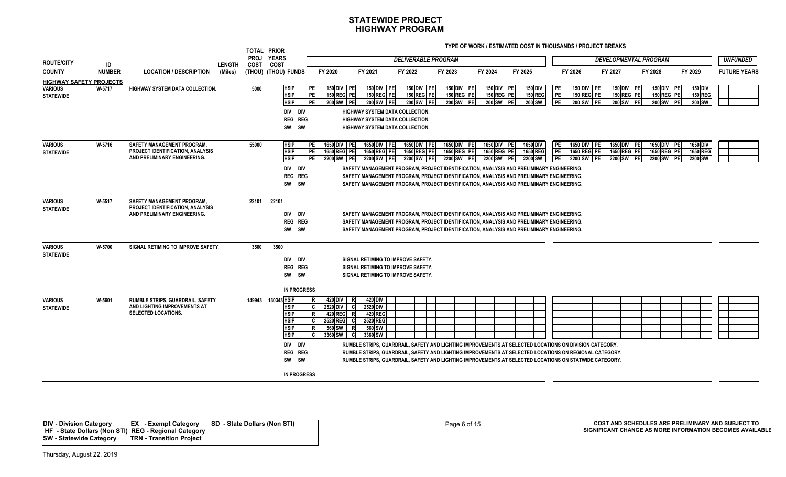**TYPE OF WORK / ESTIMATED COST IN THOUSANDS / PROJECT BREAKS**

| <b>ROUTE/CITY</b>                                                    | ID            |                                                                                                              | <b>LENGTH</b> | <b>PROJ</b><br><b>COST</b> | TOTAL PRIOR<br><b>YEARS</b><br>COST                                                                                                                |                                                                                                           |                                                                                                                                                                                                                                                                                                                                                                                                                                          | <b>DELIVERABLE PROGRAM</b>               |                                          |                                          |                                     |                                   |                                          |         | <b>DEVELOPMENTAL PROGRAM</b>                       |                                                 |         |                                        | <b>UNFUNDED</b>     |
|----------------------------------------------------------------------|---------------|--------------------------------------------------------------------------------------------------------------|---------------|----------------------------|----------------------------------------------------------------------------------------------------------------------------------------------------|-----------------------------------------------------------------------------------------------------------|------------------------------------------------------------------------------------------------------------------------------------------------------------------------------------------------------------------------------------------------------------------------------------------------------------------------------------------------------------------------------------------------------------------------------------------|------------------------------------------|------------------------------------------|------------------------------------------|-------------------------------------|-----------------------------------|------------------------------------------|---------|----------------------------------------------------|-------------------------------------------------|---------|----------------------------------------|---------------------|
| <b>COUNTY</b>                                                        | <b>NUMBER</b> | <b>LOCATION / DESCRIPTION</b>                                                                                | (Miles)       |                            | (THOU) (THOU) FUNDS                                                                                                                                | FY 2020                                                                                                   | FY 2021                                                                                                                                                                                                                                                                                                                                                                                                                                  | FY 2022                                  | FY 2023                                  | FY 2024                                  | FY 2025                             |                                   | FY 2026                                  | FY 2027 |                                                    | FY 2028                                         | FY 2029 |                                        | <b>FUTURE YEARS</b> |
| <b>HIGHWAY SAFETY PROJECTS</b><br><b>VARIOUS</b><br><b>STATEWIDE</b> | W-5717        | <b>HIGHWAY SYSTEM DATA COLLECTION.</b>                                                                       |               | 5000                       | <b>HSIP</b><br><b>HSIP</b><br><b>HSIP</b><br>DIV DIV<br>REG REG<br>SW SW                                                                           | 150 DIV PE<br><b>PE</b><br>PE<br>150 REG PE<br>PE<br>200 SW PE                                            | 150 DIV PE<br>150 REG PE<br>200 SW PE<br>HIGHWAY SYSTEM DATA COLLECTION.<br><b>HIGHWAY SYSTEM DATA COLLECTION.</b><br><b>HIGHWAY SYSTEM DATA COLLECTION.</b>                                                                                                                                                                                                                                                                             | 150 DIV PE<br>150 REG PE<br>200 SW PE    | 150 DIV PE<br>150 REG PE<br>200 SW PE    | 150 DIV PE<br>150 REG PE<br>200 SW PE    | 150 DIV<br><b>150 REG</b><br>200 SW | PE <br><b>PE</b><br><b>TPE</b>    | 150 DIV PE<br>150 REG PE<br>200 SW PE    |         | 150 DIV PE<br>150 REG PE<br>200 SW PE              | 150 DIV PE<br>150 REG PE<br>200 SW PE           |         | 150 DIV<br><b>150 REG</b><br>200 SW    |                     |
| <b>VARIOUS</b><br><b>STATEWIDE</b>                                   | W-5716        | <b>SAFETY MANAGEMENT PROGRAM.</b><br>PROJECT IDENTIFICATION, ANALYSIS<br>AND PRELIMINARY ENGINEERING.        |               | 55000                      | <b>HSIP</b><br><b>HSIP</b><br><b>HSIP</b><br>DIV DIV<br>REG REG<br>SW SW                                                                           | 1650 DIV PE<br>PE<br>PE<br>1650 REG PE<br>PE<br>2200 SW PE                                                | 1650 DIV PE<br>1650 REG PE<br>2200 SW PE<br>SAFETY MANAGEMENT PROGRAM, PROJECT IDENTIFICATION, ANALYSIS AND PRELIMINARY ENGINEERING.<br>SAFETY MANAGEMENT PROGRAM, PROJECT IDENTIFICATION, ANALYSIS AND PRELIMINARY ENGINEERING.<br>SAFETY MANAGEMENT PROGRAM. PROJECT IDENTIFICATION. ANALYSIS AND PRELIMINARY ENGINEERING.                                                                                                             | 1650 DIV PE<br>1650 REG PE<br>2200 SW PE | 1650 DIV PE<br>1650 REG PE<br>2200 SW PE | 1650 DIV PE<br>1650 REG PE<br>2200 SW PE | 1650 DIV<br>1650 REG<br>2200 SW     | <b>PE</b><br><b>TPE</b><br>l PE l | 1650 DIV PE<br>1650 REG PE<br>2200 SW PE |         | <b>1650 DIV</b><br>PE<br>1650 REG PE<br>2200 SW PE | 1650 DIV PE<br><b>1650 REG PE</b><br>2200 SW PE |         | <b>1650 DIV</b><br>1650 REG<br>2200 SW |                     |
| <b>VARIOUS</b><br><b>STATEWIDE</b>                                   | W-5517        | <b>SAFETY MANAGEMENT PROGRAM.</b><br><b>PROJECT IDENTIFICATION, ANALYSIS</b><br>AND PRELIMINARY ENGINEERING. |               | 22101                      | 22101<br>DIV DIV<br>REG REG<br>SW SW                                                                                                               |                                                                                                           | SAFETY MANAGEMENT PROGRAM, PROJECT IDENTIFICATION, ANALYSIS AND PRELIMINARY ENGINEERING.<br>SAFETY MANAGEMENT PROGRAM. PROJECT IDENTIFICATION. ANALYSIS AND PRELIMINARY ENGINEERING.<br>SAFETY MANAGEMENT PROGRAM, PROJECT IDENTIFICATION, ANALYSIS AND PRELIMINARY ENGINEERING.                                                                                                                                                         |                                          |                                          |                                          |                                     |                                   |                                          |         |                                                    |                                                 |         |                                        |                     |
| <b>VARIOUS</b><br><b>STATEWIDE</b>                                   | W-5700        | SIGNAL RETIMING TO IMPROVE SAFETY.                                                                           |               | 3500                       | 3500<br>DIV DIV<br><b>REG REG</b><br>SW SW<br><b>IN PROGRESS</b>                                                                                   |                                                                                                           | SIGNAL RETIMING TO IMPROVE SAFETY.<br>SIGNAL RETIMING TO IMPROVE SAFETY.<br>SIGNAL RETIMING TO IMPROVE SAFETY.                                                                                                                                                                                                                                                                                                                           |                                          |                                          |                                          |                                     |                                   |                                          |         |                                                    |                                                 |         |                                        |                     |
| <b>VARIOUS</b><br><b>STATEWIDE</b>                                   | W-5601        | <b>RUMBLE STRIPS, GUARDRAIL, SAFETY</b><br>AND LIGHTING IMPROVEMENTS AT<br><b>SELECTED LOCATIONS.</b>        |               |                            | 149943 130343 HSIP<br><b>HSIP</b><br><b>HSIP</b><br><b>HSIP</b><br><b>HSIP</b><br><b>HSIP</b><br>DIV DIV<br>REG REG<br>SW SW<br><b>IN PROGRESS</b> | 420 DIV<br>R.<br>2520 DIV<br>-CI<br>420 REG<br>R<br>2520 REG<br>- CI<br>560 SW  <br>R.<br>3360 SW<br>- CI | 420 DIV<br>R<br>2520 DIV<br>- Cl<br>420 REG<br>-R.<br>2520 REG<br>-C I<br>560 SW<br>-RI<br>3360 SW<br>- CI<br>RUMBLE STRIPS. GUARDRAIL. SAFETY AND LIGHTING IMPROVEMENTS AT SELECTED LOCATIONS ON DIVISION CATEGORY.<br>RUMBLE STRIPS, GUARDRAIL, SAFETY AND LIGHTING IMPROVEMENTS AT SELECTED LOCATIONS ON REGIONAL CATEGORY.<br>RUMBLE STRIPS, GUARDRAIL, SAFETY AND LIGHTING IMPROVEMENTS AT SELECTED LOCATIONS ON STATWIDE CATEGORY. |                                          |                                          |                                          |                                     |                                   |                                          |         |                                                    |                                                 |         |                                        |                     |

**DIV - Division Category EX - Exempt Category SD - State Dollars (Non STI) HF - State Dollars (Non STI) REG - Regional Category SW - Statewide Category TRN - Transition Project**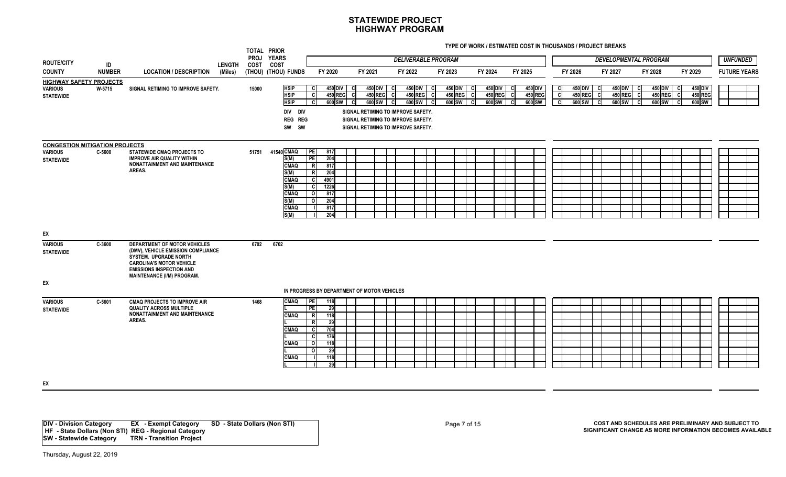**TYPE OF WORK / ESTIMATED COST IN THOUSANDS / PROJECT BREAKS**

|                                                                      |               |                                                                                                                                                                                                 |         |       | TOTAL PRIOR<br>PROJ YEARS                                                                                     |                                                                        |                                                                      |                                                                                                                                                                                           |         |                                                  |   |                                                  |         |                                            |                                                    |             |                                     |           |                                                   |                                     |                            |                              |                     |
|----------------------------------------------------------------------|---------------|-------------------------------------------------------------------------------------------------------------------------------------------------------------------------------------------------|---------|-------|---------------------------------------------------------------------------------------------------------------|------------------------------------------------------------------------|----------------------------------------------------------------------|-------------------------------------------------------------------------------------------------------------------------------------------------------------------------------------------|---------|--------------------------------------------------|---|--------------------------------------------------|---------|--------------------------------------------|----------------------------------------------------|-------------|-------------------------------------|-----------|---------------------------------------------------|-------------------------------------|----------------------------|------------------------------|---------------------|
| <b>ROUTE/CITY</b>                                                    | ID            |                                                                                                                                                                                                 | LENGTH  | COST  | <b>COST</b>                                                                                                   |                                                                        |                                                                      |                                                                                                                                                                                           |         | <b>DELIVERABLE PROGRAM</b>                       |   |                                                  |         |                                            |                                                    |             |                                     |           | <b>DEVELOPMENTAL PROGRAM</b>                      |                                     |                            |                              | <b>UNFUNDED</b>     |
| <b>COUNTY</b>                                                        | <b>NUMBER</b> | <b>LOCATION / DESCRIPTION</b>                                                                                                                                                                   | (Miles) |       | (THOU) (THOU) FUNDS                                                                                           |                                                                        | FY 2020                                                              | FY 2021                                                                                                                                                                                   | FY 2022 |                                                  |   | FY 2023                                          | FY 2024 |                                            | FY 2025                                            |             | FY 2026                             | FY 2027   |                                                   | FY 2028                             |                            | FY 2029                      | <b>FUTURE YEARS</b> |
| <b>HIGHWAY SAFETY PROJECTS</b><br><b>VARIOUS</b><br><b>STATEWIDE</b> | W-5715        | SIGNAL RETIMING TO IMPROVE SAFETY.                                                                                                                                                              |         | 15000 | <b>HSIP</b><br><b>HSIP</b><br><b>HSIP</b><br>DIV DIV<br><b>REG REG</b><br>SW SW                               |                                                                        | 450 DIV C<br><b>450 REG</b><br>600 SW                                | 450 DIV C<br>450 REG C<br><b>C</b><br>$600$ SW $\mid C$<br>$\mathbf{c}$<br>SIGNAL RETIMING TO IMPROVE SAFETY.<br>SIGNAL RETIMING TO IMPROVE SAFETY.<br>SIGNAL RETIMING TO IMPROVE SAFETY. |         | <b>450 DIV</b><br>450 REG C<br>$600$ SW $\mid$ C | C | 450 DIV<br>- C<br>450 REG<br>c<br>600 SW<br>- cl |         | <b>450 DIV</b><br><b>450 REG</b><br>600 SW | 450 DIV<br>- C<br>450 REG<br>- Cl<br>600 SW<br>- C | C<br>C<br>C | 450 DIV<br><b>450 REG</b><br>600 SW | <b>CI</b> | 450 DIV  <br><b>450 REG</b><br>600 SW<br><b>C</b> | 450 DIV<br><b>450 REG</b><br>600 SW | -cl<br><sub>c</sub><br>-cl | 450 DIV<br>450 REG<br>600 SW |                     |
| <b>CONGESTION MITIGATION PROJECTS</b>                                |               |                                                                                                                                                                                                 |         |       |                                                                                                               |                                                                        |                                                                      |                                                                                                                                                                                           |         |                                                  |   |                                                  |         |                                            |                                                    |             |                                     |           |                                                   |                                     |                            |                              |                     |
| <b>VARIOUS</b><br><b>STATEWIDE</b>                                   | C-5600        | STATEWIDE CMAQ PROJECTS TO<br><b>IMPROVE AIR QUALITY WITHIN</b><br><b>NONATTAINMENT AND MAINTENANCE</b><br>AREAS.                                                                               |         |       | 51751 41540 CMAQ<br>S(M)<br><b>CMAQ</b><br>S(M)<br>CMAQ<br>S(M)<br><b>CMAQ</b><br>S(M)<br><b>CMAQ</b><br>S(M) | PE <br>PE<br><b>R</b><br>R<br>o<br>$\Omega$                            | 817<br>204<br>817<br>204<br>4901<br>1226<br>817<br>204<br>817<br>204 |                                                                                                                                                                                           |         |                                                  |   |                                                  |         |                                            |                                                    |             |                                     |           |                                                   |                                     |                            |                              |                     |
| EX                                                                   |               |                                                                                                                                                                                                 |         |       |                                                                                                               |                                                                        |                                                                      |                                                                                                                                                                                           |         |                                                  |   |                                                  |         |                                            |                                                    |             |                                     |           |                                                   |                                     |                            |                              |                     |
| <b>VARIOUS</b><br><b>STATEWIDE</b>                                   | C-3600        | DEPARTMENT OF MOTOR VEHICLES<br>(DMV), VEHICLE EMISSION COMPLIANCE<br>SYSTEM. UPGRADE NORTH<br><b>CAROLINA'S MOTOR VEHICLE</b><br><b>EMISSIONS INSPECTION AND</b><br>MAINTENANCE (I/M) PROGRAM. |         | 6702  | 6702                                                                                                          |                                                                        |                                                                      |                                                                                                                                                                                           |         |                                                  |   |                                                  |         |                                            |                                                    |             |                                     |           |                                                   |                                     |                            |                              |                     |
| EX                                                                   |               |                                                                                                                                                                                                 |         |       |                                                                                                               |                                                                        |                                                                      |                                                                                                                                                                                           |         |                                                  |   |                                                  |         |                                            |                                                    |             |                                     |           |                                                   |                                     |                            |                              |                     |
|                                                                      |               |                                                                                                                                                                                                 |         |       |                                                                                                               |                                                                        | IN PROGRESS BY DEPARTMENT OF MOTOR VEHICLES                          |                                                                                                                                                                                           |         |                                                  |   |                                                  |         |                                            |                                                    |             |                                     |           |                                                   |                                     |                            |                              |                     |
| <b>VARIOUS</b><br><b>STATEWIDE</b>                                   | C-5601        | <b>CMAQ PROJECTS TO IMPROVE AIR</b><br><b>QUALITY ACROSS MULTIPLE</b><br>NONATTAINMENT AND MAINTENANCE<br>AREAS.                                                                                |         | 1468  | <b>CMAQ</b><br><b>CMAQ</b><br><b>CMAQ</b><br><b>CMAQ</b><br><b>CMAQ</b>                                       | <b>TPE</b><br>PE<br>$\mathsf{R}$<br>R<br><b>C</b><br>C<br>$\circ$<br>0 | 118<br>29<br>118<br>29<br>704<br>176<br>118<br>29<br>118<br>29       |                                                                                                                                                                                           |         |                                                  |   |                                                  |         |                                            |                                                    |             |                                     |           |                                                   |                                     |                            |                              |                     |
| EX                                                                   |               |                                                                                                                                                                                                 |         |       |                                                                                                               |                                                                        |                                                                      |                                                                                                                                                                                           |         |                                                  |   |                                                  |         |                                            |                                                    |             |                                     |           |                                                   |                                     |                            |                              |                     |
|                                                                      |               |                                                                                                                                                                                                 |         |       |                                                                                                               |                                                                        |                                                                      |                                                                                                                                                                                           |         |                                                  |   |                                                  |         |                                            |                                                    |             |                                     |           |                                                   |                                     |                            |                              |                     |

**DIV - Division Category EX - Exempt Category SD - State Dollars (Non STI) HF - State Dollars (Non STI) REG - Regional Category SW - Statewide Category TRN - Transition Project**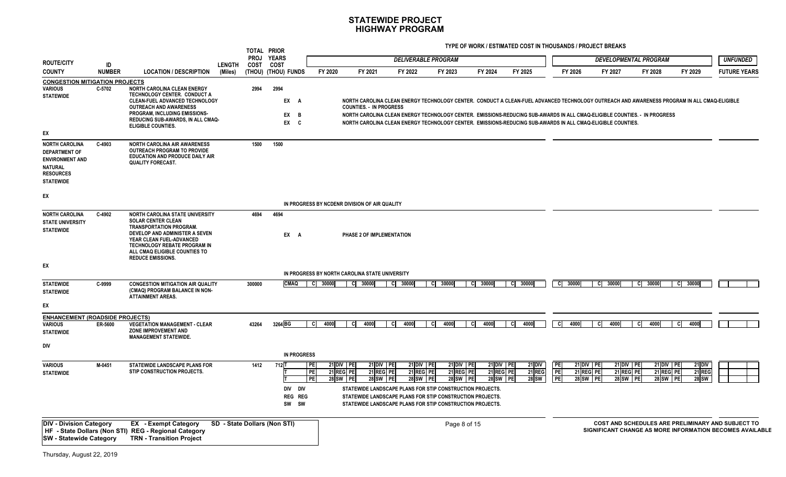|                                                                                                                            |                     |                                                                                                                                                                                                                                                                  |                              | TOTAL PRIOR<br><b>PROJ</b> | <b>YEARS</b>                                |                                          |                                                             |                                      | <b>DELIVERABLE PROGRAM</b>                                                                                                                                                                                                                                                                                                                                                              |                                    |                                         |                                             |                                                               | <b>DEVELOPMENTAL PROGRAM</b>       |                                           | <b>UNFUNDED</b>                                                                                               |
|----------------------------------------------------------------------------------------------------------------------------|---------------------|------------------------------------------------------------------------------------------------------------------------------------------------------------------------------------------------------------------------------------------------------------------|------------------------------|----------------------------|---------------------------------------------|------------------------------------------|-------------------------------------------------------------|--------------------------------------|-----------------------------------------------------------------------------------------------------------------------------------------------------------------------------------------------------------------------------------------------------------------------------------------------------------------------------------------------------------------------------------------|------------------------------------|-----------------------------------------|---------------------------------------------|---------------------------------------------------------------|------------------------------------|-------------------------------------------|---------------------------------------------------------------------------------------------------------------|
| <b>ROUTE/CITY</b><br><b>COUNTY</b>                                                                                         | ID<br><b>NUMBER</b> | <b>LOCATION / DESCRIPTION</b>                                                                                                                                                                                                                                    | <b>LENGTH</b><br>(Miles)     | COST                       | COST<br>(THOU) (THOU) FUNDS                 | FY 2020                                  | FY 2021                                                     | FY 2022                              | FY 2023                                                                                                                                                                                                                                                                                                                                                                                 | FY 2024                            | FY 2025                                 | FY 2026                                     | FY 2027                                                       | FY 2028                            | FY 2029                                   | <b>FUTURE YEARS</b>                                                                                           |
| <b>CONGESTION MITIGATION PROJECTS</b>                                                                                      |                     |                                                                                                                                                                                                                                                                  |                              |                            |                                             |                                          |                                                             |                                      |                                                                                                                                                                                                                                                                                                                                                                                         |                                    |                                         |                                             |                                                               |                                    |                                           |                                                                                                               |
| VARIOUS<br><b>STATEWIDE</b>                                                                                                | C-5702              | NORTH CAROLINA CLEAN ENERGY<br><b>TECHNOLOGY CENTER. CONDUCT A</b><br>CLEAN-FUEL ADVANCED TECHNOLOGY<br><b>OUTREACH AND AWARENESS</b><br><b>PROGRAM. INCLUDING EMISSIONS-</b><br>REDUCING SUB-AWARDS, IN ALL CMAQ-<br><b>ELIGIBLE COUNTIES.</b>                  |                              | 2994                       | 2994<br>EX A<br>EX<br>B<br>EX C             |                                          | <b>COUNTIES. - IN PROGRESS</b>                              |                                      | NORTH CAROLINA CLEAN ENERGY TECHNOLOGY CENTER. CONDUCT A CLEAN-FUEL ADVANCED TECHNOLOGY OUTREACH AND AWARENESS PROGRAM IN ALL CMAQ-ELIGIBLE<br>NORTH CAROLINA CLEAN ENERGY TECHNOLOGY CENTER. EMISSIONS-REDUCING SUB-AWARDS IN ALL CMAQ-ELIGIBLE COUNTIES. - IN PROGRESS<br>NORTH CAROLINA CLEAN ENERGY TECHNOLOGY CENTER. EMISSIONS-REDUCING SUB-AWARDS IN ALL CMAQ-ELIGIBLE COUNTIES. |                                    |                                         |                                             |                                                               |                                    |                                           |                                                                                                               |
| EX                                                                                                                         |                     |                                                                                                                                                                                                                                                                  |                              |                            |                                             |                                          |                                                             |                                      |                                                                                                                                                                                                                                                                                                                                                                                         |                                    |                                         |                                             |                                                               |                                    |                                           |                                                                                                               |
| <b>NORTH CAROLINA</b><br><b>DEPARTMENT OF</b><br><b>ENVIRONMENT AND</b><br>NATURAL<br><b>RESOURCES</b><br><b>STATEWIDE</b> | C-4903              | <b>NORTH CAROLINA AIR AWARENESS</b><br><b>OUTREACH PROGRAM TO PROVIDE</b><br><b>EDUCATION AND PRODUCE DAILY AIR</b><br><b>QUALITY FORECAST.</b>                                                                                                                  |                              | 1500                       | 1500                                        |                                          |                                                             |                                      |                                                                                                                                                                                                                                                                                                                                                                                         |                                    |                                         |                                             |                                                               |                                    |                                           |                                                                                                               |
| EX                                                                                                                         |                     |                                                                                                                                                                                                                                                                  |                              |                            |                                             |                                          |                                                             |                                      |                                                                                                                                                                                                                                                                                                                                                                                         |                                    |                                         |                                             |                                                               |                                    |                                           |                                                                                                               |
|                                                                                                                            |                     |                                                                                                                                                                                                                                                                  |                              |                            |                                             |                                          | IN PROGRESS BY NCDENR DIVISION OF AIR QUALITY               |                                      |                                                                                                                                                                                                                                                                                                                                                                                         |                                    |                                         |                                             |                                                               |                                    |                                           |                                                                                                               |
| <b>NORTH CAROLINA</b><br><b>STATE UNIVERSITY</b><br><b>STATEWIDE</b><br>EX                                                 | C-4902              | <b>NORTH CAROLINA STATE UNIVERSITY</b><br><b>SOLAR CENTER CLEAN</b><br><b>TRANSPORTATION PROGRAM.</b><br>DEVELOP AND ADMINISTER A SEVEN<br>YEAR CLEAN FUEL-ADVANCED<br>TECHNOLOGY REBATE PROGRAM IN<br>ALL CMAQ ELIGIBLE COUNTIES TO<br><b>REDUCE EMISSIONS.</b> |                              | 4694                       | 4694<br>EX A                                |                                          | PHASE 2 OF IMPLEMENTATION                                   |                                      |                                                                                                                                                                                                                                                                                                                                                                                         |                                    |                                         |                                             |                                                               |                                    |                                           |                                                                                                               |
|                                                                                                                            |                     |                                                                                                                                                                                                                                                                  |                              |                            |                                             |                                          | IN PROGRESS BY NORTH CAROLINA STATE UNIVERSITY              |                                      |                                                                                                                                                                                                                                                                                                                                                                                         |                                    |                                         |                                             |                                                               |                                    |                                           |                                                                                                               |
| <b>STATEWIDE</b><br><b>STATEWIDE</b>                                                                                       | C-9999              | <b>CONGESTION MITIGATION AIR QUALITY</b><br>(CMAQ) PROGRAM BALANCE IN NON-<br><b>ATTAINMENT AREAS.</b>                                                                                                                                                           |                              | 300000                     | <b>CMAQ</b>                                 | C 30000                                  | C 30000                                                     | C 30000                              | 30000<br>CI.                                                                                                                                                                                                                                                                                                                                                                            | C 30000                            | 30000<br>СI                             | C 30000                                     | C 30000                                                       | C 30000                            | 30000<br>-cl                              |                                                                                                               |
| ЕX                                                                                                                         |                     |                                                                                                                                                                                                                                                                  |                              |                            |                                             |                                          |                                                             |                                      |                                                                                                                                                                                                                                                                                                                                                                                         |                                    |                                         |                                             |                                                               |                                    |                                           |                                                                                                               |
| <b>ENHANCEMENT (ROADSIDE PROJECTS)</b><br>VARIOUS<br><b>STATEWIDE</b>                                                      | ER-5600             | <b>VEGETATION MANAGEMENT - CLEAR</b><br>ZONE IMPROVEMENT AND<br><b>MANAGEMENT STATEWIDE.</b>                                                                                                                                                                     |                              | 43264                      | 3264 BG                                     | 4000                                     | 4000<br>C.                                                  | 4000<br>C.                           | 4000                                                                                                                                                                                                                                                                                                                                                                                    | 4000                               | 4000                                    | 4000<br>-CI                                 | 4000                                                          | 4000                               | 4000                                      |                                                                                                               |
| DIV                                                                                                                        |                     |                                                                                                                                                                                                                                                                  |                              |                            |                                             |                                          |                                                             |                                      |                                                                                                                                                                                                                                                                                                                                                                                         |                                    |                                         |                                             |                                                               |                                    |                                           |                                                                                                               |
|                                                                                                                            |                     |                                                                                                                                                                                                                                                                  |                              |                            | <b>IN PROGRESS</b>                          |                                          |                                                             |                                      |                                                                                                                                                                                                                                                                                                                                                                                         |                                    |                                         |                                             |                                                               |                                    |                                           |                                                                                                               |
| <b>VARIOUS</b><br><b>STATEWIDE</b>                                                                                         | M-0451              | STATEWIDE LANDSCAPE PLANS FOR<br>STIP CONSTRUCTION PROJECTS.                                                                                                                                                                                                     |                              | 1412                       | 712 1<br>DIV DIV<br><b>REG REG</b><br>SW SW | PE<br>PE<br><b>21 REG</b><br>PE<br>28 SW | 21 DIV PE<br>21 DIV PE<br>PE<br>21 REG PE<br>28 SW PE<br>PE | 21 DIV PE<br>21 REG PE<br>28 SW   PE | 21 DIV PE<br>21 REG PE<br>28 SW   PE<br>STATEWIDE LANDSCAPE PLANS FOR STIP CONSTRUCTION PROJECTS.<br>STATEWIDE LANDSCAPE PLANS FOR STIP CONSTRUCTION PROJECTS.<br>STATEWIDE LANDSCAPE PLANS FOR STIP CONSTRUCTION PROJECTS.                                                                                                                                                             | 21 DIV PE<br>21 REG PE<br>28 SW PE | 21 DIV<br><b>21 REG</b><br><b>28 SW</b> | PE<br>PE<br>21 REG PE<br>PF<br><b>28 SW</b> | 21 DIV PE<br>21 DIV PE<br>21 REG PE<br><b>PE</b><br>28 SW IPE | 21 DIV PE<br>21 REG PE<br>28 SW PE | $21$ DIV<br><b>21 REG</b><br><b>28 SW</b> |                                                                                                               |
| <b>DIV - Division Category</b><br><b>SW - Statewide Category</b>                                                           |                     | <b>EX</b> - Exempt Category<br>HF - State Dollars (Non STI) REG - Regional Category<br><b>TRN - Transition Project</b>                                                                                                                                           | SD - State Dollars (Non STI) |                            |                                             |                                          |                                                             |                                      | Page 8 of 15                                                                                                                                                                                                                                                                                                                                                                            |                                    |                                         |                                             |                                                               |                                    |                                           | COST AND SCHEDULES ARE PRELIMINARY AND SUBJECT TO<br>SIGNIFICANT CHANGE AS MORE INFORMATION BECOMES AVAILABLE |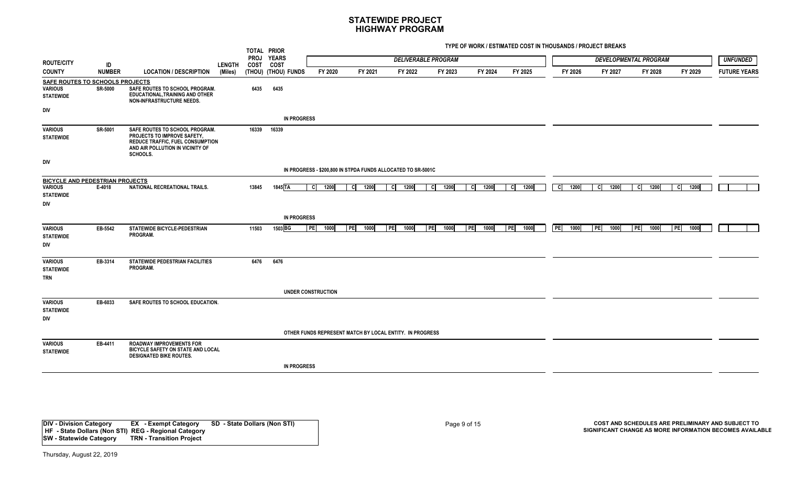**TYPE OF WORK / ESTIMATED COST IN THOUSANDS / PROJECT BREAKS**

|                                                  |                |                                                                                                                                                          |               | TOTAL PRIOR         |                             |                           |                                                              |                    |                            |                     |                     |                                 |                     |                              |              |                     |
|--------------------------------------------------|----------------|----------------------------------------------------------------------------------------------------------------------------------------------------------|---------------|---------------------|-----------------------------|---------------------------|--------------------------------------------------------------|--------------------|----------------------------|---------------------|---------------------|---------------------------------|---------------------|------------------------------|--------------|---------------------|
| <b>ROUTE/CITY</b>                                | ID             |                                                                                                                                                          | <b>LENGTH</b> | <b>PROJ</b><br>COST | <b>YEARS</b><br><b>COST</b> |                           |                                                              |                    | <b>DELIVERABLE PROGRAM</b> |                     |                     |                                 |                     | <b>DEVELOPMENTAL PROGRAM</b> |              | <b>UNFUNDED</b>     |
| <b>COUNTY</b>                                    | <b>NUMBER</b>  | <b>LOCATION / DESCRIPTION</b>                                                                                                                            | (Miles)       |                     | (THOU) (THOU) FUNDS         | FY 2020                   | FY 2021                                                      | FY 2022            | FY 2023                    | FY 2024             | FY 2025             | FY 2026                         | FY 2027             | FY 2028                      | FY 2029      | <b>FUTURE YEARS</b> |
| SAFE ROUTES TO SCHOOLS PROJECTS                  |                |                                                                                                                                                          |               |                     |                             |                           |                                                              |                    |                            |                     |                     |                                 |                     |                              |              |                     |
| <b>VARIOUS</b><br><b>STATEWIDE</b>               | <b>SR-5000</b> | SAFE ROUTES TO SCHOOL PROGRAM.<br>EDUCATIONAL, TRAINING AND OTHER<br><b>NON-INFRASTRUCTURE NEEDS.</b>                                                    |               | 6435                | 6435                        |                           |                                                              |                    |                            |                     |                     |                                 |                     |                              |              |                     |
| DIV                                              |                |                                                                                                                                                          |               |                     |                             |                           |                                                              |                    |                            |                     |                     |                                 |                     |                              |              |                     |
|                                                  |                |                                                                                                                                                          |               |                     | <b>IN PROGRESS</b>          |                           |                                                              |                    |                            |                     |                     |                                 |                     |                              |              |                     |
| <b>VARIOUS</b><br><b>STATEWIDE</b>               | SR-5001        | SAFE ROUTES TO SCHOOL PROGRAM.<br>PROJECTS TO IMPROVE SAFETY,<br><b>REDUCE TRAFFIC, FUEL CONSUMPTION</b><br>AND AIR POLLUTION IN VICINITY OF<br>SCHOOLS. |               | 16339               | 16339                       |                           |                                                              |                    |                            |                     |                     |                                 |                     |                              |              |                     |
| DIV                                              |                |                                                                                                                                                          |               |                     |                             |                           | IN PROGRESS - \$200,800 IN STPDA FUNDS ALLOCATED TO SR-5001C |                    |                            |                     |                     |                                 |                     |                              |              |                     |
| <b>BICYCLE AND PEDESTRIAN PROJECTS</b>           |                |                                                                                                                                                          |               |                     |                             |                           |                                                              |                    |                            |                     |                     |                                 |                     |                              |              |                     |
| <b>VARIOUS</b><br><b>STATEWIDE</b><br><b>DIV</b> | E-4018         | NATIONAL RECREATIONAL TRAILS.                                                                                                                            |               | 13845               | $1845$ TA                   | <b>cl</b><br>1200         | 1200<br>- CI                                                 | 1200<br>-cl        | 1200<br>- Cl               | 1200<br>- CI        | 1200<br>- Cl        | $\overline{\mathbf{c}}$<br>1200 | 1200<br>- Cl        | 1200<br>CI                   | 1200<br>- CI |                     |
|                                                  |                |                                                                                                                                                          |               |                     | <b>IN PROGRESS</b>          |                           |                                                              |                    |                            |                     |                     |                                 |                     |                              |              |                     |
| <b>VARIOUS</b><br><b>STATEWIDE</b><br>DIV        | EB-5542        | STATEWIDE BICYCLE-PEDESTRIAN<br>PROGRAM.                                                                                                                 |               | 11503               | 1503 BG                     | PE <br>1000               | $\overline{\text{PE}}$<br>1000                               | <b>TPE</b><br>1000 | <b>TPEI</b><br>1000        | <b>TPEI</b><br>1000 | <b>TPEI</b><br>1000 | PE<br>1000                      | <b>TPEI</b><br>1000 | $F_{\text{PE}}$<br>1000      | PE <br>1000  |                     |
| <b>VARIOUS</b><br><b>STATEWIDE</b><br><b>TRN</b> | EB-3314        | STATEWIDE PEDESTRIAN FACILITIES<br>PROGRAM.                                                                                                              |               | 6476                | 6476                        |                           |                                                              |                    |                            |                     |                     |                                 |                     |                              |              |                     |
|                                                  |                |                                                                                                                                                          |               |                     |                             | <b>UNDER CONSTRUCTION</b> |                                                              |                    |                            |                     |                     |                                 |                     |                              |              |                     |
| <b>VARIOUS</b><br><b>STATEWIDE</b><br><b>DIV</b> | EB-6033        | SAFE ROUTES TO SCHOOL EDUCATION.                                                                                                                         |               |                     |                             |                           |                                                              |                    |                            |                     |                     |                                 |                     |                              |              |                     |
|                                                  |                |                                                                                                                                                          |               |                     |                             |                           | OTHER FUNDS REPRESENT MATCH BY LOCAL ENTITY. IN PROGRESS     |                    |                            |                     |                     |                                 |                     |                              |              |                     |
| <b>VARIOUS</b><br><b>STATEWIDE</b>               | EB-4411        | <b>ROADWAY IMPROVEMENTS FOR</b><br>BICYCLE SAFETY ON STATE AND LOCAL<br><b>DESIGNATED BIKE ROUTES.</b>                                                   |               |                     |                             |                           |                                                              |                    |                            |                     |                     |                                 |                     |                              |              |                     |
|                                                  |                |                                                                                                                                                          |               |                     | <b>IN PROGRESS</b>          |                           |                                                              |                    |                            |                     |                     |                                 |                     |                              |              |                     |

**DIV - Division Category EX - Exempt Category SD - State Dollars (Non STI) HF - State Dollars (Non STI) REG - Regional Category SW - Statewide Category TRN - Transition Project**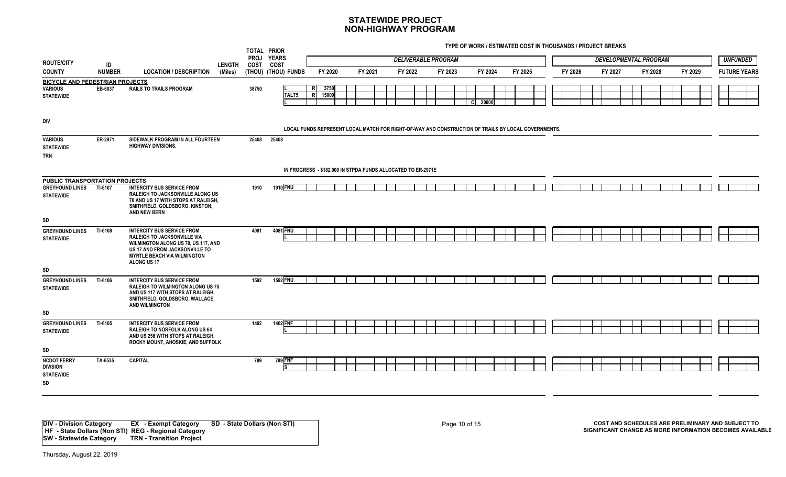**TYPE OF WORK / ESTIMATED COST IN THOUSANDS / PROJECT BREAKS**

|                                                                       |               |                                                                                                                                                                                                       |               | TOTAL PRIOR<br>PROJ YEARS |                     |                                                                                                     |         |                            |         |     |         |         |         |         |                              |         |  |                     |
|-----------------------------------------------------------------------|---------------|-------------------------------------------------------------------------------------------------------------------------------------------------------------------------------------------------------|---------------|---------------------------|---------------------|-----------------------------------------------------------------------------------------------------|---------|----------------------------|---------|-----|---------|---------|---------|---------|------------------------------|---------|--|---------------------|
| <b>ROUTE/CITY</b>                                                     | ID            |                                                                                                                                                                                                       | <b>LENGTH</b> | COST COST                 |                     |                                                                                                     |         | <b>DELIVERABLE PROGRAM</b> |         |     |         |         |         |         | <b>DEVELOPMENTAL PROGRAM</b> |         |  | <b>UNFUNDED</b>     |
| <b>COUNTY</b>                                                         | <b>NUMBER</b> | <b>LOCATION / DESCRIPTION</b>                                                                                                                                                                         | (Miles)       |                           | (THOU) (THOU) FUNDS | FY 2020                                                                                             | FY 2021 | FY 2022                    | FY 2023 |     | FY 2024 | FY 2025 | FY 2026 | FY 2027 | FY 2028                      | FY 2029 |  | <b>FUTURE YEARS</b> |
| BICYCLE AND PEDESTRIAN PROJECTS<br>VARIOUS<br><b>STATEWIDE</b>        | EB-6037       | <b>RAILS TO TRAILS PROGRAM</b>                                                                                                                                                                        |               | 38750                     | TALT5               | 3750<br><b>R</b><br>R<br>15000                                                                      |         |                            |         | -cl | 20000   |         |         |         |                              |         |  |                     |
| DIV                                                                   |               |                                                                                                                                                                                                       |               |                           |                     | LOCAL FUNDS REPRESENT LOCAL MATCH FOR RIGHT-OF-WAY AND CONSTRUCTION OF TRAILS BY LOCAL GOVERNMENTS. |         |                            |         |     |         |         |         |         |                              |         |  |                     |
| <b>VARIOUS</b><br><b>STATEWIDE</b><br><b>TRN</b>                      | ER-2971       | SIDEWALK PROGRAM IN ALL FOURTEEN<br><b>HIGHWAY DIVISIONS.</b>                                                                                                                                         |               | 25408                     | 25408               |                                                                                                     |         |                            |         |     |         |         |         |         |                              |         |  |                     |
|                                                                       |               |                                                                                                                                                                                                       |               |                           |                     | IN PROGRESS - \$182,000 IN STPDA FUNDS ALLOCATED TO ER-2971E                                        |         |                            |         |     |         |         |         |         |                              |         |  |                     |
| PUBLIC TRANSPORTATION PROJECTS                                        |               |                                                                                                                                                                                                       |               |                           |                     |                                                                                                     |         |                            |         |     |         |         |         |         |                              |         |  |                     |
| <b>GREYHOUND LINES</b><br><b>STATEWIDE</b>                            | TI-6107       | <b>INTERCITY BUS SERVICE FROM</b><br>RALEIGH TO JACKSONVILLE ALONG US<br>70 AND US 17 WITH STOPS AT RALEIGH,<br>SMITHFIELD, GOLDSBORO, KINSTON,<br>AND NEW BERN                                       |               | 1910                      | 1910 FNU            |                                                                                                     |         |                            |         |     |         |         |         |         |                              |         |  |                     |
| SD                                                                    |               |                                                                                                                                                                                                       |               |                           |                     |                                                                                                     |         |                            |         |     |         |         |         |         |                              |         |  |                     |
| <b>GREYHOUND LINES</b><br><b>STATEWIDE</b>                            | TI-6108       | <b>INTERCITY BUS SERVICE FROM</b><br><b>RALEIGH TO JACKSONVILLE VIA</b><br>WILMINGTON ALONG US 70, US 117, AND<br>US 17 AND FROM JACKSONVILLE TO<br><b>MYRTLE BEACH VIA WILMINGTON</b><br>ALONG US 17 |               | 4081                      | 4081 FNU            |                                                                                                     |         |                            |         |     |         |         |         |         |                              |         |  |                     |
| SD                                                                    |               |                                                                                                                                                                                                       |               |                           |                     |                                                                                                     |         |                            |         |     |         |         |         |         |                              |         |  |                     |
| <b>GREYHOUND LINES</b><br><b>STATEWIDE</b><br>SD                      | TI-6106       | <b>INTERCITY BUS SERVICE FROM</b><br>RALEIGH TO WILMINGTON ALONG US 70<br>AND US 117 WITH STOPS AT RALEIGH,<br>SMITHFIELD, GOLDSBORO, WALLACE,<br><b>AND WILMINGTON</b>                               |               | 1592                      | <b>1592 FNU</b>     |                                                                                                     |         |                            |         |     |         |         |         |         |                              |         |  |                     |
|                                                                       |               |                                                                                                                                                                                                       |               |                           | 1402 FNF            |                                                                                                     |         |                            |         |     |         |         |         |         |                              |         |  |                     |
| <b>GREYHOUND LINES</b><br><b>STATEWIDE</b>                            | TI-6105       | <b>INTERCITY BUS SERVICE FROM</b><br><b>RALEIGH TO NORFOLK ALONG US 64</b><br>AND US 258 WITH STOPS AT RALEIGH,<br>ROCKY MOUNT, AHOSKIE, AND SUFFOLK                                                  |               | 1402                      |                     |                                                                                                     |         |                            |         |     |         |         |         |         |                              |         |  |                     |
| SD<br><b>NCDOT FERRY</b><br><b>DIVISION</b><br><b>STATEWIDE</b><br>SD | TA-6535       | <b>CAPITAL</b>                                                                                                                                                                                        |               | 789                       | 789 FNF             |                                                                                                     |         |                            |         |     |         |         |         |         |                              |         |  |                     |

**DIV - Division Category EX - Exempt Category SD - State Dollars (Non STI) HF - State Dollars (Non STI) REG - Regional Category SW - Statewide Category TRN - Transition Project**

Page 10 of 15 **COST AND SCHEDULES ARE PRELIMINARY AND SUBJECT TO SIGNIFICANT CHANGE AS MORE INFORMATION BECOMES AVAILABLE**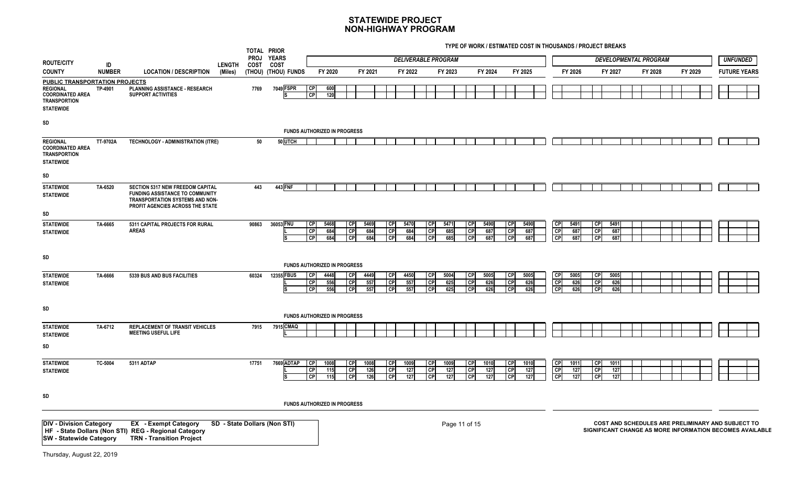|                                                                                                                                |               |                                                                                                                                                   |               |       | TOTAL PRIOR<br>PROJ YEARS           |                              |                    |                                                      |                    |                                     |                    | <b>DELIVERABLE PROGRAM</b> |                    |                              |                    |                            |                    |                             |                    |                                     | <b>DEVELOPMENTAL PROGRAM</b> |         |         |  | <b>UNFUNDED</b>                                                                                               |
|--------------------------------------------------------------------------------------------------------------------------------|---------------|---------------------------------------------------------------------------------------------------------------------------------------------------|---------------|-------|-------------------------------------|------------------------------|--------------------|------------------------------------------------------|--------------------|-------------------------------------|--------------------|----------------------------|--------------------|------------------------------|--------------------|----------------------------|--------------------|-----------------------------|--------------------|-------------------------------------|------------------------------|---------|---------|--|---------------------------------------------------------------------------------------------------------------|
| <b>ROUTE/CITY</b>                                                                                                              | ID            |                                                                                                                                                   | <b>LENGTH</b> |       | COST COST                           |                              |                    |                                                      |                    |                                     |                    |                            |                    |                              |                    |                            |                    |                             |                    |                                     |                              |         |         |  |                                                                                                               |
| <b>COUNTY</b>                                                                                                                  | <b>NUMBER</b> | <b>LOCATION / DESCRIPTION</b>                                                                                                                     | (Miles)       |       | (THOU) (THOU) FUNDS                 |                              | FY 2020            |                                                      | FY 2021            |                                     | FY 2022            |                            | FY 2023            |                              | FY 2024            |                            | FY 2025            |                             | FY 2026            |                                     | FY 2027                      | FY 2028 | FY 2029 |  | <b>FUTURE YEARS</b>                                                                                           |
| <b>PUBLIC TRANSPORTATION PROJECTS</b><br><b>REGIONAL</b><br><b>COORDINATED AREA</b><br><b>TRANSPORTION</b><br><b>STATEWIDE</b> | TP-4901       | PLANNING ASSISTANCE - RESEARCH<br><b>SUPPORT ACTIVITIES</b>                                                                                       |               | 7769  | 7049 FSPR                           | <b>CP</b><br>CP              | 600<br>120         |                                                      |                    |                                     |                    |                            |                    |                              |                    |                            |                    |                             |                    |                                     |                              |         |         |  |                                                                                                               |
| SD                                                                                                                             |               |                                                                                                                                                   |               |       |                                     |                              |                    |                                                      |                    |                                     |                    |                            |                    |                              |                    |                            |                    |                             |                    |                                     |                              |         |         |  |                                                                                                               |
|                                                                                                                                |               |                                                                                                                                                   |               |       | <b>FUNDS AUTHORIZED IN PROGRESS</b> |                              |                    |                                                      |                    |                                     |                    |                            |                    |                              |                    |                            |                    |                             |                    |                                     |                              |         |         |  |                                                                                                               |
| <b>REGIONAL</b><br><b>COORDINATED AREA</b><br><b>TRANSPORTION</b><br><b>STATEWIDE</b>                                          | TT-9702A      | TECHNOLOGY - ADMINISTRATION (ITRE)                                                                                                                |               | 50    | 50 UTCH                             |                              |                    |                                                      |                    |                                     |                    |                            |                    |                              |                    |                            |                    |                             |                    |                                     |                              |         |         |  |                                                                                                               |
| SD                                                                                                                             |               |                                                                                                                                                   |               |       |                                     |                              |                    |                                                      |                    |                                     |                    |                            |                    |                              |                    |                            |                    |                             |                    |                                     |                              |         |         |  |                                                                                                               |
| <b>STATEWIDE</b><br><b>STATEWIDE</b>                                                                                           | TA-6520       | SECTION 5317 NEW FREEDOM CAPITAL<br><b>FUNDING ASSISTANCE TO COMMUNITY</b><br>TRANSPORTATION SYSTEMS AND NON-<br>PROFIT AGENCIES ACROSS THE STATE |               | 443   | 443 FNF                             |                              |                    |                                                      |                    |                                     |                    |                            |                    |                              |                    |                            |                    |                             |                    |                                     |                              |         |         |  |                                                                                                               |
| SD                                                                                                                             |               |                                                                                                                                                   |               |       |                                     |                              |                    |                                                      |                    |                                     |                    |                            |                    |                              |                    |                            |                    |                             |                    |                                     |                              |         |         |  |                                                                                                               |
| <b>STATEWIDE</b><br><b>STATEWIDE</b>                                                                                           | TA-6665       | 5311 CAPITAL PROJECTS FOR RURAL<br><b>AREAS</b>                                                                                                   |               | 90863 | 36053 FNU                           | CP<br>CP<br>CP               | 5468<br>684<br>684 | $\overline{CP}$<br>$\overline{CP}$<br>$\overline{C}$ | 5469<br>684<br>684 | <b>CP</b><br><b>CP</b><br><b>CP</b> | 5470<br>684<br>684 | <b>CP</b><br>CP<br>CP      | 5471<br>685<br>685 | CP<br>CP<br><b>CP</b>        | 5490<br>687<br>687 | CP<br>l CP<br>l CP         | 5490<br>687<br>687 | CP<br>CP<br>$\overline{CP}$ | 5491<br>687<br>687 | <b>CP</b><br><b>CP</b><br><b>CP</b> | 5491<br>687<br>687           |         |         |  |                                                                                                               |
| SD                                                                                                                             |               |                                                                                                                                                   |               |       | <b>FUNDS AUTHORIZED IN PROGRESS</b> |                              |                    |                                                      |                    |                                     |                    |                            |                    |                              |                    |                            |                    |                             |                    |                                     |                              |         |         |  |                                                                                                               |
| <b>STATEWIDE</b><br><b>STATEWIDE</b>                                                                                           | TA-6666       | 5339 BUS AND BUS FACILITIES                                                                                                                       |               | 60324 | 12355 FBUS                          | <b>CP</b><br><b>CP</b><br>CP | 4448<br>556<br>556 | <b>CP</b><br>$\overline{C}$<br><b>I</b> CP           | 4449<br>557<br>557 | <b>CP</b><br>CP<br><b>CP</b>        | 4450<br>557<br>557 | <b>CP</b><br>CP<br>l CPI   | 5004<br>625<br>625 | <b>CP</b><br>CP<br><b>CP</b> | 5005<br>626<br>626 | I CP<br>I CP<br><b>CPI</b> | 5005<br>626<br>626 | CP<br>GP<br>CP              | 5005<br>626<br>626 | $\overline{CP}$<br>CP<br>l CPI      | 5005<br>626<br>626           |         |         |  |                                                                                                               |
| SD                                                                                                                             |               |                                                                                                                                                   |               |       | <b>FUNDS AUTHORIZED IN PROGRESS</b> |                              |                    |                                                      |                    |                                     |                    |                            |                    |                              |                    |                            |                    |                             |                    |                                     |                              |         |         |  |                                                                                                               |
| <b>STATEWIDE</b><br><b>STATEWIDE</b>                                                                                           | TA-6712       | <b>REPLACEMENT OF TRANSIT VEHICLES</b><br><b>MEETING USEFUL LIFE</b>                                                                              |               | 7915  | 7915 CMAQ                           |                              |                    |                                                      |                    |                                     |                    |                            |                    |                              |                    |                            |                    |                             |                    |                                     |                              |         |         |  |                                                                                                               |
| SD                                                                                                                             |               |                                                                                                                                                   |               |       |                                     |                              |                    |                                                      |                    |                                     |                    |                            |                    |                              |                    |                            |                    |                             |                    |                                     |                              |         |         |  |                                                                                                               |
| <b>STATEWIDE</b><br><b>STATEWIDE</b>                                                                                           | TC-5004       | 5311 ADTAP                                                                                                                                        |               | 17751 | 7669 ADTAP                          | <b>CP</b><br>CP<br>CP        | 1008<br>115<br>115 | <b>CP</b><br>$\overline{CP}$<br> CP                  | 1008<br>126<br>126 | СP<br>C <sub>P</sub><br>CP          | 1009<br>127<br>127 | <b>CP</b><br>CP<br>CP      | 1009<br>127<br>127 | <b>CP</b><br><b>CP</b><br>CP | 1010<br>127<br>127 | l CP<br>l CP<br><b>CP</b>  | 1010<br>127<br>127 | СP<br>$\overline{CP}$<br>CP | 1011<br>127<br>127 | CP<br>$\overline{CP}$<br>CP         | 1011<br>127<br>127           |         |         |  |                                                                                                               |
| SD                                                                                                                             |               |                                                                                                                                                   |               |       | <b>FUNDS AUTHORIZED IN PROGRESS</b> |                              |                    |                                                      |                    |                                     |                    |                            |                    |                              |                    |                            |                    |                             |                    |                                     |                              |         |         |  |                                                                                                               |
| <b>DIV - Division Category</b><br><b>SW - Statewide Category</b>                                                               |               | <b>EX</b> - Exempt Category<br>HF - State Dollars (Non STI) REG - Regional Category<br><b>TRN - Transition Project</b>                            |               |       | SD - State Dollars (Non STI)        |                              |                    |                                                      |                    |                                     |                    |                            |                    | Page 11 of 15                |                    |                            |                    |                             |                    |                                     |                              |         |         |  | COST AND SCHEDULES ARE PRELIMINARY AND SUBJECT TO<br>SIGNIFICANT CHANGE AS MORE INFORMATION BECOMES AVAILABLE |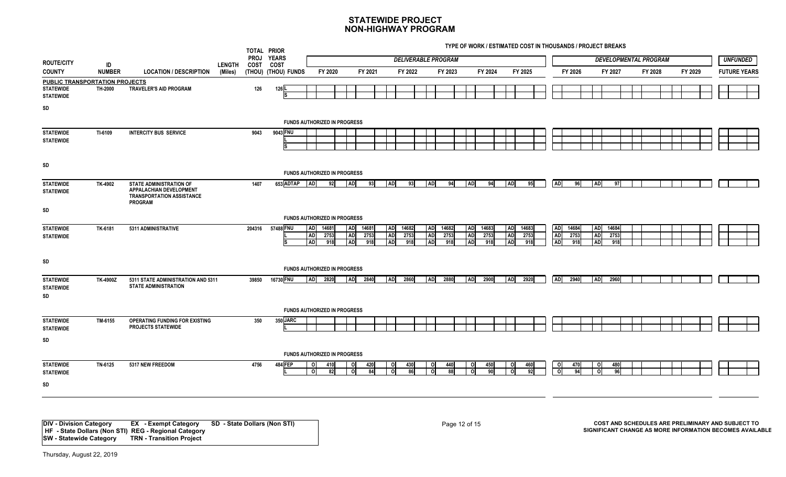**TYPE OF WORK / ESTIMATED COST IN THOUSANDS / PROJECT BREAKS**

|                                            |               |                                                                                                                 |               | TOTAL PRIOR                |                                     |                                                              |                              |                      |                                    |             |                              |                      |                              |                      |                                     | THE OF HORN'T LOTING TED OOOT IN THOUGHING IT ROULDT DREAMS |                                     |                      |                                     |                      |                              |         |                     |
|--------------------------------------------|---------------|-----------------------------------------------------------------------------------------------------------------|---------------|----------------------------|-------------------------------------|--------------------------------------------------------------|------------------------------|----------------------|------------------------------------|-------------|------------------------------|----------------------|------------------------------|----------------------|-------------------------------------|-------------------------------------------------------------|-------------------------------------|----------------------|-------------------------------------|----------------------|------------------------------|---------|---------------------|
| <b>ROUTE/CITY</b>                          | ID            |                                                                                                                 | <b>LENGTH</b> | <b>PROJ</b><br><b>COST</b> | <b>YEARS</b><br><b>COST</b>         |                                                              |                              |                      |                                    |             | <b>DELIVERABLE PROGRAM</b>   |                      |                              |                      |                                     |                                                             |                                     |                      |                                     |                      | <b>DEVELOPMENTAL PROGRAM</b> |         | <b>UNFUNDED</b>     |
| <b>COUNTY</b>                              | <b>NUMBER</b> | <b>LOCATION / DESCRIPTION</b>                                                                                   | (Miles)       |                            | (THOU) (THOU) FUNDS                 | FY 2020                                                      |                              | FY 2021              |                                    | FY 2022     |                              | FY 2023              |                              | FY 2024              |                                     | FY 2025                                                     |                                     | FY 2026              |                                     | FY 2027              | FY 2028                      | FY 2029 | <b>FUTURE YEARS</b> |
| PUBLIC TRANSPORTATION PROJECTS             |               |                                                                                                                 |               |                            |                                     |                                                              |                              |                      |                                    |             |                              |                      |                              |                      |                                     |                                                             |                                     |                      |                                     |                      |                              |         |                     |
| <b>STATEWIDE</b><br><b>STATEWIDE</b>       | TH-2000       | TRAVELER'S AID PROGRAM                                                                                          |               | 126                        | 126 L                               |                                                              |                              |                      |                                    |             |                              |                      |                              |                      |                                     |                                                             |                                     |                      |                                     |                      |                              |         |                     |
| SD                                         |               |                                                                                                                 |               |                            |                                     |                                                              |                              |                      |                                    |             |                              |                      |                              |                      |                                     |                                                             |                                     |                      |                                     |                      |                              |         |                     |
|                                            |               |                                                                                                                 |               |                            | <b>FUNDS AUTHORIZED IN PROGRESS</b> |                                                              |                              |                      |                                    |             |                              |                      |                              |                      |                                     |                                                             |                                     |                      |                                     |                      |                              |         |                     |
| <b>STATEWIDE</b>                           | TI-6109       | <b>INTERCITY BUS SERVICE</b>                                                                                    |               | 9043                       | 9043 FNU                            |                                                              |                              |                      |                                    |             |                              |                      |                              |                      |                                     |                                                             |                                     |                      |                                     |                      |                              |         |                     |
| <b>STATEWIDE</b>                           |               |                                                                                                                 |               |                            |                                     |                                                              |                              |                      |                                    |             |                              |                      |                              |                      |                                     |                                                             |                                     |                      |                                     |                      |                              |         |                     |
| SD                                         |               |                                                                                                                 |               |                            |                                     |                                                              |                              |                      |                                    |             |                              |                      |                              |                      |                                     |                                                             |                                     |                      |                                     |                      |                              |         |                     |
|                                            |               |                                                                                                                 |               |                            | <b>FUNDS AUTHORIZED IN PROGRESS</b> |                                                              |                              |                      |                                    |             |                              |                      |                              |                      |                                     |                                                             |                                     |                      |                                     |                      |                              |         |                     |
| <b>STATEWIDE</b><br><b>STATEWIDE</b>       | TK-4902       | <b>STATE ADMINISTRATION OF</b><br>APPALACHIAN DEVELOPMENT<br><b>TRANSPORTATION ASSISTANCE</b><br><b>PROGRAM</b> |               | 1407                       | 653 ADTAP AD                        | 92                                                           | <b>AD</b>                    | 93                   | AD                                 | 93          | <b>AD</b>                    | 94                   | $\overline{AD}$              | 94                   | <b>AD</b>                           | 95                                                          | <b>AD</b>                           | 96                   | <b>AD</b>                           | 97                   |                              |         |                     |
| SD                                         |               |                                                                                                                 |               |                            |                                     |                                                              |                              |                      |                                    |             |                              |                      |                              |                      |                                     |                                                             |                                     |                      |                                     |                      |                              |         |                     |
|                                            |               |                                                                                                                 |               |                            | <b>FUNDS AUTHORIZED IN PROGRESS</b> |                                                              |                              |                      |                                    |             |                              |                      |                              |                      |                                     |                                                             |                                     |                      |                                     |                      |                              |         |                     |
| <b>STATEWIDE</b><br><b>STATEWIDE</b>       | TK-6181       | 5311 ADMINISTRATIVE                                                                                             |               | 204316                     | 57488 FNU<br>ls                     | 14681<br><b>ADI</b><br><b>AD</b><br>2753<br><b>AD</b><br>918 | <b>AD</b><br><b>AD</b><br>AD | 14681<br>2753<br>918 | AD 14682<br><b>AD</b><br><b>AD</b> | 2753<br>918 | AD<br><b>AD</b><br><b>AD</b> | 14682<br>2753<br>918 | AD<br><b>AD</b><br><b>AD</b> | 14683<br>2753<br>918 | <b>AD</b><br><b>AD</b><br><b>AD</b> | 14683<br>2753<br>918                                        | <b>AD</b><br><b>AD</b><br><b>AD</b> | 14684<br>2753<br>918 | <b>AD</b><br><b>AD</b><br><b>AD</b> | 14684<br>2753<br>918 |                              |         |                     |
| SD                                         |               |                                                                                                                 |               |                            |                                     |                                                              |                              |                      |                                    |             |                              |                      |                              |                      |                                     |                                                             |                                     |                      |                                     |                      |                              |         |                     |
|                                            |               |                                                                                                                 |               |                            | FUNDS AUTHORIZED IN PROGRESS        |                                                              |                              |                      |                                    |             |                              |                      |                              |                      |                                     |                                                             |                                     |                      |                                     |                      |                              |         |                     |
| <b>STATEWIDE</b><br><b>STATEWIDE</b><br>SD | TK-4900Z      | 5311 STATE ADMINISTRATION AND 5311<br><b>STATE ADMINISTRATION</b>                                               |               | 39850                      | 16730 FNU                           | 2820<br><b>AD</b>                                            | AD                           | 2840                 | <b>AD</b>                          | 2860        | <b>AD</b>                    | 2880                 | <b>AD</b>                    | 2900                 | <b>AD</b>                           | 2920                                                        | <b>AD</b>                           | 2940                 | <b>ADI</b>                          | 2960                 |                              |         |                     |
|                                            |               |                                                                                                                 |               |                            |                                     | FUNDS AUTHORIZED IN PROGRESS                                 |                              |                      |                                    |             |                              |                      |                              |                      |                                     |                                                             |                                     |                      |                                     |                      |                              |         |                     |
| <b>STATEWIDE</b><br><b>STATEWIDE</b>       | TM-6155       | OPERATING FUNDING FOR EXISTING<br><b>PROJECTS STATEWIDE</b>                                                     |               | 350                        | 350 JARC                            |                                                              |                              |                      |                                    |             |                              |                      |                              |                      |                                     |                                                             |                                     |                      |                                     |                      |                              |         |                     |
| SD                                         |               |                                                                                                                 |               |                            |                                     |                                                              |                              |                      |                                    |             |                              |                      |                              |                      |                                     |                                                             |                                     |                      |                                     |                      |                              |         |                     |
|                                            |               |                                                                                                                 |               |                            |                                     |                                                              |                              |                      |                                    |             |                              |                      |                              |                      |                                     |                                                             |                                     |                      |                                     |                      |                              |         |                     |
|                                            |               |                                                                                                                 |               |                            | FUNDS AUTHORIZED IN PROGRESS        |                                                              |                              |                      |                                    |             |                              |                      |                              |                      |                                     |                                                             |                                     |                      |                                     |                      |                              |         |                     |
| <b>STATEWIDE</b><br><b>STATEWIDE</b>       | TN-6125       | 5317 NEW FREEDOM                                                                                                |               | 4756                       | <b>484 FEP</b>                      | οI<br>410<br>οI<br>82                                        | ΟI<br>οl                     | 420<br>84            | - Ol<br>οl                         | 430<br>86   |                              | 440<br>88            | O                            | 450<br>90            |                                     | 460<br>92                                                   | $\circ$<br>$\overline{\mathbf{o}}$  | 470<br>94            | $\circ$<br>э                        | 480<br>96            |                              |         |                     |
| SD                                         |               |                                                                                                                 |               |                            |                                     |                                                              |                              |                      |                                    |             |                              |                      |                              |                      |                                     |                                                             |                                     |                      |                                     |                      |                              |         |                     |
|                                            |               |                                                                                                                 |               |                            |                                     |                                                              |                              |                      |                                    |             |                              |                      |                              |                      |                                     |                                                             |                                     |                      |                                     |                      |                              |         |                     |

**DIV - Division Category EX - Exempt Category SD - State Dollars (Non STI) HF - State Dollars (Non STI) REG - Regional Category SW - Statewide Category TRN - Transition Project**

Page 12 of 15 **COST AND SCHEDULES ARE PRELIMINARY AND SUBJECT TO SIGNIFICANT CHANGE AS MORE INFORMATION BECOMES AVAILABLE**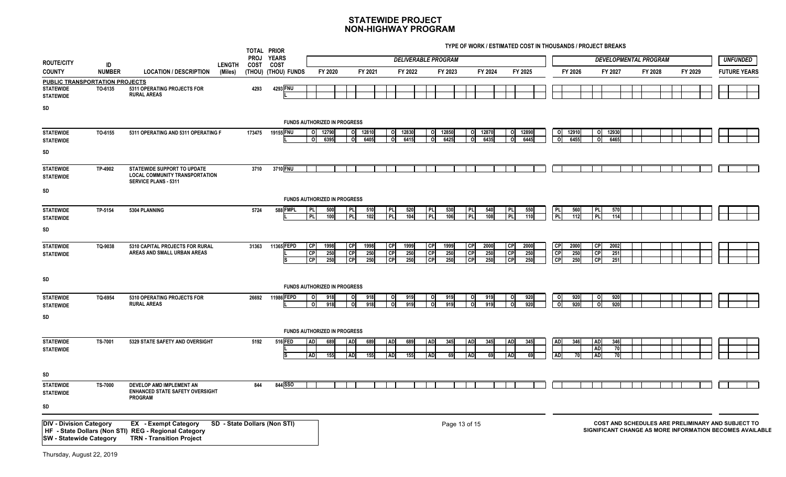|                                                                  |                     |                                                                                                                        |                          | TOTAL PRIOR<br><b>PROJ</b> | <b>YEARS</b>                 |                                                         |                        |                    |                              |                    | <b>DELIVERABLE PROGRAM</b>   |                    |                     |                    |                            |                    |                               |                         |                                     |                    | <b>DEVELOPMENTAL PROGRAM</b> |         |  | UNFUNDED                                                                                                      |
|------------------------------------------------------------------|---------------------|------------------------------------------------------------------------------------------------------------------------|--------------------------|----------------------------|------------------------------|---------------------------------------------------------|------------------------|--------------------|------------------------------|--------------------|------------------------------|--------------------|---------------------|--------------------|----------------------------|--------------------|-------------------------------|-------------------------|-------------------------------------|--------------------|------------------------------|---------|--|---------------------------------------------------------------------------------------------------------------|
| <b>ROUTE/CITY</b><br><b>COUNTY</b>                               | ID<br><b>NUMBER</b> | <b>LOCATION / DESCRIPTION</b>                                                                                          | <b>LENGTH</b><br>(Miles) | COST                       | COST<br>(THOU) (THOU) FUNDS  | FY 2020                                                 |                        | FY 2021            |                              | FY 2022            |                              | FY 2023            |                     | FY 2024            |                            | FY 2025            |                               | FY 2026                 |                                     | FY 2027            | FY 2028                      | FY 2029 |  | <b>FUTURE YEARS</b>                                                                                           |
| PUBLIC TRANSPORTATION PROJECTS                                   |                     |                                                                                                                        |                          |                            |                              |                                                         |                        |                    |                              |                    |                              |                    |                     |                    |                            |                    |                               |                         |                                     |                    |                              |         |  |                                                                                                               |
| <b>STATEWIDE</b><br><b>STATEWIDE</b>                             | TO-6135             | 5311 OPERATING PROJECTS FOR<br><b>RURAL AREAS</b>                                                                      |                          | 4293                       | 4293 FNU                     |                                                         |                        |                    |                              |                    |                              |                    |                     |                    |                            |                    |                               |                         |                                     |                    |                              |         |  |                                                                                                               |
| SD                                                               |                     |                                                                                                                        |                          |                            |                              |                                                         |                        |                    |                              |                    |                              |                    |                     |                    |                            |                    |                               |                         |                                     |                    |                              |         |  |                                                                                                               |
|                                                                  |                     |                                                                                                                        |                          |                            |                              | <b>FUNDS AUTHORIZED IN PROGRESS</b>                     |                        |                    |                              |                    |                              |                    |                     |                    |                            |                    |                               |                         |                                     |                    |                              |         |  |                                                                                                               |
| <b>STATEWIDE</b><br><b>STATEWIDE</b>                             | TO-6155             | 5311 OPERATING AND 5311 OPERATING F                                                                                    |                          | 173475                     | 19155 FNU                    | 12790<br>ΟI<br>6395<br>$\circ$                          | 0                      | 0 12810<br>6405    | οI                           | 0 12830<br>6415    | ΟI<br>0l                     | 12850<br>6425      | ΟI<br>o             | 12870<br>6435      | O<br>$\circ$               | 12890<br>6445      | $\circ$<br>o                  | 12910<br>6455           | οI                                  | 0 12930<br>6465    |                              |         |  |                                                                                                               |
| SD                                                               |                     |                                                                                                                        |                          |                            |                              |                                                         |                        |                    |                              |                    |                              |                    |                     |                    |                            |                    |                               |                         |                                     |                    |                              |         |  |                                                                                                               |
| <b>STATEWIDE</b><br><b>STATEWIDE</b>                             | TP-4902             | STATEWIDE SUPPORT TO UPDATE<br><b>LOCAL COMMUNITY TRANSPORTATION</b><br><b>SERVICE PLANS - 5311</b>                    |                          | 3710                       | 3710 FNU                     |                                                         |                        |                    |                              |                    |                              |                    |                     |                    |                            |                    |                               |                         |                                     |                    |                              |         |  |                                                                                                               |
| SD                                                               |                     |                                                                                                                        |                          |                            |                              | <b>FUNDS AUTHORIZED IN PROGRESS</b>                     |                        |                    |                              |                    |                              |                    |                     |                    |                            |                    |                               |                         |                                     |                    |                              |         |  |                                                                                                               |
| <b>STATEWIDE</b><br><b>STATEWIDE</b>                             | TP-5154             | 5304 PLANNING                                                                                                          |                          | 5724                       | 588 FMPL                     | I PL<br>500<br>$\overline{P}$<br>100                    | PLI<br>PL              | 510<br>102         | PL.<br><b>PL</b>             | 520<br>104         | $\overline{P}$<br><b>PL</b>  | 530<br>106         | P <br><b>PL</b>     | 540<br>108         | I PLI<br><b>PL</b>         | 550<br>110         | <b>PLI</b><br>$\overline{P}L$ | 560<br>$\overline{112}$ | PL<br>PL                            | 570<br>114         |                              |         |  |                                                                                                               |
| SD                                                               |                     |                                                                                                                        |                          |                            |                              |                                                         |                        |                    |                              |                    |                              |                    |                     |                    |                            |                    |                               |                         |                                     |                    |                              |         |  |                                                                                                               |
| <b>STATEWIDE</b><br><b>STATEWIDE</b>                             | TQ-9038             | 5310 CAPITAL PROJECTS FOR RURAL<br>AREAS AND SMALL URBAN AREAS                                                         |                          | 31363                      | 11365 FEPD                   | C<br>1998<br>$\overline{CP}$<br>250<br><b>CP</b><br>250 | <b>CP</b><br>CP<br>CP  | 1998<br>250<br>250 | <b>CP</b><br>CP<br><b>CP</b> | 1999<br>250<br>250 | <b>CP</b><br>CP<br><b>CP</b> | 1999<br>250<br>250 | CP<br>  CP<br>l CPI | 2000<br>250<br>250 | l CPI<br>  CP<br><b>CP</b> | 2000<br>250<br>250 | CP<br>CP<br>CP                | 2000<br>250<br>250      | CP<br>CP<br><b>CP</b>               | 2002<br>251<br>251 |                              |         |  |                                                                                                               |
| SD                                                               |                     |                                                                                                                        |                          |                            |                              | <b>FUNDS AUTHORIZED IN PROGRESS</b>                     |                        |                    |                              |                    |                              |                    |                     |                    |                            |                    |                               |                         |                                     |                    |                              |         |  |                                                                                                               |
| <b>STATEWIDE</b><br><b>STATEWIDE</b>                             | TQ-6954             | 5310 OPERATING PROJECTS FOR<br><b>RURAL AREAS</b>                                                                      |                          | 26692                      | 11986 FEPD                   | 918<br>O<br>918<br>$\circ$                              | O<br>o                 | 918<br>918         | οl                           | 919<br>919         | $\Omega$                     | 919<br>919         |                     | 919<br>919         | $\Omega$                   | 920<br>920         | O<br>o                        | 920<br>920              |                                     | 920<br>920         |                              |         |  |                                                                                                               |
| SD                                                               |                     |                                                                                                                        |                          |                            |                              |                                                         |                        |                    |                              |                    |                              |                    |                     |                    |                            |                    |                               |                         |                                     |                    |                              |         |  |                                                                                                               |
|                                                                  |                     |                                                                                                                        |                          |                            |                              | <b>FUNDS AUTHORIZED IN PROGRESS</b>                     |                        |                    |                              |                    |                              |                    |                     |                    |                            |                    |                               |                         |                                     |                    |                              |         |  |                                                                                                               |
| <b>STATEWIDE</b><br><b>STATEWIDE</b>                             | TS-7001             | 5329 STATE SAFETY AND OVERSIGHT                                                                                        |                          | 5192                       | 516 FED<br>Is                | <b>AD</b><br>689<br><b>AD</b><br>155                    | <b>AD</b><br><b>AD</b> | 689<br>155         | <b>AD</b><br><b>AD</b>       | 689<br>155         | AD<br><b>AD</b>              | 345<br>69          | <b>AD</b>           | 345<br>69          | <b>AD</b><br><b>AD</b>     | 345                | <b>AD</b>                     | 346<br><b>70</b>        | <b>AD</b><br><b>AD</b><br><b>AD</b> | 346<br>70<br>70    |                              |         |  |                                                                                                               |
| SD                                                               |                     |                                                                                                                        |                          |                            |                              |                                                         |                        |                    |                              |                    |                              |                    |                     |                    |                            |                    |                               |                         |                                     |                    |                              |         |  |                                                                                                               |
| <b>STATEWIDE</b><br><b>STATEWIDE</b>                             | <b>TS-7000</b>      | DEVELOP AMD IMPLEMENT AN<br><b>ENHANCED STATE SAFETY OVERSIGHT</b><br><b>PROGRAM</b>                                   |                          | 844                        | 844 SSO                      |                                                         |                        |                    |                              |                    |                              |                    |                     |                    |                            |                    |                               |                         |                                     |                    |                              |         |  |                                                                                                               |
| SD                                                               |                     |                                                                                                                        |                          |                            |                              |                                                         |                        |                    |                              |                    |                              |                    |                     |                    |                            |                    |                               |                         |                                     |                    |                              |         |  |                                                                                                               |
| <b>DIV - Division Category</b><br><b>SW</b> - Statewide Category |                     | <b>EX</b> - Exempt Category<br>HF - State Dollars (Non STI) REG - Regional Category<br><b>TRN - Transition Project</b> |                          |                            | SD - State Dollars (Non STI) |                                                         |                        |                    |                              |                    |                              | Page 13 of 15      |                     |                    |                            |                    |                               |                         |                                     |                    |                              |         |  | COST AND SCHEDULES ARE PRELIMINARY AND SUBJECT TO<br>SIGNIFICANT CHANGE AS MORE INFORMATION BECOMES AVAILABLE |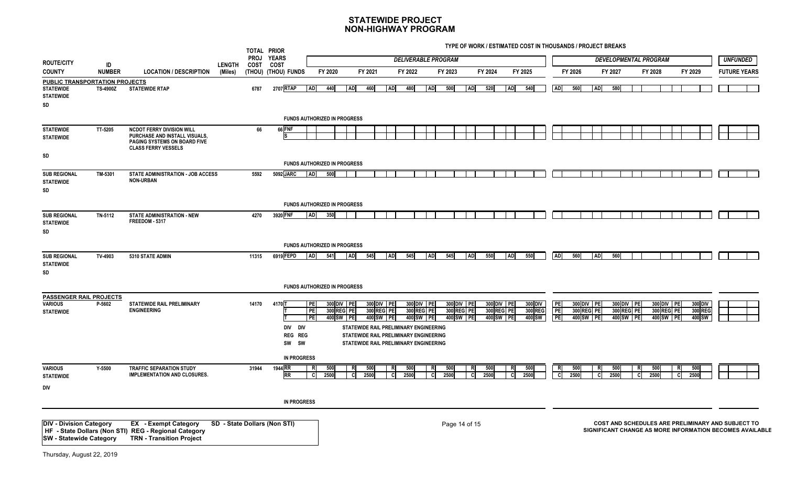| <b>ROUTE/CITY</b>                                                                   |                     |                                                                                                                        |                          | TOTAL PRIOR<br><b>PROJ</b> | <b>YEARS</b>                                     |                |             |                                       |             |                                                                                                                                                                     |             |                                       | <b>DELIVERABLE PROGRAM</b> |                                       |             |                                       |                              |                       |             |                                       |             |                                       | DEVELOPMENTAL PROGRAM |                                       |         |                              |                                                                                                               | <b>UNFUNDED</b>     |
|-------------------------------------------------------------------------------------|---------------------|------------------------------------------------------------------------------------------------------------------------|--------------------------|----------------------------|--------------------------------------------------|----------------|-------------|---------------------------------------|-------------|---------------------------------------------------------------------------------------------------------------------------------------------------------------------|-------------|---------------------------------------|----------------------------|---------------------------------------|-------------|---------------------------------------|------------------------------|-----------------------|-------------|---------------------------------------|-------------|---------------------------------------|-----------------------|---------------------------------------|---------|------------------------------|---------------------------------------------------------------------------------------------------------------|---------------------|
| <b>COUNTY</b>                                                                       | ID<br><b>NUMBER</b> | <b>LOCATION / DESCRIPTION</b>                                                                                          | <b>LENGTH</b><br>(Miles) | COST                       | COST<br>(THOU) (THOU) FUNDS                      |                | FY 2020     |                                       | FY 2021     |                                                                                                                                                                     | FY 2022     |                                       | FY 2023                    |                                       | FY 2024     |                                       | FY 2025                      |                       | FY 2026     |                                       | FY 2027     |                                       | FY 2028               |                                       | FY 2029 |                              |                                                                                                               | <b>FUTURE YEARS</b> |
| <b>PUBLIC TRANSPORTATION PROJECTS</b><br><b>STATEWIDE</b><br><b>STATEWIDE</b><br>SD | <b>TS-4900Z</b>     | <b>STATEWIDE RTAP</b>                                                                                                  |                          | 6787                       | 2707 RTAP<br><b>FUNDS AUTHORIZED IN PROGRESS</b> | <b>AD</b>      | 440         | <b>AD</b>                             | 460         | <b>AD</b>                                                                                                                                                           | 480         | <b>AD</b>                             | 500                        | <b>AD</b>                             | 520         | <b>AD</b>                             | 540                          | <b>AD</b>             | 560         | <b>AD</b>                             | 580         |                                       |                       |                                       |         |                              |                                                                                                               |                     |
| <b>STATEWIDE</b>                                                                    | TT-5205             | <b>NCDOT FERRY DIVISION WILL</b>                                                                                       |                          | 66                         | 66 FNF                                           |                |             |                                       |             |                                                                                                                                                                     |             |                                       |                            |                                       |             |                                       |                              |                       |             |                                       |             |                                       |                       |                                       |         |                              |                                                                                                               |                     |
| <b>STATEWIDE</b>                                                                    |                     | PURCHASE AND INSTALL VISUALS,<br><b>PAGING SYSTEMS ON BOARD FIVE</b><br><b>CLASS FERRY VESSELS</b>                     |                          |                            |                                                  |                |             |                                       |             |                                                                                                                                                                     |             |                                       |                            |                                       |             |                                       |                              |                       |             |                                       |             |                                       |                       |                                       |         |                              |                                                                                                               |                     |
| SD                                                                                  |                     |                                                                                                                        |                          |                            | <b>FUNDS AUTHORIZED IN PROGRESS</b>              |                |             |                                       |             |                                                                                                                                                                     |             |                                       |                            |                                       |             |                                       |                              |                       |             |                                       |             |                                       |                       |                                       |         |                              |                                                                                                               |                     |
| <b>SUB REGIONAL</b><br><b>STATEWIDE</b><br>SD                                       | TM-5301             | <b>STATE ADMINISTRATION - JOB ACCESS</b><br><b>NON-URBAN</b>                                                           |                          | 5592                       | 5092 JARC                                        | <b>AD</b>      | 500         |                                       |             |                                                                                                                                                                     |             |                                       |                            |                                       |             |                                       |                              |                       |             |                                       |             |                                       |                       |                                       |         |                              |                                                                                                               |                     |
|                                                                                     |                     |                                                                                                                        |                          |                            | <b>FUNDS AUTHORIZED IN PROGRESS</b>              |                |             |                                       |             |                                                                                                                                                                     |             |                                       |                            |                                       |             |                                       |                              |                       |             |                                       |             |                                       |                       |                                       |         |                              |                                                                                                               |                     |
| <b>SUB REGIONAL</b><br><b>STATEWIDE</b>                                             | TN-5112             | <b>STATE ADMINISTRATION - NEW</b><br>FREEDOM - 5317                                                                    |                          | 4270                       | 3920 FNF                                         | <b>AD</b>      | 350         |                                       |             |                                                                                                                                                                     |             |                                       |                            |                                       |             |                                       |                              |                       |             |                                       |             |                                       |                       |                                       |         |                              |                                                                                                               |                     |
| SD                                                                                  | TV-4903             |                                                                                                                        |                          |                            | <b>FUNDS AUTHORIZED IN PROGRESS</b><br>6919 FEPD | <b>AD</b>      | 541         | <b>AD</b>                             | 545         | <b>AD</b>                                                                                                                                                           | 545         | <b>AD</b>                             | 545                        | <b>AD</b>                             | 550         | <b>AD</b>                             | 550                          | <b>AD</b>             | 560         | <b>AD</b>                             | 560         |                                       |                       |                                       |         |                              |                                                                                                               |                     |
| <b>SUB REGIONAL</b><br><b>STATEWIDE</b><br>SD                                       |                     | 5310 STATE ADMIN                                                                                                       |                          | 11315                      |                                                  |                |             |                                       |             |                                                                                                                                                                     |             |                                       |                            |                                       |             |                                       |                              |                       |             |                                       |             |                                       |                       |                                       |         |                              |                                                                                                               |                     |
|                                                                                     |                     |                                                                                                                        |                          |                            | <b>FUNDS AUTHORIZED IN PROGRESS</b>              |                |             |                                       |             |                                                                                                                                                                     |             |                                       |                            |                                       |             |                                       |                              |                       |             |                                       |             |                                       |                       |                                       |         |                              |                                                                                                               |                     |
| <b>PASSENGER RAIL PROJECTS</b><br><b>VARIOUS</b><br><b>STATEWIDE</b>                | P-5602              | <b>STATEWIDE RAIL PRELIMINARY</b><br><b>ENGINEERING</b>                                                                |                          | 14170                      | 4170 T<br>DIV DIV<br>REG REG<br>SW SW            | PE<br>PE<br>PE |             | 300 DIV PE<br>300 REG PE<br>400 SW PE |             | 300 DIV PE<br>300 REG PE<br>400 SW PE<br>STATEWIDE RAIL PRELIMINARY ENGINEERING<br>STATEWIDE RAIL PRELIMINARY ENGINEERING<br>STATEWIDE RAIL PRELIMINARY ENGINEERING |             | 300 DIV PE<br>300 REG PE<br>400 SW PE |                            | 300 DIV PE<br>300 REG PE<br>400 SW PE |             | 300 DIV PE<br>300 REG PE<br>400 SW PE | 300 DIV<br>300 REG<br>400 SW | PE<br>PE<br><b>PE</b> |             | 300 DIV PE<br>300 REG PE<br>400 SW PE |             | 300 DIV PE<br>300 REG PE<br>400 SW PE |                       | 300 DIV PE<br>300 REG PE<br>400 SW PE |         | 300 DIV<br>300 REG<br>400 SW |                                                                                                               |                     |
|                                                                                     |                     |                                                                                                                        |                          |                            | <b>IN PROGRESS</b>                               |                |             |                                       |             |                                                                                                                                                                     |             |                                       |                            |                                       |             |                                       |                              |                       |             |                                       |             |                                       |                       |                                       |         |                              |                                                                                                               |                     |
| <b>VARIOUS</b><br><b>STATEWIDE</b>                                                  | Y-5500              | <b>TRAFFIC SEPARATION STUDY</b><br><b>IMPLEMENTATION AND CLOSURES.</b>                                                 |                          | 31944                      | 1944 RR<br><b>RR</b>                             | R<br>- cl      | 500<br>2500 | <b>C</b>                              | 500<br>2500 | <b>CI</b>                                                                                                                                                           | 500<br>2500 | -cl                                   | 500<br>2500                | - Cl                                  | 500<br>2500 |                                       | 500<br>2500                  | <b>C</b>              | 500<br>2500 | C.                                    | 500<br>2500 | .cl                                   | 500<br>2500           |                                       | 2500    | 500                          |                                                                                                               |                     |
| DIV                                                                                 |                     |                                                                                                                        |                          |                            |                                                  |                |             |                                       |             |                                                                                                                                                                     |             |                                       |                            |                                       |             |                                       |                              |                       |             |                                       |             |                                       |                       |                                       |         |                              |                                                                                                               |                     |
|                                                                                     |                     |                                                                                                                        |                          |                            | <b>IN PROGRESS</b>                               |                |             |                                       |             |                                                                                                                                                                     |             |                                       |                            |                                       |             |                                       |                              |                       |             |                                       |             |                                       |                       |                                       |         |                              |                                                                                                               |                     |
| <b>DIV - Division Category</b><br><b>SW</b> - Statewide Category                    |                     | <b>EX</b> - Exempt Category<br>HF - State Dollars (Non STI) REG - Regional Category<br><b>TRN - Transition Project</b> |                          |                            | SD - State Dollars (Non STI)                     |                |             |                                       |             |                                                                                                                                                                     |             |                                       | Page 14 of 15              |                                       |             |                                       |                              |                       |             |                                       |             |                                       |                       |                                       |         |                              | COST AND SCHEDULES ARE PRELIMINARY AND SUBJECT TO<br>SIGNIFICANT CHANGE AS MORE INFORMATION BECOMES AVAILABLE |                     |